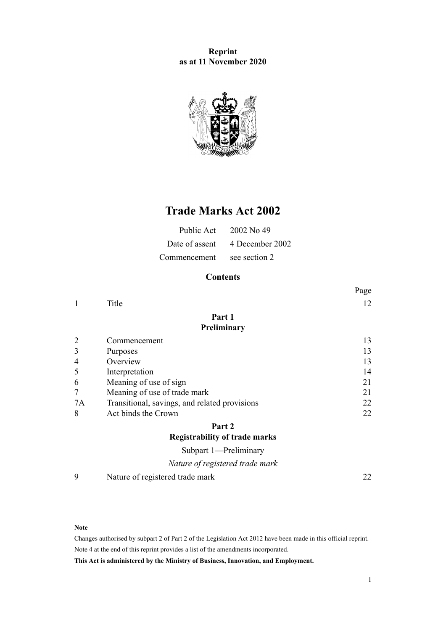## **Reprint as at 11 November 2020**



# **Trade Marks Act 2002**

| Public Act   | 2002 No 49                     |
|--------------|--------------------------------|
|              | Date of assent 4 December 2002 |
| Commencement | see section 2                  |

## **Contents**

|                |                                               | Page |
|----------------|-----------------------------------------------|------|
| 1              | Title                                         | 12   |
|                | Part 1                                        |      |
|                | Preliminary                                   |      |
| $\overline{2}$ | Commencement                                  | 13   |
| 3              | Purposes                                      | 13   |
| 4              | Overview                                      | 13   |
| 5              | Interpretation                                | 14   |
| 6              | Meaning of use of sign                        | 21   |
| 7              | Meaning of use of trade mark                  | 21   |
| 7A             | Transitional, savings, and related provisions | 22   |
| 8              | Act binds the Crown                           | 22   |
|                | Part 2                                        |      |
|                | <b>Registrability of trade marks</b>          |      |
|                | Subpart 1-Preliminary                         |      |
|                | Nature of registered trade mark               |      |

[9](#page-21-0) [Nature of registered trade mark](#page-21-0) [22](#page-21-0)

#### **Note**

Changes authorised by [subpart 2](http://legislation.govt.nz/pdflink.aspx?id=DLM2998524) of Part 2 of the Legislation Act 2012 have been made in this official reprint. Note 4 at the end of this reprint provides a list of the amendments incorporated.

**This Act is administered by the Ministry of Business, Innovation, and Employment.**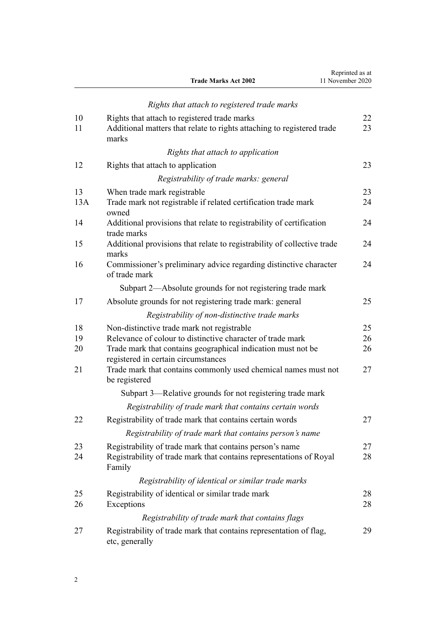|    | <b>Trade Marks Act 2002</b>                  | Reprinted as at<br>11 November 2020 |
|----|----------------------------------------------|-------------------------------------|
|    | Rights that attach to registered trade marks |                                     |
| 10 | Rights that attach to registered trade marks |                                     |

| 1 V<br>11 | Nights that attach to registered trade marks<br>Additional matters that relate to rights attaching to registered trade<br>marks           | ∠∠<br>23 |
|-----------|-------------------------------------------------------------------------------------------------------------------------------------------|----------|
|           | Rights that attach to application                                                                                                         |          |
| 12        | Rights that attach to application                                                                                                         | 23       |
|           | Registrability of trade marks: general                                                                                                    |          |
| 13        | When trade mark registrable                                                                                                               | 23       |
| 13A       | Trade mark not registrable if related certification trade mark<br>owned                                                                   | 24       |
| 14        | Additional provisions that relate to registrability of certification<br>trade marks                                                       | 24       |
| 15        | Additional provisions that relate to registrability of collective trade<br>marks                                                          | 24       |
| 16        | Commissioner's preliminary advice regarding distinctive character<br>of trade mark                                                        | 24       |
|           | Subpart 2—Absolute grounds for not registering trade mark                                                                                 |          |
| 17        | Absolute grounds for not registering trade mark: general                                                                                  | 25       |
|           | Registrability of non-distinctive trade marks                                                                                             |          |
| 18        | Non-distinctive trade mark not registrable                                                                                                | 25       |
| 19        | Relevance of colour to distinctive character of trade mark                                                                                | 26       |
| 20        | Trade mark that contains geographical indication must not be                                                                              | 26       |
| 21        | registered in certain circumstances<br>Trade mark that contains commonly used chemical names must not<br>be registered                    | 27       |
|           | Subpart 3—Relative grounds for not registering trade mark                                                                                 |          |
|           | Registrability of trade mark that contains certain words                                                                                  |          |
| 22        | Registrability of trade mark that contains certain words                                                                                  | 27       |
|           | Registrability of trade mark that contains person's name                                                                                  |          |
| 23<br>24  | Registrability of trade mark that contains person's name<br>Registrability of trade mark that contains representations of Royal<br>Family | 27<br>28 |
|           | Registrability of identical or similar trade marks                                                                                        |          |
| 25        | Registrability of identical or similar trade mark                                                                                         | 28       |
| 26        | Exceptions                                                                                                                                | 28       |
|           | Registrability of trade mark that contains flags                                                                                          |          |
| 27        | Registrability of trade mark that contains representation of flag,<br>etc, generally                                                      | 29       |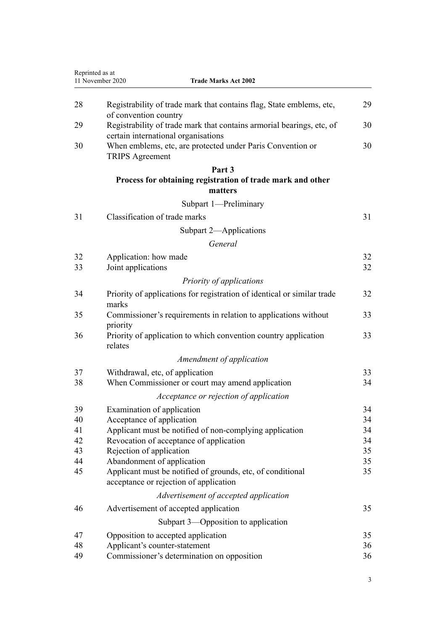|    | 11 November 2020<br><b>Trade Marks Act 2002</b>                                                              |    |
|----|--------------------------------------------------------------------------------------------------------------|----|
| 28 | Registrability of trade mark that contains flag, State emblems, etc,<br>of convention country                | 29 |
| 29 | Registrability of trade mark that contains armorial bearings, etc, of<br>certain international organisations | 30 |
| 30 | When emblems, etc, are protected under Paris Convention or<br><b>TRIPS</b> Agreement                         | 30 |
|    | Part 3                                                                                                       |    |
|    | Process for obtaining registration of trade mark and other<br>matters                                        |    |
|    | Subpart 1-Preliminary                                                                                        |    |
|    | Classification of trade marks                                                                                |    |
| 31 |                                                                                                              | 31 |
|    | Subpart 2-Applications                                                                                       |    |
|    | General                                                                                                      |    |
| 32 | Application: how made                                                                                        | 32 |
| 33 | Joint applications                                                                                           | 32 |
|    | Priority of applications                                                                                     |    |
| 34 | Priority of applications for registration of identical or similar trade<br>marks                             | 32 |
| 35 | Commissioner's requirements in relation to applications without<br>priority                                  | 33 |
| 36 | Priority of application to which convention country application<br>relates                                   | 33 |
|    | Amendment of application                                                                                     |    |
| 37 | Withdrawal, etc, of application                                                                              | 33 |
| 38 | When Commissioner or court may amend application                                                             | 34 |
|    | Acceptance or rejection of application                                                                       |    |
| 39 | Examination of application                                                                                   | 34 |
| 40 | Acceptance of application                                                                                    | 34 |
| 41 | Applicant must be notified of non-complying application                                                      | 34 |
| 42 | Revocation of acceptance of application                                                                      | 34 |
| 43 | Rejection of application                                                                                     | 35 |
| 44 | Abandonment of application                                                                                   | 35 |
| 45 | Applicant must be notified of grounds, etc, of conditional<br>acceptance or rejection of application         | 35 |
|    | Advertisement of accepted application                                                                        |    |
| 46 | Advertisement of accepted application                                                                        | 35 |
|    | Subpart 3—Opposition to application                                                                          |    |
| 47 | Opposition to accepted application                                                                           | 35 |
| 48 | Applicant's counter-statement                                                                                | 36 |
| 49 | Commissioner's determination on opposition                                                                   | 36 |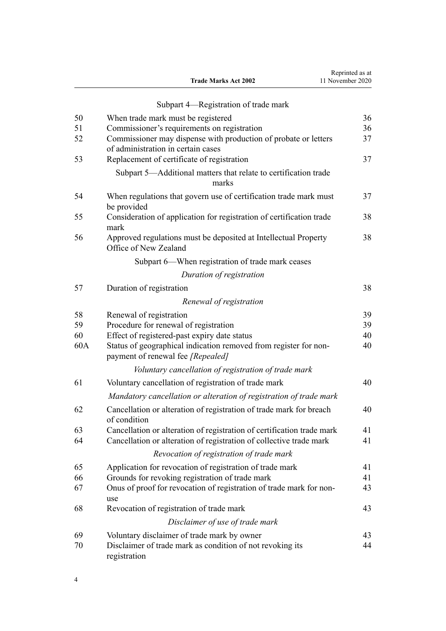|     | Subpart 4—Registration of trade mark                                                                  |    |
|-----|-------------------------------------------------------------------------------------------------------|----|
| 50  | When trade mark must be registered                                                                    | 36 |
| 51  | Commissioner's requirements on registration                                                           | 36 |
| 52  | Commissioner may dispense with production of probate or letters<br>of administration in certain cases | 37 |
| 53  | Replacement of certificate of registration                                                            | 37 |
|     | Subpart 5—Additional matters that relate to certification trade                                       |    |
|     | marks                                                                                                 |    |
| 54  | When regulations that govern use of certification trade mark must<br>be provided                      | 37 |
| 55  | Consideration of application for registration of certification trade<br>mark                          | 38 |
| 56  | Approved regulations must be deposited at Intellectual Property<br>Office of New Zealand              | 38 |
|     | Subpart 6—When registration of trade mark ceases                                                      |    |
|     | Duration of registration                                                                              |    |
| 57  | Duration of registration                                                                              | 38 |
|     | Renewal of registration                                                                               |    |
| 58  | Renewal of registration                                                                               | 39 |
| 59  | Procedure for renewal of registration                                                                 | 39 |
| 60  | Effect of registered-past expiry date status                                                          | 40 |
| 60A | Status of geographical indication removed from register for non-<br>payment of renewal fee [Repealed] | 40 |
|     | Voluntary cancellation of registration of trade mark                                                  |    |
| 61  | Voluntary cancellation of registration of trade mark                                                  | 40 |
|     | Mandatory cancellation or alteration of registration of trade mark                                    |    |
| 62  | Cancellation or alteration of registration of trade mark for breach<br>of condition                   | 40 |
| 63  | Cancellation or alteration of registration of certification trade mark                                | 41 |
| 64  | Cancellation or alteration of registration of collective trade mark                                   | 41 |
|     | Revocation of registration of trade mark                                                              |    |
| 65  | Application for revocation of registration of trade mark                                              | 41 |
| 66  | Grounds for revoking registration of trade mark                                                       | 41 |
| 67  | Onus of proof for revocation of registration of trade mark for non-<br>use                            | 43 |
| 68  | Revocation of registration of trade mark                                                              | 43 |
|     | Disclaimer of use of trade mark                                                                       |    |
| 69  | Voluntary disclaimer of trade mark by owner                                                           | 43 |
| 70  | Disclaimer of trade mark as condition of not revoking its<br>registration                             | 44 |

**Trade Marks Act 2002**

Reprinted as at 11 November 2020

4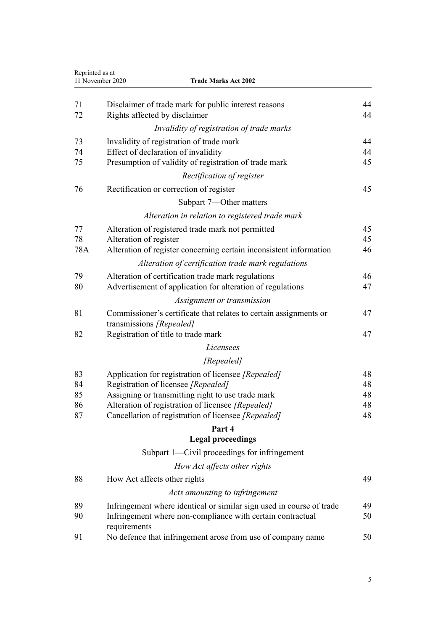| Reprinted as at | 11 November 2020<br><b>Trade Marks Act 2002</b>                                                                                                    |          |
|-----------------|----------------------------------------------------------------------------------------------------------------------------------------------------|----------|
| 71<br>72        | Disclaimer of trade mark for public interest reasons<br>Rights affected by disclaimer                                                              | 44<br>44 |
|                 | Invalidity of registration of trade marks                                                                                                          |          |
| 73              | Invalidity of registration of trade mark                                                                                                           | 44       |
| 74              | Effect of declaration of invalidity                                                                                                                | 44       |
| 75              | Presumption of validity of registration of trade mark                                                                                              | 45       |
|                 | Rectification of register                                                                                                                          |          |
| 76              | Rectification or correction of register                                                                                                            | 45       |
|                 | Subpart 7—Other matters                                                                                                                            |          |
|                 | Alteration in relation to registered trade mark                                                                                                    |          |
| 77              | Alteration of registered trade mark not permitted                                                                                                  | 45       |
| 78              | Alteration of register                                                                                                                             | 45       |
| 78A             | Alteration of register concerning certain inconsistent information                                                                                 | 46       |
|                 | Alteration of certification trade mark regulations                                                                                                 |          |
| 79              | Alteration of certification trade mark regulations                                                                                                 | 46       |
| 80              | Advertisement of application for alteration of regulations                                                                                         | 47       |
|                 | Assignment or transmission                                                                                                                         |          |
| 81              | Commissioner's certificate that relates to certain assignments or<br>transmissions [Repealed]                                                      | 47       |
| 82              | Registration of title to trade mark                                                                                                                | 47       |
|                 | Licensees                                                                                                                                          |          |
|                 | [Repealed]                                                                                                                                         |          |
| 83              | Application for registration of licensee [Repealed]                                                                                                | 48       |
| 84              | Registration of licensee [Repealed]                                                                                                                | 48       |
| 85<br>86        | Assigning or transmitting right to use trade mark<br>Alteration of registration of licensee [Repealed]                                             | 48<br>48 |
| 87              | Cancellation of registration of licensee [Repealed]                                                                                                | 48       |
|                 | Part 4                                                                                                                                             |          |
|                 | <b>Legal proceedings</b>                                                                                                                           |          |
|                 | Subpart 1-Civil proceedings for infringement                                                                                                       |          |
|                 | How Act affects other rights                                                                                                                       |          |
| 88              | How Act affects other rights                                                                                                                       | 49       |
|                 | Acts amounting to infringement                                                                                                                     |          |
|                 |                                                                                                                                                    |          |
| 89<br>90        | Infringement where identical or similar sign used in course of trade<br>Infringement where non-compliance with certain contractual<br>requirements | 49<br>50 |
| 91              | No defence that infringement arose from use of company name                                                                                        | 50       |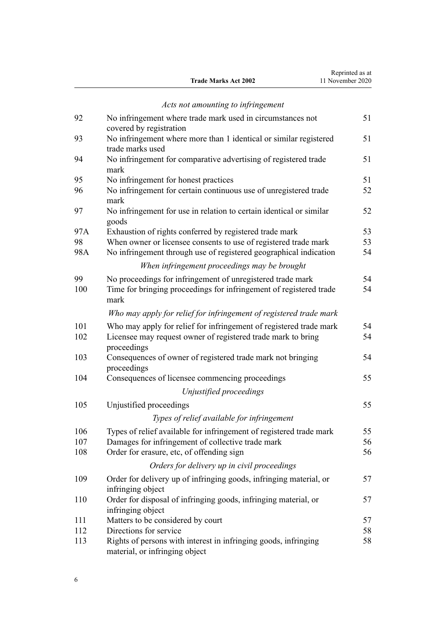|                             | Reprinted as at  |
|-----------------------------|------------------|
| <b>Trade Marks Act 2002</b> | 11 November 2020 |

|           | Acts not amounting to infringement                                                                                                   |          |
|-----------|--------------------------------------------------------------------------------------------------------------------------------------|----------|
| 92        | No infringement where trade mark used in circumstances not<br>covered by registration                                                | 51       |
| 93        | No infringement where more than 1 identical or similar registered<br>trade marks used                                                | 51       |
| 94        | No infringement for comparative advertising of registered trade<br>mark                                                              | 51       |
| 95        | No infringement for honest practices                                                                                                 | 51       |
| 96        | No infringement for certain continuous use of unregistered trade<br>mark                                                             | 52       |
| 97        | No infringement for use in relation to certain identical or similar<br>goods                                                         | 52       |
| 97A       | Exhaustion of rights conferred by registered trade mark                                                                              | 53       |
| 98<br>98A | When owner or licensee consents to use of registered trade mark<br>No infringement through use of registered geographical indication | 53<br>54 |
|           | When infringement proceedings may be brought                                                                                         |          |
| 99        | No proceedings for infringement of unregistered trade mark                                                                           | 54       |
| 100       | Time for bringing proceedings for infringement of registered trade<br>mark                                                           | 54       |
|           | Who may apply for relief for infringement of registered trade mark                                                                   |          |
| 101       | Who may apply for relief for infringement of registered trade mark                                                                   | 54       |
| 102       | Licensee may request owner of registered trade mark to bring<br>proceedings                                                          | 54       |
| 103       | Consequences of owner of registered trade mark not bringing<br>proceedings                                                           | 54       |
| 104       | Consequences of licensee commencing proceedings                                                                                      | 55       |
|           | Unjustified proceedings                                                                                                              |          |
| 105       | Unjustified proceedings                                                                                                              | 55       |
|           | Types of relief available for infringement                                                                                           |          |
| 106       | Types of relief available for infringement of registered trade mark                                                                  | 55       |
| 107       | Damages for infringement of collective trade mark                                                                                    | 56       |
| 108       | Order for erasure, etc, of offending sign                                                                                            | 56       |
|           | Orders for delivery up in civil proceedings                                                                                          |          |
| 109       | Order for delivery up of infringing goods, infringing material, or<br>infringing object                                              | 57       |
| 110       | Order for disposal of infringing goods, infringing material, or<br>infringing object                                                 | 57       |
| 111       | Matters to be considered by court                                                                                                    | 57       |
| 112       | Directions for service                                                                                                               | 58       |
| 113       | Rights of persons with interest in infringing goods, infringing                                                                      | 58       |

[material, or infringing object](#page-57-0)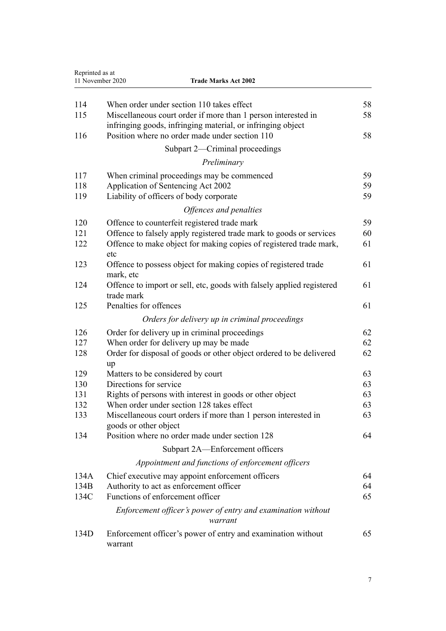| Reprinted as at | 11 November 2020<br><b>Trade Marks Act 2002</b>                                                               |          |
|-----------------|---------------------------------------------------------------------------------------------------------------|----------|
|                 |                                                                                                               |          |
| 114<br>115      | When order under section 110 takes effect<br>Miscellaneous court order if more than 1 person interested in    | 58<br>58 |
| 116             | infringing goods, infringing material, or infringing object<br>Position where no order made under section 110 | 58       |
|                 | Subpart 2—Criminal proceedings                                                                                |          |
|                 | Preliminary                                                                                                   |          |
| 117             | When criminal proceedings may be commenced                                                                    | 59       |
| 118             | Application of Sentencing Act 2002                                                                            | 59       |
| 119             | Liability of officers of body corporate                                                                       | 59       |
|                 | Offences and penalties                                                                                        |          |
| 120             | Offence to counterfeit registered trade mark                                                                  | 59       |
| 121             | Offence to falsely apply registered trade mark to goods or services                                           | 60       |
| 122             | Offence to make object for making copies of registered trade mark,<br>etc                                     | 61       |
| 123             | Offence to possess object for making copies of registered trade<br>mark, etc                                  | 61       |
| 124             | Offence to import or sell, etc, goods with falsely applied registered<br>trade mark                           | 61       |
| 125             | Penalties for offences                                                                                        | 61       |
|                 | Orders for delivery up in criminal proceedings                                                                |          |
| 126             | Order for delivery up in criminal proceedings                                                                 | 62       |
| 127             | When order for delivery up may be made                                                                        | 62       |
| 128             | Order for disposal of goods or other object ordered to be delivered<br>up                                     | 62       |
| 129             | Matters to be considered by court                                                                             | 63       |
| 130             | Directions for service                                                                                        | 63       |
| 131             | Rights of persons with interest in goods or other object                                                      | 63       |
| 132             | When order under section 128 takes effect                                                                     | 63       |
| 133             | Miscellaneous court orders if more than 1 person interested in<br>goods or other object                       | 63       |
| 134             | Position where no order made under section 128                                                                | 64       |
|                 | Subpart 2A—Enforcement officers                                                                               |          |
|                 | Appointment and functions of enforcement officers                                                             |          |
| 134A            | Chief executive may appoint enforcement officers                                                              | 64       |
| 134B            | Authority to act as enforcement officer                                                                       | 64       |
| 134C            | Functions of enforcement officer                                                                              | 65       |
|                 | Enforcement officer's power of entry and examination without<br>warrant                                       |          |
| 134D            | Enforcement officer's power of entry and examination without<br>warrant                                       | 65       |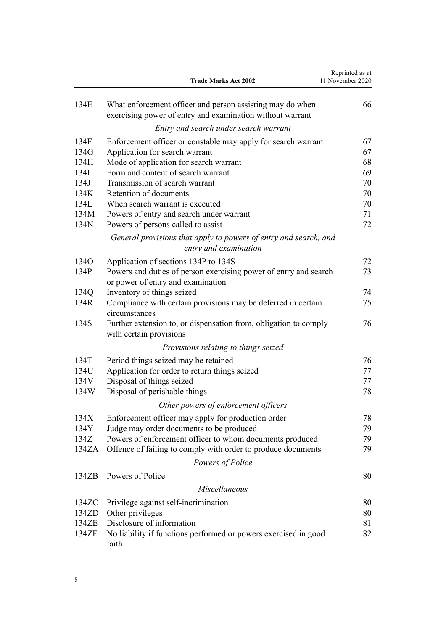|       | <b>Trade Marks Act 2002</b>                                                                                            | Reprinted as at<br>11 November 2020 |
|-------|------------------------------------------------------------------------------------------------------------------------|-------------------------------------|
| 134E  | What enforcement officer and person assisting may do when<br>exercising power of entry and examination without warrant | 66                                  |
|       | Entry and search under search warrant                                                                                  |                                     |
| 134F  | Enforcement officer or constable may apply for search warrant                                                          | 67                                  |
| 134G  | Application for search warrant                                                                                         | 67                                  |
| 134H  | Mode of application for search warrant                                                                                 | 68                                  |
| 134I  | Form and content of search warrant                                                                                     | 69                                  |
| 134J  | Transmission of search warrant                                                                                         | 70                                  |
| 134K  | Retention of documents                                                                                                 | 70                                  |
| 134L  | When search warrant is executed                                                                                        | 70                                  |
| 134M  | Powers of entry and search under warrant                                                                               | 71                                  |
| 134N  | Powers of persons called to assist                                                                                     | 72                                  |
|       | General provisions that apply to powers of entry and search, and<br>entry and examination                              |                                     |
| 134O  | Application of sections 134P to 134S                                                                                   | 72                                  |
| 134P  | Powers and duties of person exercising power of entry and search<br>or power of entry and examination                  | 73                                  |
| 134Q  | Inventory of things seized                                                                                             | 74                                  |
| 134R  | Compliance with certain provisions may be deferred in certain<br>circumstances                                         | 75                                  |
| 134S  | Further extension to, or dispensation from, obligation to comply<br>with certain provisions                            | 76                                  |
|       | Provisions relating to things seized                                                                                   |                                     |
| 134T  | Period things seized may be retained                                                                                   | 76                                  |
| 134U  | Application for order to return things seized                                                                          | 77                                  |
| 134V  | Disposal of things seized                                                                                              | 77                                  |
| 134W  | Disposal of perishable things                                                                                          | 78                                  |
|       | Other powers of enforcement officers                                                                                   |                                     |
| 134X  | Enforcement officer may apply for production order                                                                     | 78                                  |
| 134Y  |                                                                                                                        | 79                                  |
| 134Z  | Judge may order documents to be produced<br>Powers of enforcement officer to whom documents produced                   | 79                                  |
| 134ZA |                                                                                                                        | 79                                  |
|       | Offence of failing to comply with order to produce documents                                                           |                                     |
|       | Powers of Police                                                                                                       |                                     |
| 134ZB | Powers of Police                                                                                                       | 80                                  |
|       | Miscellaneous                                                                                                          |                                     |
| 134ZC | Privilege against self-incrimination                                                                                   | 80                                  |
| 134ZD | Other privileges                                                                                                       | 80                                  |
| 134ZE | Disclosure of information                                                                                              | 81                                  |
| 134ZF | No liability if functions performed or powers exercised in good<br>faith                                               | 82                                  |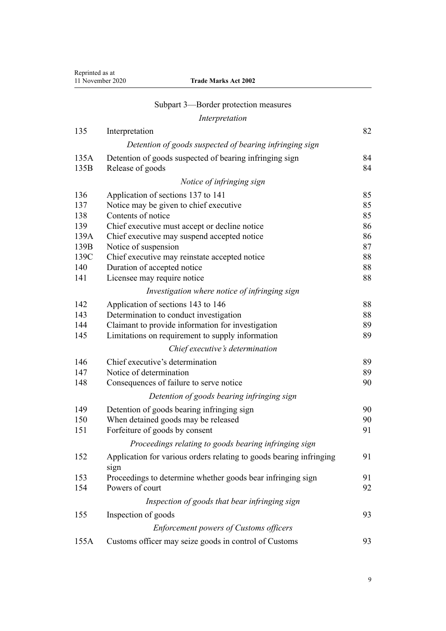| Reprinted as at  |
|------------------|
| 11 November 2020 |

| 11 November 2020 | <b>Trade Marks Act 2002</b> |
|------------------|-----------------------------|
|------------------|-----------------------------|

|                | Subpart 3—Border protection measures                                        |    |  |
|----------------|-----------------------------------------------------------------------------|----|--|
| Interpretation |                                                                             |    |  |
| 135            | Interpretation                                                              | 82 |  |
|                | Detention of goods suspected of bearing infringing sign                     |    |  |
| 135A           | Detention of goods suspected of bearing infringing sign                     | 84 |  |
| 135B           | Release of goods                                                            | 84 |  |
|                | Notice of infringing sign                                                   |    |  |
| 136            | Application of sections 137 to 141                                          | 85 |  |
| 137            | Notice may be given to chief executive                                      | 85 |  |
| 138            | Contents of notice                                                          | 85 |  |
| 139            | Chief executive must accept or decline notice                               | 86 |  |
| 139A           | Chief executive may suspend accepted notice                                 | 86 |  |
| 139B           | Notice of suspension                                                        | 87 |  |
| 139C           | Chief executive may reinstate accepted notice                               | 88 |  |
| 140            | Duration of accepted notice                                                 | 88 |  |
| 141            | Licensee may require notice                                                 | 88 |  |
|                | Investigation where notice of infringing sign                               |    |  |
| 142            | Application of sections 143 to 146                                          | 88 |  |
| 143            | Determination to conduct investigation                                      | 88 |  |
| 144            | Claimant to provide information for investigation                           | 89 |  |
| 145            | Limitations on requirement to supply information                            | 89 |  |
|                | Chief executive's determination                                             |    |  |
| 146            | Chief executive's determination                                             | 89 |  |
| 147            | Notice of determination                                                     | 89 |  |
| 148            | Consequences of failure to serve notice                                     | 90 |  |
|                | Detention of goods bearing infringing sign                                  |    |  |
| 149            | Detention of goods bearing infringing sign                                  | 90 |  |
| 150            | When detained goods may be released                                         | 90 |  |
| 151            | Forfeiture of goods by consent                                              | 91 |  |
|                | Proceedings relating to goods bearing infringing sign                       |    |  |
| 152            | Application for various orders relating to goods bearing infringing<br>sign | 91 |  |
| 153            | Proceedings to determine whether goods bear infringing sign                 | 91 |  |
| 154            | Powers of court                                                             | 92 |  |
|                | Inspection of goods that bear infringing sign                               |    |  |
| 155            | Inspection of goods                                                         | 93 |  |
|                | <b>Enforcement powers of Customs officers</b>                               |    |  |
| 155A           | Customs officer may seize goods in control of Customs                       | 93 |  |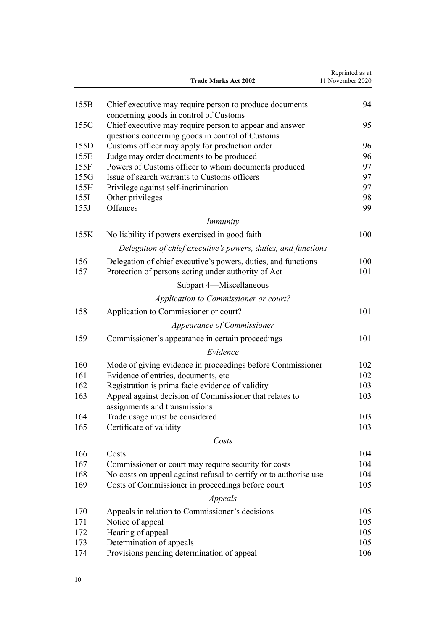|      | <b>Trade Marks Act 2002</b>                                                              | Reprinted as at<br>11 November 2020 |
|------|------------------------------------------------------------------------------------------|-------------------------------------|
| 155B | Chief executive may require person to produce documents                                  | 94                                  |
|      | concerning goods in control of Customs                                                   |                                     |
| 155C | Chief executive may require person to appear and answer                                  | 95                                  |
|      | questions concerning goods in control of Customs                                         |                                     |
| 155D | Customs officer may apply for production order                                           | 96                                  |
| 155E | Judge may order documents to be produced                                                 | 96                                  |
| 155F | Powers of Customs officer to whom documents produced                                     | 97                                  |
| 155G | Issue of search warrants to Customs officers                                             | 97                                  |
| 155H | Privilege against self-incrimination                                                     | 97                                  |
| 155I | Other privileges                                                                         | 98                                  |
| 155J | Offences                                                                                 | 99                                  |
|      | <i>Immunity</i>                                                                          |                                     |
| 155K | No liability if powers exercised in good faith                                           | 100                                 |
|      | Delegation of chief executive's powers, duties, and functions                            |                                     |
| 156  | Delegation of chief executive's powers, duties, and functions                            | 100                                 |
| 157  | Protection of persons acting under authority of Act                                      | 101                                 |
|      | Subpart 4—Miscellaneous                                                                  |                                     |
|      | Application to Commissioner or court?                                                    |                                     |
| 158  | Application to Commissioner or court?                                                    | 101                                 |
|      | Appearance of Commissioner                                                               |                                     |
| 159  | Commissioner's appearance in certain proceedings                                         | 101                                 |
|      | Evidence                                                                                 |                                     |
| 160  | Mode of giving evidence in proceedings before Commissioner                               | 102                                 |
| 161  | Evidence of entries, documents, etc.                                                     | 102                                 |
| 162  | Registration is prima facie evidence of validity                                         | 103                                 |
| 163  | Appeal against decision of Commissioner that relates to<br>assignments and transmissions | 103                                 |
| 164  | Trade usage must be considered                                                           | 103                                 |
| 165  | Certificate of validity                                                                  | 103                                 |
|      | Costs                                                                                    |                                     |
| 166  | Costs                                                                                    | 104                                 |
| 167  | Commissioner or court may require security for costs                                     | 104                                 |
| 168  | No costs on appeal against refusal to certify or to authorise use                        | 104                                 |
| 169  | Costs of Commissioner in proceedings before court                                        | 105                                 |
|      | Appeals                                                                                  |                                     |
|      |                                                                                          |                                     |
| 170  | Appeals in relation to Commissioner's decisions                                          | 105                                 |
| 171  | Notice of appeal                                                                         | 105                                 |
| 172  | Hearing of appeal                                                                        | 105                                 |
| 173  | Determination of appeals                                                                 | 105                                 |
| 174  | Provisions pending determination of appeal                                               | 106                                 |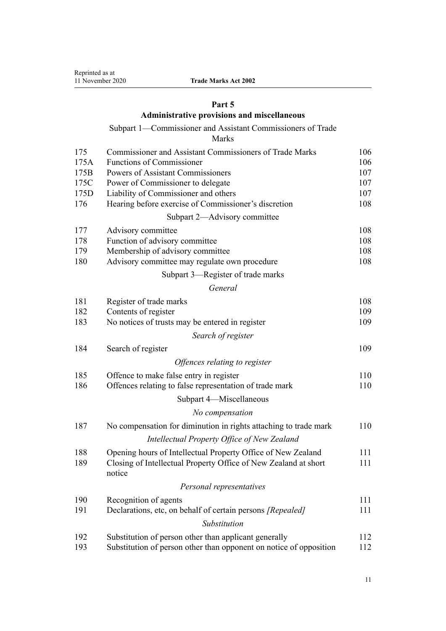## **[Part 5](#page-105-0)**

# **[Administrative provisions and miscellaneous](#page-105-0)**

# [Subpart 1—Commissioner and Assistant Commissioners of Trade](#page-105-0)

[Marks](#page-105-0)

| 175  | <b>Commissioner and Assistant Commissioners of Trade Marks</b>            | 106 |
|------|---------------------------------------------------------------------------|-----|
| 175A | <b>Functions of Commissioner</b>                                          | 106 |
| 175B | Powers of Assistant Commissioners                                         | 107 |
| 175C | Power of Commissioner to delegate                                         | 107 |
| 175D | Liability of Commissioner and others                                      | 107 |
| 176  | Hearing before exercise of Commissioner's discretion                      | 108 |
|      | Subpart 2—Advisory committee                                              |     |
| 177  | Advisory committee                                                        | 108 |
| 178  | Function of advisory committee                                            | 108 |
| 179  | Membership of advisory committee                                          | 108 |
| 180  | Advisory committee may regulate own procedure                             | 108 |
|      | Subpart 3—Register of trade marks                                         |     |
|      | General                                                                   |     |
| 181  | Register of trade marks                                                   | 108 |
| 182  | Contents of register                                                      | 109 |
| 183  | No notices of trusts may be entered in register                           | 109 |
|      | Search of register                                                        |     |
| 184  | Search of register                                                        | 109 |
|      | Offences relating to register                                             |     |
| 185  | Offence to make false entry in register                                   | 110 |
| 186  | Offences relating to false representation of trade mark                   | 110 |
|      | Subpart 4-Miscellaneous                                                   |     |
|      | No compensation                                                           |     |
| 187  | No compensation for diminution in rights attaching to trade mark          | 110 |
|      | Intellectual Property Office of New Zealand                               |     |
| 188  | Opening hours of Intellectual Property Office of New Zealand              | 111 |
| 189  | Closing of Intellectual Property Office of New Zealand at short<br>notice | 111 |
|      | Personal representatives                                                  |     |
| 190  | Recognition of agents                                                     | 111 |
| 191  | Declarations, etc, on behalf of certain persons [Repealed]                | 111 |
|      | Substitution                                                              |     |
| 192  | Substitution of person other than applicant generally                     | 112 |
| 193  | Substitution of person other than opponent on notice of opposition        | 112 |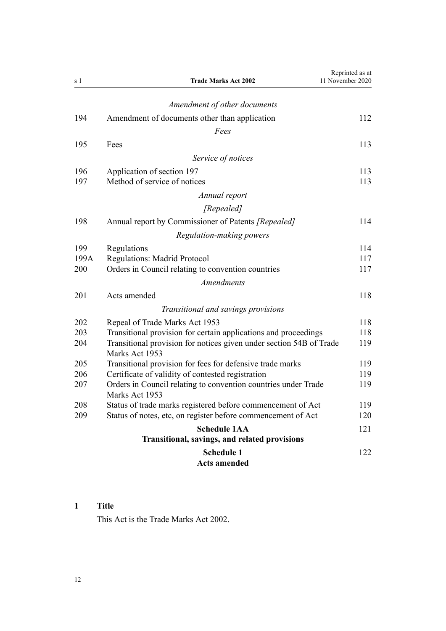<span id="page-11-0"></span>

| s <sub>1</sub> | <b>Trade Marks Act 2002</b>                                                           | Reprinted as at<br>11 November 2020 |
|----------------|---------------------------------------------------------------------------------------|-------------------------------------|
|                | Amendment of other documents                                                          |                                     |
| 194            | Amendment of documents other than application                                         | 112                                 |
|                | Fees                                                                                  |                                     |
|                |                                                                                       |                                     |
| 195            | Fees                                                                                  | 113                                 |
|                | Service of notices                                                                    |                                     |
| 196            | Application of section 197                                                            | 113                                 |
| 197            | Method of service of notices                                                          | 113                                 |
|                | Annual report                                                                         |                                     |
|                | [Repealed]                                                                            |                                     |
| 198            | Annual report by Commissioner of Patents [Repealed]                                   | 114                                 |
|                | Regulation-making powers                                                              |                                     |
| 199            | Regulations                                                                           | 114                                 |
| 199A           | <b>Regulations: Madrid Protocol</b>                                                   | 117                                 |
| 200            | Orders in Council relating to convention countries                                    | 117                                 |
|                | <b>Amendments</b>                                                                     |                                     |
| 201            | Acts amended                                                                          | 118                                 |
|                | Transitional and savings provisions                                                   |                                     |
| 202            | Repeal of Trade Marks Act 1953                                                        | 118                                 |
| 203            | Transitional provision for certain applications and proceedings                       | 118                                 |
| 204            | Transitional provision for notices given under section 54B of Trade<br>Marks Act 1953 | 119                                 |
| 205            | Transitional provision for fees for defensive trade marks                             | 119                                 |
| 206            | Certificate of validity of contested registration                                     | 119                                 |
| 207            | Orders in Council relating to convention countries under Trade<br>Marks Act 1953      | 119                                 |
| 208            | Status of trade marks registered before commencement of Act                           | 119                                 |
| 209            | Status of notes, etc, on register before commencement of Act                          | 120                                 |
|                | <b>Schedule 1AA</b><br>Transitional, savings, and related provisions                  | 121                                 |
|                | <b>Schedule 1</b><br><b>Acts amended</b>                                              | 122                                 |

# **1 Title**

This Act is the Trade Marks Act 2002.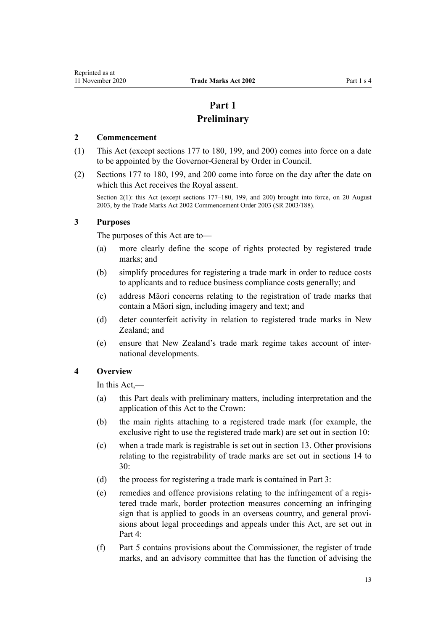# **Part 1 Preliminary**

#### <span id="page-12-0"></span>**2 Commencement**

- (1) This Act (except [sections 177 to 180,](#page-107-0) [199](#page-113-0), and [200](#page-116-0)) comes into force on a date to be appointed by the Governor-General by Order in Council.
- (2) [Sections 177 to 180,](#page-107-0) [199](#page-113-0), and [200](#page-116-0) come into force on the day after the date on which this Act receives the Royal assent.

Section 2(1): this Act (except sections 177–180, 199, and 200) brought into force, on 20 August 2003, by the Trade Marks Act 2002 Commencement Order 2003 (SR 2003/188).

## **3 Purposes**

The purposes of this Act are to—

- (a) more clearly define the scope of rights protected by registered trade marks; and
- (b) simplify procedures for registering a trade mark in order to reduce costs to applicants and to reduce business compliance costs generally; and
- (c) address Māori concerns relating to the registration of trade marks that contain a Māori sign, including imagery and text; and
- (d) deter counterfeit activity in relation to registered trade marks in New Zealand: and
- (e) ensure that New Zealand's trade mark regime takes account of international developments.

## **4 Overview**

In this Act,—

- (a) this Part deals with preliminary matters, including interpretation and the application of this Act to the Crown:
- (b) the main rights attaching to a registered trade mark (for example, the exclusive right to use the registered trade mark) are set out in [section 10](#page-21-0):
- (c) when a trade mark is registrable is set out in [section 13](#page-22-0). Other provisions relating to the registrability of trade marks are set out in [sections 14 to](#page-23-0) [30:](#page-23-0)
- (d) the process for registering a trade mark is contained in [Part 3](#page-30-0):
- (e) remedies and offence provisions relating to the infringement of a registered trade mark, border protection measures concerning an infringing sign that is applied to goods in an overseas country, and general provisions about legal proceedings and appeals under this Act, are set out in [Part 4](#page-48-0):
- (f) [Part 5](#page-105-0) contains provisions about the Commissioner, the register of trade marks, and an advisory committee that has the function of advising the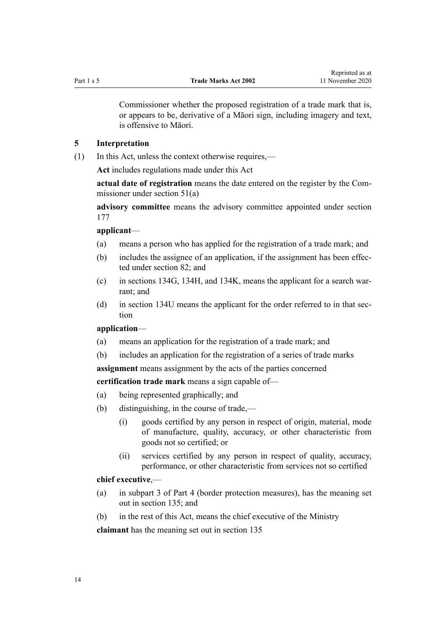<span id="page-13-0"></span>

Commissioner whether the proposed registration of a trade mark that is, or appears to be, derivative of a Māori sign, including imagery and text, is offensive to Māori.

#### **5 Interpretation**

(1) In this Act, unless the context otherwise requires,—

**Act** includes regulations made under this Act

**actual date of registration** means the date entered on the register by the Commissioner under [section 51\(a\)](#page-35-0)

**advisory committee** means the advisory committee appointed under [section](#page-107-0) [177](#page-107-0)

#### **applicant**—

- (a) means a person who has applied for the registration of a trade mark; and
- (b) includes the assignee of an application, if the assignment has been effected under [section 82](#page-46-0); and
- (c) in [sections 134G,](#page-66-0) [134H,](#page-67-0) and [134K,](#page-69-0) means the applicant for a search warrant; and
- (d) in [section 134U](#page-76-0) means the applicant for the order referred to in that section

## **application**—

- (a) means an application for the registration of a trade mark; and
- (b) includes an application for the registration of a series of trade marks

**assignment** means assignment by the acts of the parties concerned

**certification trade mark** means a sign capable of—

- (a) being represented graphically; and
- (b) distinguishing, in the course of trade,—
	- (i) goods certified by any person in respect of origin, material, mode of manufacture, quality, accuracy, or other characteristic from goods not so certified; or
	- (ii) services certified by any person in respect of quality, accuracy, performance, or other characteristic from services not so certified

## **chief executive**,—

- (a) in [subpart 3](#page-81-0) of Part 4 (border protection measures), has the meaning set out in [section 135](#page-81-0); and
- (b) in the rest of this Act, means the chief executive of the Ministry

**claimant** has the meaning set out in [section 135](#page-81-0)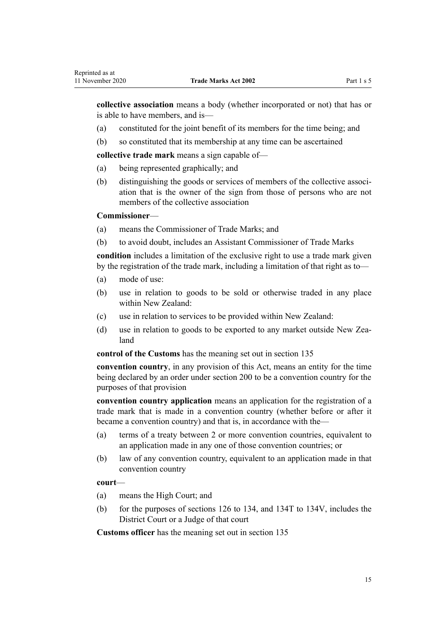**collective association** means a body (whether incorporated or not) that has or is able to have members, and is—

- (a) constituted for the joint benefit of its members for the time being; and
- (b) so constituted that its membership at any time can be ascertained

**collective trade mark** means a sign capable of—

- (a) being represented graphically; and
- (b) distinguishing the goods or services of members of the collective association that is the owner of the sign from those of persons who are not members of the collective association

## **Commissioner**—

Reprinted as at

- (a) means the Commissioner of Trade Marks; and
- (b) to avoid doubt, includes an Assistant Commissioner of Trade Marks

**condition** includes a limitation of the exclusive right to use a trade mark given by the registration of the trade mark, including a limitation of that right as to—

- (a) mode of use:
- (b) use in relation to goods to be sold or otherwise traded in any place within New Zealand:
- (c) use in relation to services to be provided within New Zealand:
- (d) use in relation to goods to be exported to any market outside New Zealand

**control of the Customs** has the meaning set out in [section 135](#page-81-0)

**convention country**, in any provision of this Act, means an entity for the time being declared by an order under [section 200](#page-116-0) to be a convention country for the purposes of that provision

**convention country application** means an application for the registration of a trade mark that is made in a convention country (whether before or after it became a convention country) and that is, in accordance with the—

- (a) terms of a treaty between 2 or more convention countries, equivalent to an application made in any one of those convention countries; or
- (b) law of any convention country, equivalent to an application made in that convention country

## **court**—

- (a) means the High Court; and
- (b) for the purposes of [sections 126 to 134,](#page-61-0) and [134T to 134V,](#page-75-0) includes the District Court or a Judge of that court

**Customs officer** has the meaning set out in [section 135](#page-81-0)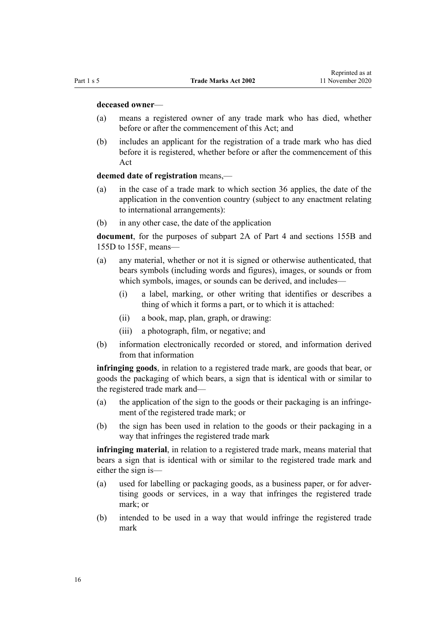#### **deceased owner**—

- (a) means a registered owner of any trade mark who has died, whether before or after the commencement of this Act: and
- (b) includes an applicant for the registration of a trade mark who has died before it is registered, whether before or after the commencement of this Act

## **deemed date of registration** means,—

- (a) in the case of a trade mark to which [section 36](#page-32-0) applies, the date of the application in the convention country (subject to any enactment relating to international arrangements):
- (b) in any other case, the date of the application

**document**, for the purposes of [subpart 2A](#page-63-0) of Part 4 and [sections 155B](#page-93-0) and [155D to 155F](#page-95-0), means—

- (a) any material, whether or not it is signed or otherwise authenticated, that bears symbols (including words and figures), images, or sounds or from which symbols, images, or sounds can be derived, and includes—
	- (i) a label, marking, or other writing that identifies or describes a thing of which it forms a part, or to which it is attached:
	- (ii) a book, map, plan, graph, or drawing:
	- (iii) a photograph, film, or negative; and
- (b) information electronically recorded or stored, and information derived from that information

**infringing goods**, in relation to a registered trade mark, are goods that bear, or goods the packaging of which bears, a sign that is identical with or similar to the registered trade mark and—

- (a) the application of the sign to the goods or their packaging is an infringement of the registered trade mark; or
- (b) the sign has been used in relation to the goods or their packaging in a way that infringes the registered trade mark

**infringing material**, in relation to a registered trade mark, means material that bears a sign that is identical with or similar to the registered trade mark and either the sign is—

- (a) used for labelling or packaging goods, as a business paper, or for advertising goods or services, in a way that infringes the registered trade mark; or
- (b) intended to be used in a way that would infringe the registered trade mark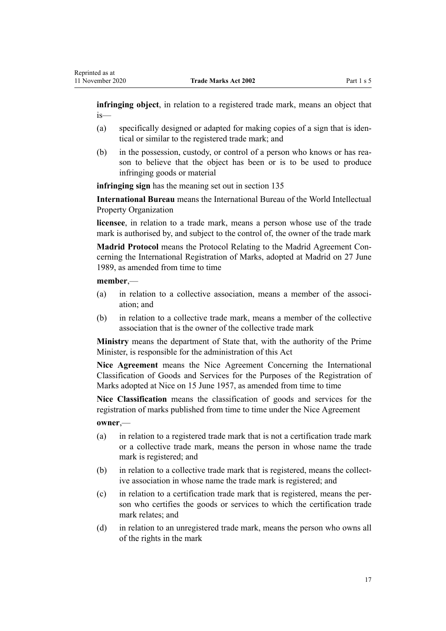**infringing object**, in relation to a registered trade mark, means an object that is—

- (a) specifically designed or adapted for making copies of a sign that is identical or similar to the registered trade mark; and
- (b) in the possession, custody, or control of a person who knows or has reason to believe that the object has been or is to be used to produce infringing goods or material

**infringing sign** has the meaning set out in [section 135](#page-81-0)

**International Bureau** means the International Bureau of the World Intellectual Property Organization

**licensee**, in relation to a trade mark, means a person whose use of the trade mark is authorised by, and subject to the control of, the owner of the trade mark

**Madrid Protocol** means the Protocol Relating to the Madrid Agreement Concerning the International Registration of Marks, adopted at Madrid on 27 June 1989, as amended from time to time

**member**,—

- (a) in relation to a collective association, means a member of the association; and
- (b) in relation to a collective trade mark, means a member of the collective association that is the owner of the collective trade mark

**Ministry** means the department of State that, with the authority of the Prime Minister, is responsible for the administration of this Act

**Nice Agreement** means the Nice Agreement Concerning the International Classification of Goods and Services for the Purposes of the Registration of Marks adopted at Nice on 15 June 1957, as amended from time to time

**Nice Classification** means the classification of goods and services for the registration of marks published from time to time under the Nice Agreement

**owner**,—

- (a) in relation to a registered trade mark that is not a certification trade mark or a collective trade mark, means the person in whose name the trade mark is registered; and
- (b) in relation to a collective trade mark that is registered, means the collective association in whose name the trade mark is registered; and
- (c) in relation to a certification trade mark that is registered, means the person who certifies the goods or services to which the certification trade mark relates; and
- (d) in relation to an unregistered trade mark, means the person who owns all of the rights in the mark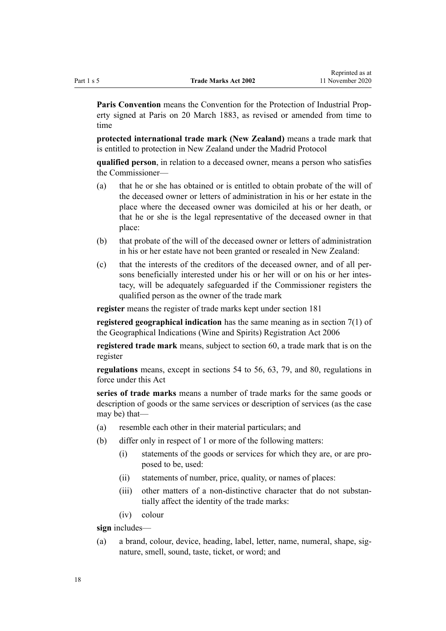**Paris Convention** means the Convention for the Protection of Industrial Property signed at Paris on 20 March 1883, as revised or amended from time to time

**protected international trade mark (New Zealand)** means a trade mark that is entitled to protection in New Zealand under the Madrid Protocol

**qualified person**, in relation to a deceased owner, means a person who satisfies the Commissioner—

- (a) that he or she has obtained or is entitled to obtain probate of the will of the deceased owner or letters of administration in his or her estate in the place where the deceased owner was domiciled at his or her death, or that he or she is the legal representative of the deceased owner in that place:
- (b) that probate of the will of the deceased owner or letters of administration in his or her estate have not been granted or resealed in New Zealand:
- (c) that the interests of the creditors of the deceased owner, and of all persons beneficially interested under his or her will or on his or her intestacy, will be adequately safeguarded if the Commissioner registers the qualified person as the owner of the trade mark

**register** means the register of trade marks kept under [section 181](#page-107-0)

**registered geographical indication** has the same meaning as in [section 7\(1\)](http://legislation.govt.nz/pdflink.aspx?id=DLM390819) of the Geographical Indications (Wine and Spirits) Registration Act 2006

**registered trade mark** means, subject to [section 60,](#page-39-0) a trade mark that is on the register

**regulations** means, except in [sections 54 to 56,](#page-36-0) [63,](#page-40-0) [79](#page-45-0), and [80,](#page-46-0) regulations in force under this Act

**series of trade marks** means a number of trade marks for the same goods or description of goods or the same services or description of services (as the case may be) that—

- (a) resemble each other in their material particulars; and
- (b) differ only in respect of 1 or more of the following matters:
	- (i) statements of the goods or services for which they are, or are proposed to be, used:
	- (ii) statements of number, price, quality, or names of places:
	- (iii) other matters of a non-distinctive character that do not substantially affect the identity of the trade marks:
	- (iv) colour

**sign** includes—

(a) a brand, colour, device, heading, label, letter, name, numeral, shape, signature, smell, sound, taste, ticket, or word; and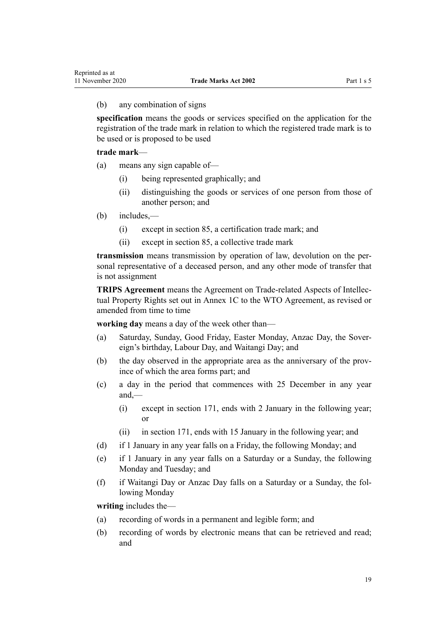#### (b) any combination of signs

**specification** means the goods or services specified on the application for the registration of the trade mark in relation to which the registered trade mark is to be used or is proposed to be used

## **trade mark**—

- (a) means any sign capable of—
	- (i) being represented graphically; and
	- (ii) distinguishing the goods or services of one person from those of another person; and
- (b) includes,—
	- (i) except in [section 85,](#page-47-0) a certification trade mark; and
	- (ii) except in [section 85,](#page-47-0) a collective trade mark

**transmission** means transmission by operation of law, devolution on the personal representative of a deceased person, and any other mode of transfer that is not assignment

**TRIPS Agreement** means the Agreement on Trade-related Aspects of Intellectual Property Rights set out in Annex 1C to the WTO Agreement, as revised or amended from time to time

**working day** means a day of the week other than—

- (a) Saturday, Sunday, Good Friday, Easter Monday, Anzac Day, the Sovereign's birthday, Labour Day, and Waitangi Day; and
- (b) the day observed in the appropriate area as the anniversary of the province of which the area forms part; and
- (c) a day in the period that commences with 25 December in any year and,—
	- (i) except in [section 171](#page-104-0), ends with 2 January in the following year; or
	- (ii) in [section 171,](#page-104-0) ends with 15 January in the following year; and
- (d) if 1 January in any year falls on a Friday, the following Monday; and
- (e) if 1 January in any year falls on a Saturday or a Sunday, the following Monday and Tuesday; and
- (f) if Waitangi Day or Anzac Day falls on a Saturday or a Sunday, the following Monday

**writing** includes the—

- (a) recording of words in a permanent and legible form; and
- (b) recording of words by electronic means that can be retrieved and read; and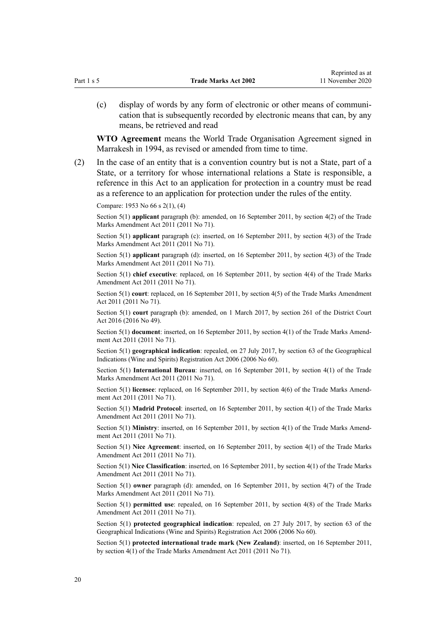(c) display of words by any form of electronic or other means of communication that is subsequently recorded by electronic means that can, by any means, be retrieved and read

**WTO Agreement** means the World Trade Organisation Agreement signed in Marrakesh in 1994, as revised or amended from time to time.

(2) In the case of an entity that is a convention country but is not a State, part of a State, or a territory for whose international relations a State is responsible, a reference in this Act to an application for protection in a country must be read as a reference to an application for protection under the rules of the entity.

Compare: 1953 No 66 s 2(1), (4)

Section 5(1) **applicant** paragraph (b): amended, on 16 September 2011, by [section 4\(2\)](http://legislation.govt.nz/pdflink.aspx?id=DLM2290008) of the Trade Marks Amendment Act 2011 (2011 No 71).

Section 5(1) **applicant** paragraph (c): inserted, on 16 September 2011, by [section 4\(3\)](http://legislation.govt.nz/pdflink.aspx?id=DLM2290008) of the Trade Marks Amendment Act 2011 (2011 No 71).

Section 5(1) **applicant** paragraph (d): inserted, on 16 September 2011, by [section 4\(3\)](http://legislation.govt.nz/pdflink.aspx?id=DLM2290008) of the Trade Marks Amendment Act 2011 (2011 No 71).

Section 5(1) **chief executive**: replaced, on 16 September 2011, by [section 4\(4\)](http://legislation.govt.nz/pdflink.aspx?id=DLM2290008) of the Trade Marks Amendment Act 2011 (2011 No 71).

Section 5(1) **court**: replaced, on 16 September 2011, by [section 4\(5\)](http://legislation.govt.nz/pdflink.aspx?id=DLM2290008) of the Trade Marks Amendment Act 2011 (2011 No 71).

Section 5(1) **court** paragraph (b): amended, on 1 March 2017, by [section 261](http://legislation.govt.nz/pdflink.aspx?id=DLM6942680) of the District Court Act 2016 (2016 No 49).

Section 5(1) **document**: inserted, on 16 September 2011, by [section 4\(1\)](http://legislation.govt.nz/pdflink.aspx?id=DLM2290008) of the Trade Marks Amendment Act 2011 (2011 No 71).

Section 5(1) **geographical indication**: repealed, on 27 July 2017, by [section 63](http://legislation.govt.nz/pdflink.aspx?id=DLM390893) of the Geographical Indications (Wine and Spirits) Registration Act 2006 (2006 No 60).

Section 5(1) **International Bureau**: inserted, on 16 September 2011, by [section 4\(1\)](http://legislation.govt.nz/pdflink.aspx?id=DLM2290008) of the Trade Marks Amendment Act 2011 (2011 No 71).

Section 5(1) **licensee**: replaced, on 16 September 2011, by [section 4\(6\)](http://legislation.govt.nz/pdflink.aspx?id=DLM2290008) of the Trade Marks Amendment Act 2011 (2011 No 71).

Section 5(1) **Madrid Protocol**: inserted, on 16 September 2011, by [section 4\(1\)](http://legislation.govt.nz/pdflink.aspx?id=DLM2290008) of the Trade Marks Amendment Act 2011 (2011 No 71).

Section 5(1) **Ministry**: inserted, on 16 September 2011, by [section 4\(1\)](http://legislation.govt.nz/pdflink.aspx?id=DLM2290008) of the Trade Marks Amendment Act 2011 (2011 No 71).

Section 5(1) **Nice Agreement**: inserted, on 16 September 2011, by [section 4\(1\)](http://legislation.govt.nz/pdflink.aspx?id=DLM2290008) of the Trade Marks Amendment Act 2011 (2011 No 71).

Section 5(1) **Nice Classification**: inserted, on 16 September 2011, by [section 4\(1\)](http://legislation.govt.nz/pdflink.aspx?id=DLM2290008) of the Trade Marks Amendment Act 2011 (2011 No 71).

Section 5(1) **owner** paragraph (d): amended, on 16 September 2011, by [section 4\(7\)](http://legislation.govt.nz/pdflink.aspx?id=DLM2290008) of the Trade Marks Amendment Act 2011 (2011 No 71).

Section 5(1) **permitted use**: repealed, on 16 September 2011, by [section 4\(8\)](http://legislation.govt.nz/pdflink.aspx?id=DLM2290008) of the Trade Marks Amendment Act 2011 (2011 No 71).

Section 5(1) **protected geographical indication**: repealed, on 27 July 2017, by [section 63](http://legislation.govt.nz/pdflink.aspx?id=DLM390893) of the Geographical Indications (Wine and Spirits) Registration Act 2006 (2006 No 60).

Section 5(1) **protected international trade mark (New Zealand)**: inserted, on 16 September 2011, by [section 4\(1\)](http://legislation.govt.nz/pdflink.aspx?id=DLM2290008) of the Trade Marks Amendment Act 2011 (2011 No 71).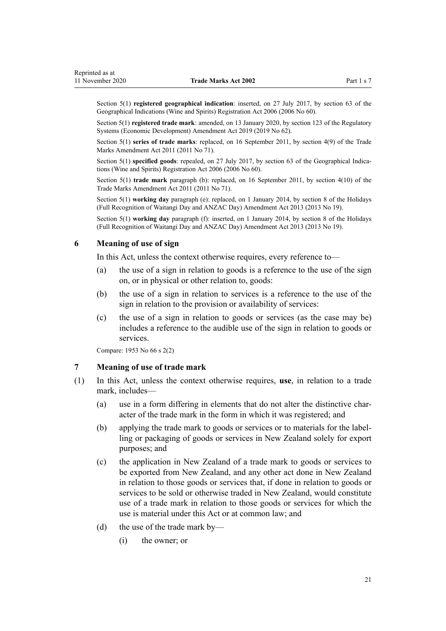<span id="page-20-0"></span>Section 5(1) **registered geographical indication**: inserted, on 27 July 2017, by [section 63](http://legislation.govt.nz/pdflink.aspx?id=DLM390893) of the Geographical Indications (Wine and Spirits) Registration Act 2006 (2006 No 60).

Section 5(1) **registered trade mark**: amended, on 13 January 2020, by [section 123](http://legislation.govt.nz/pdflink.aspx?id=LMS85747) of the Regulatory Systems (Economic Development) Amendment Act 2019 (2019 No 62).

Section 5(1) series of trade marks: replaced, on 16 September 2011, by [section 4\(9\)](http://legislation.govt.nz/pdflink.aspx?id=DLM2290008) of the Trade Marks Amendment Act 2011 (2011 No 71).

Section 5(1) **specified goods**: repealed, on 27 July 2017, by [section 63](http://legislation.govt.nz/pdflink.aspx?id=DLM390893) of the Geographical Indications (Wine and Spirits) Registration Act 2006 (2006 No 60).

Section 5(1) **trade mark** paragraph (b): replaced, on 16 September 2011, by [section 4\(10\)](http://legislation.govt.nz/pdflink.aspx?id=DLM2290008) of the Trade Marks Amendment Act 2011 (2011 No 71).

Section 5(1) **working day** paragraph (e): replaced, on 1 January 2014, by [section 8](http://legislation.govt.nz/pdflink.aspx?id=DLM4929207) of the Holidays (Full Recognition of Waitangi Day and ANZAC Day) Amendment Act 2013 (2013 No 19).

Section 5(1) **working day** paragraph (f): inserted, on 1 January 2014, by [section 8](http://legislation.govt.nz/pdflink.aspx?id=DLM4929207) of the Holidays (Full Recognition of Waitangi Day and ANZAC Day) Amendment Act 2013 (2013 No 19).

## **6 Meaning of use of sign**

In this Act, unless the context otherwise requires, every reference to—

- (a) the use of a sign in relation to goods is a reference to the use of the sign on, or in physical or other relation to, goods:
- (b) the use of a sign in relation to services is a reference to the use of the sign in relation to the provision or availability of services:
- (c) the use of a sign in relation to goods or services (as the case may be) includes a reference to the audible use of the sign in relation to goods or services.

Compare: 1953 No 66 s 2(2)

### **7 Meaning of use of trade mark**

- (1) In this Act, unless the context otherwise requires, **use**, in relation to a trade mark, includes—
	- (a) use in a form differing in elements that do not alter the distinctive character of the trade mark in the form in which it was registered; and
	- (b) applying the trade mark to goods or services or to materials for the labelling or packaging of goods or services in New Zealand solely for export purposes; and
	- (c) the application in New Zealand of a trade mark to goods or services to be exported from New Zealand, and any other act done in New Zealand in relation to those goods or services that, if done in relation to goods or services to be sold or otherwise traded in New Zealand, would constitute use of a trade mark in relation to those goods or services for which the use is material under this Act or at common law; and
	- (d) the use of the trade mark by—
		- (i) the owner; or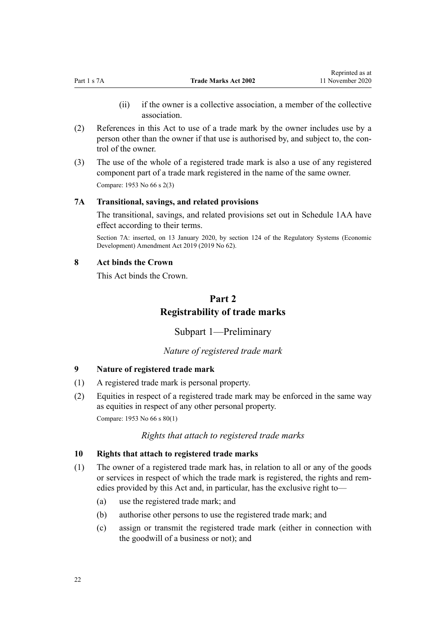- (ii) if the owner is a collective association, a member of the collective association.
- <span id="page-21-0"></span>(2) References in this Act to use of a trade mark by the owner includes use by a person other than the owner if that use is authorised by, and subject to, the control of the owner.
- (3) The use of the whole of a registered trade mark is also a use of any registered component part of a trade mark registered in the name of the same owner. Compare: 1953 No 66 s 2(3)

## **7A Transitional, savings, and related provisions**

The transitional, savings, and related provisions set out in [Schedule 1AA](#page-120-0) have effect according to their terms.

Section 7A: inserted, on 13 January 2020, by [section 124](http://legislation.govt.nz/pdflink.aspx?id=LMS85749) of the Regulatory Systems (Economic Development) Amendment Act 2019 (2019 No 62).

## **8 Act binds the Crown**

This Act binds the Crown.

# **Part 2 Registrability of trade marks**

Subpart 1—Preliminary

## *Nature of registered trade mark*

#### **9 Nature of registered trade mark**

- (1) A registered trade mark is personal property.
- (2) Equities in respect of a registered trade mark may be enforced in the same way as equities in respect of any other personal property. Compare: 1953 No 66 s 80(1)

## *Rights that attach to registered trade marks*

#### **10 Rights that attach to registered trade marks**

- (1) The owner of a registered trade mark has, in relation to all or any of the goods or services in respect of which the trade mark is registered, the rights and remedies provided by this Act and, in particular, has the exclusive right to—
	- (a) use the registered trade mark; and
	- (b) authorise other persons to use the registered trade mark; and
	- (c) assign or transmit the registered trade mark (either in connection with the goodwill of a business or not); and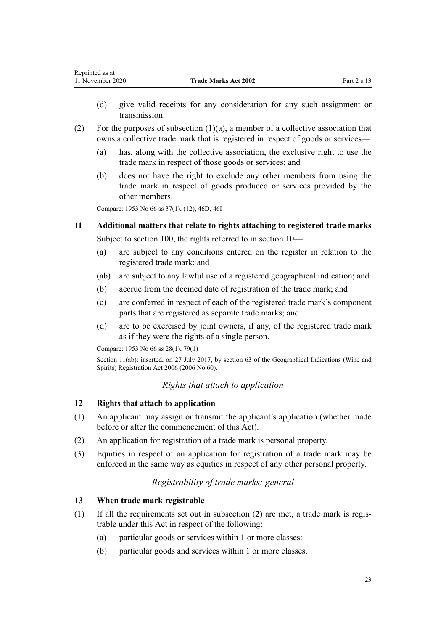- <span id="page-22-0"></span>(d) give valid receipts for any consideration for any such assignment or transmission.
- (2) For the purposes of subsection (1)(a), a member of a collective association that owns a collective trade mark that is registered in respect of goods or services—
	- (a) has, along with the collective association, the exclusive right to use the trade mark in respect of those goods or services; and
	- (b) does not have the right to exclude any other members from using the trade mark in respect of goods produced or services provided by the other members.

Compare: 1953 No 66 ss 37(1), (12), 46D, 46I

# **11 Additional matters that relate to rights attaching to registered trade marks** Subject to [section 100](#page-53-0), the rights referred to in [section 10—](#page-21-0)

- (a) are subject to any conditions entered on the register in relation to the registered trade mark; and
- (ab) are subject to any lawful use of a registered geographical indication; and
- (b) accrue from the deemed date of registration of the trade mark; and
- (c) are conferred in respect of each of the registered trade mark's component parts that are registered as separate trade marks; and
- (d) are to be exercised by joint owners, if any, of the registered trade mark as if they were the rights of a single person.

Compare: 1953 No 66 ss 28(1), 79(1)

Section 11(ab): inserted, on 27 July 2017, by [section 63](http://legislation.govt.nz/pdflink.aspx?id=DLM390893) of the Geographical Indications (Wine and Spirits) Registration Act 2006 (2006 No 60).

## *Rights that attach to application*

## **12 Rights that attach to application**

- (1) An applicant may assign or transmit the applicant's application (whether made before or after the commencement of this Act).
- (2) An application for registration of a trade mark is personal property.
- (3) Equities in respect of an application for registration of a trade mark may be enforced in the same way as equities in respect of any other personal property.

## *Registrability of trade marks: general*

## **13 When trade mark registrable**

- (1) If all the requirements set out in subsection (2) are met, a trade mark is registrable under this Act in respect of the following:
	- (a) particular goods or services within 1 or more classes:
	- (b) particular goods and services within 1 or more classes.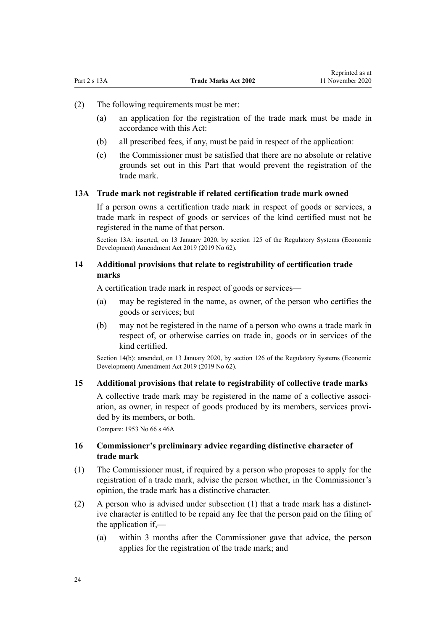- <span id="page-23-0"></span>(2) The following requirements must be met:
	- (a) an application for the registration of the trade mark must be made in accordance with this Act:
	- (b) all prescribed fees, if any, must be paid in respect of the application:
	- (c) the Commissioner must be satisfied that there are no absolute or relative grounds set out in this Part that would prevent the registration of the trade mark.

## **13A Trade mark not registrable if related certification trade mark owned**

If a person owns a certification trade mark in respect of goods or services, a trade mark in respect of goods or services of the kind certified must not be registered in the name of that person.

Section 13A: inserted, on 13 January 2020, by [section 125](http://legislation.govt.nz/pdflink.aspx?id=LMS85751) of the Regulatory Systems (Economic Development) Amendment Act 2019 (2019 No 62).

## **14 Additional provisions that relate to registrability of certification trade marks**

A certification trade mark in respect of goods or services—

- (a) may be registered in the name, as owner, of the person who certifies the goods or services; but
- (b) may not be registered in the name of a person who owns a trade mark in respect of, or otherwise carries on trade in, goods or in services of the kind certified.

Section 14(b): amended, on 13 January 2020, by [section 126](http://legislation.govt.nz/pdflink.aspx?id=LMS85752) of the Regulatory Systems (Economic Development) Amendment Act 2019 (2019 No 62).

## **15 Additional provisions that relate to registrability of collective trade marks**

A collective trade mark may be registered in the name of a collective association, as owner, in respect of goods produced by its members, services provided by its members, or both.

Compare: 1953 No 66 s 46A

## **16 Commissioner's preliminary advice regarding distinctive character of trade mark**

- (1) The Commissioner must, if required by a person who proposes to apply for the registration of a trade mark, advise the person whether, in the Commissioner's opinion, the trade mark has a distinctive character.
- (2) A person who is advised under subsection (1) that a trade mark has a distinctive character is entitled to be repaid any fee that the person paid on the filing of the application if,—
	- (a) within 3 months after the Commissioner gave that advice, the person applies for the registration of the trade mark; and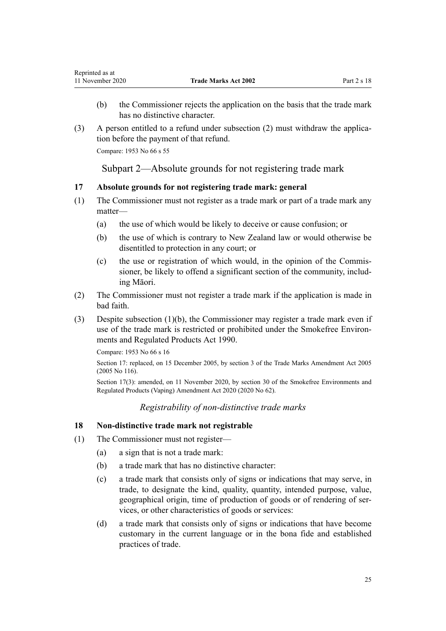- <span id="page-24-0"></span>(b) the Commissioner rejects the application on the basis that the trade mark has no distinctive character.
- (3) A person entitled to a refund under subsection (2) must withdraw the application before the payment of that refund.

Compare: 1953 No 66 s 55

Subpart 2—Absolute grounds for not registering trade mark

## **17 Absolute grounds for not registering trade mark: general**

- (1) The Commissioner must not register as a trade mark or part of a trade mark any matter—
	- (a) the use of which would be likely to deceive or cause confusion; or
	- (b) the use of which is contrary to New Zealand law or would otherwise be disentitled to protection in any court; or
	- (c) the use or registration of which would, in the opinion of the Commissioner, be likely to offend a significant section of the community, including Māori.
- (2) The Commissioner must not register a trade mark if the application is made in bad faith.
- (3) Despite subsection (1)(b), the Commissioner may register a trade mark even if use of the trade mark is restricted or prohibited under the [Smokefree Environ](http://legislation.govt.nz/pdflink.aspx?id=DLM223190)[ments and Regulated Products Act 1990](http://legislation.govt.nz/pdflink.aspx?id=DLM223190).

Compare: 1953 No 66 s 16

Section 17: replaced, on 15 December 2005, by [section 3](http://legislation.govt.nz/pdflink.aspx?id=DLM362636) of the Trade Marks Amendment Act 2005 (2005 No 116).

Section 17(3): amended, on 11 November 2020, by [section 30](http://legislation.govt.nz/pdflink.aspx?id=LMS314081) of the Smokefree Environments and Regulated Products (Vaping) Amendment Act 2020 (2020 No 62).

## *Registrability of non-distinctive trade marks*

## **18 Non-distinctive trade mark not registrable**

- (1) The Commissioner must not register—
	- (a) a sign that is not a trade mark:
	- (b) a trade mark that has no distinctive character:
	- (c) a trade mark that consists only of signs or indications that may serve, in trade, to designate the kind, quality, quantity, intended purpose, value, geographical origin, time of production of goods or of rendering of services, or other characteristics of goods or services:
	- (d) a trade mark that consists only of signs or indications that have become customary in the current language or in the bona fide and established practices of trade.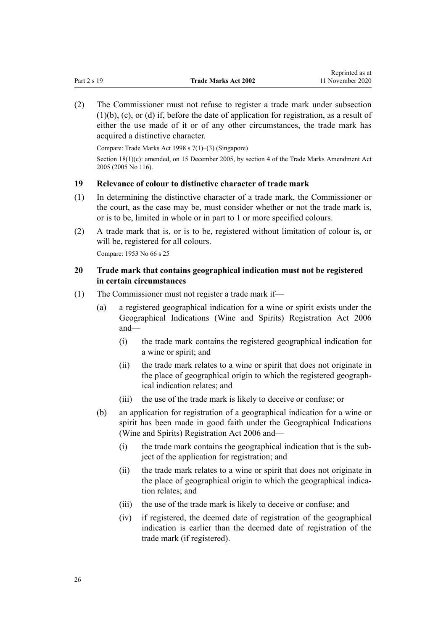<span id="page-25-0"></span>(2) The Commissioner must not refuse to register a trade mark under subsection  $(1)(b)$ ,  $(c)$ , or  $(d)$  if, before the date of application for registration, as a result of either the use made of it or of any other circumstances, the trade mark has acquired a distinctive character.

Compare: Trade Marks Act 1998 s 7(1)–(3) (Singapore)

Section 18(1)(c): amended, on 15 December 2005, by [section 4](http://legislation.govt.nz/pdflink.aspx?id=DLM362638) of the Trade Marks Amendment Act 2005 (2005 No 116).

## **19 Relevance of colour to distinctive character of trade mark**

- (1) In determining the distinctive character of a trade mark, the Commissioner or the court, as the case may be, must consider whether or not the trade mark is, or is to be, limited in whole or in part to 1 or more specified colours.
- (2) A trade mark that is, or is to be, registered without limitation of colour is, or will be, registered for all colours.

Compare: 1953 No 66 s 25

## **20 Trade mark that contains geographical indication must not be registered in certain circumstances**

- (1) The Commissioner must not register a trade mark if—
	- (a) a registered geographical indication for a wine or spirit exists under the [Geographical Indications \(Wine and Spirits\) Registration Act 2006](http://legislation.govt.nz/pdflink.aspx?id=DLM390755) and—
		- (i) the trade mark contains the registered geographical indication for a wine or spirit; and
		- (ii) the trade mark relates to a wine or spirit that does not originate in the place of geographical origin to which the registered geographical indication relates; and
		- (iii) the use of the trade mark is likely to deceive or confuse; or
	- (b) an application for registration of a geographical indication for a wine or spirit has been made in good faith under the [Geographical Indications](http://legislation.govt.nz/pdflink.aspx?id=DLM390755) [\(Wine and Spirits\) Registration Act 2006](http://legislation.govt.nz/pdflink.aspx?id=DLM390755) and—
		- (i) the trade mark contains the geographical indication that is the subject of the application for registration; and
		- (ii) the trade mark relates to a wine or spirit that does not originate in the place of geographical origin to which the geographical indication relates; and
		- (iii) the use of the trade mark is likely to deceive or confuse; and
		- (iv) if registered, the deemed date of registration of the geographical indication is earlier than the deemed date of registration of the trade mark (if registered).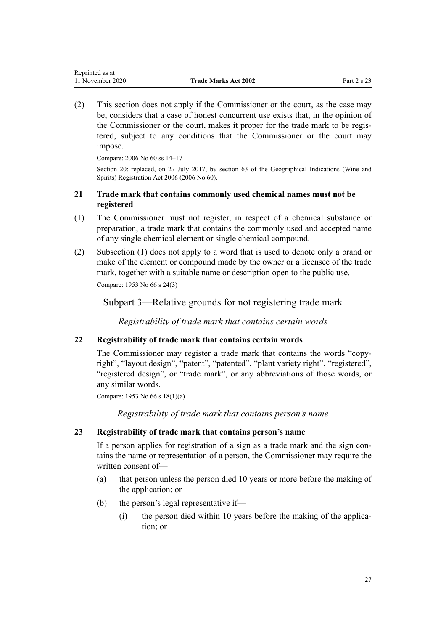<span id="page-26-0"></span>(2) This section does not apply if the Commissioner or the court, as the case may be, considers that a case of honest concurrent use exists that, in the opinion of the Commissioner or the court, makes it proper for the trade mark to be registered, subject to any conditions that the Commissioner or the court may impose.

Compare: 2006 No 60 [ss 14–17](http://legislation.govt.nz/pdflink.aspx?id=DLM390831)

Section 20: replaced, on 27 July 2017, by [section 63](http://legislation.govt.nz/pdflink.aspx?id=DLM390893) of the Geographical Indications (Wine and Spirits) Registration Act 2006 (2006 No 60).

## **21 Trade mark that contains commonly used chemical names must not be registered**

- (1) The Commissioner must not register, in respect of a chemical substance or preparation, a trade mark that contains the commonly used and accepted name of any single chemical element or single chemical compound.
- (2) Subsection (1) does not apply to a word that is used to denote only a brand or make of the element or compound made by the owner or a licensee of the trade mark, together with a suitable name or description open to the public use.

Compare: 1953 No 66 s 24(3)

Subpart 3—Relative grounds for not registering trade mark

*Registrability of trade mark that contains certain words*

## **22 Registrability of trade mark that contains certain words**

The Commissioner may register a trade mark that contains the words "copyright", "layout design", "patent", "patented", "plant variety right", "registered", "registered design", or "trade mark", or any abbreviations of those words, or any similar words.

Compare: 1953 No 66 s 18(1)(a)

*Registrability of trade mark that contains person's name*

## **23 Registrability of trade mark that contains person's name**

If a person applies for registration of a sign as a trade mark and the sign contains the name or representation of a person, the Commissioner may require the written consent of—

- (a) that person unless the person died 10 years or more before the making of the application; or
- (b) the person's legal representative if—
	- (i) the person died within 10 years before the making of the application; or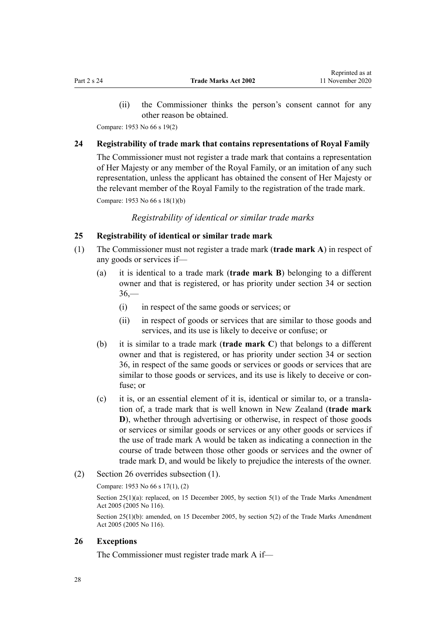<span id="page-27-0"></span>(ii) the Commissioner thinks the person's consent cannot for any other reason be obtained.

Compare: 1953 No 66 s 19(2)

## **24 Registrability of trade mark that contains representations of Royal Family**

The Commissioner must not register a trade mark that contains a representation of Her Majesty or any member of the Royal Family, or an imitation of any such representation, unless the applicant has obtained the consent of Her Majesty or the relevant member of the Royal Family to the registration of the trade mark.

Compare: 1953 No 66 s 18(1)(b)

*Registrability of identical or similar trade marks*

#### **25 Registrability of identical or similar trade mark**

- (1) The Commissioner must not register a trade mark (**trade mark A**) in respect of any goods or services if—
	- (a) it is identical to a trade mark (**trade mark B**) belonging to a different owner and that is registered, or has priority under [section 34](#page-31-0) or [section](#page-32-0)  $36 -$ 
		- (i) in respect of the same goods or services; or
		- (ii) in respect of goods or services that are similar to those goods and services, and its use is likely to deceive or confuse; or
	- (b) it is similar to a trade mark (**trade mark C**) that belongs to a different owner and that is registered, or has priority under [section 34](#page-31-0) or [section](#page-32-0) [36,](#page-32-0) in respect of the same goods or services or goods or services that are similar to those goods or services, and its use is likely to deceive or confuse; or
	- (c) it is, or an essential element of it is, identical or similar to, or a translation of, a trade mark that is well known in New Zealand (**trade mark D**), whether through advertising or otherwise, in respect of those goods or services or similar goods or services or any other goods or services if the use of trade mark A would be taken as indicating a connection in the course of trade between those other goods or services and the owner of trade mark D, and would be likely to prejudice the interests of the owner.
- (2) Section 26 overrides subsection (1).

#### Compare: 1953 No 66 s 17(1), (2)

Section 25(1)(a): replaced, on 15 December 2005, by [section 5\(1\)](http://legislation.govt.nz/pdflink.aspx?id=DLM362639) of the Trade Marks Amendment Act 2005 (2005 No 116).

Section 25(1)(b): amended, on 15 December 2005, by [section 5\(2\)](http://legislation.govt.nz/pdflink.aspx?id=DLM362639) of the Trade Marks Amendment Act 2005 (2005 No 116).

## **26 Exceptions**

The Commissioner must register trade mark A if—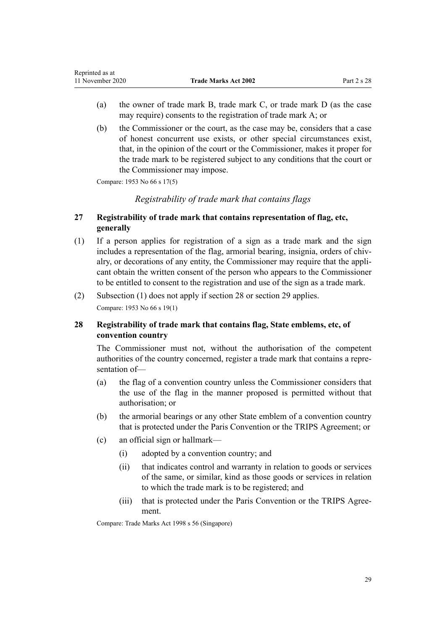- <span id="page-28-0"></span>(a) the owner of trade mark B, trade mark C, or trade mark D (as the case may require) consents to the registration of trade mark A; or
- (b) the Commissioner or the court, as the case may be, considers that a case of honest concurrent use exists, or other special circumstances exist, that, in the opinion of the court or the Commissioner, makes it proper for the trade mark to be registered subject to any conditions that the court or the Commissioner may impose.

Compare: 1953 No 66 s 17(5)

## *Registrability of trade mark that contains flags*

## **27 Registrability of trade mark that contains representation of flag, etc, generally**

- (1) If a person applies for registration of a sign as a trade mark and the sign includes a representation of the flag, armorial bearing, insignia, orders of chivalry, or decorations of any entity, the Commissioner may require that the applicant obtain the written consent of the person who appears to the Commissioner to be entitled to consent to the registration and use of the sign as a trade mark.
- (2) Subsection (1) does not apply if section 28 or [section 29](#page-29-0) applies.

Compare: 1953 No 66 s 19(1)

## **28 Registrability of trade mark that contains flag, State emblems, etc, of convention country**

The Commissioner must not, without the authorisation of the competent authorities of the country concerned, register a trade mark that contains a representation of—

- (a) the flag of a convention country unless the Commissioner considers that the use of the flag in the manner proposed is permitted without that authorisation; or
- (b) the armorial bearings or any other State emblem of a convention country that is protected under the Paris Convention or the TRIPS Agreement; or
- (c) an official sign or hallmark—
	- (i) adopted by a convention country; and
	- (ii) that indicates control and warranty in relation to goods or services of the same, or similar, kind as those goods or services in relation to which the trade mark is to be registered; and
	- (iii) that is protected under the Paris Convention or the TRIPS Agreement.

Compare: Trade Marks Act 1998 s 56 (Singapore)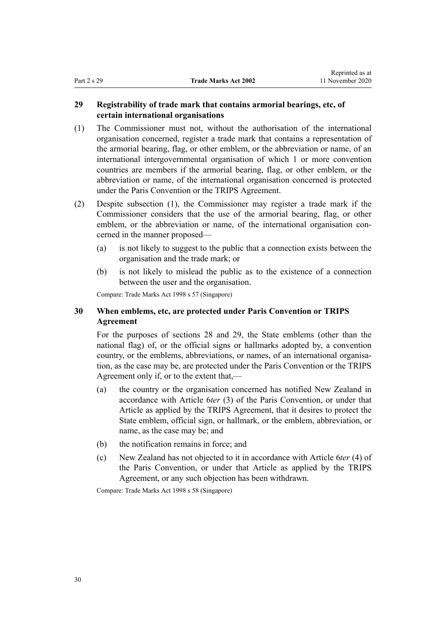## <span id="page-29-0"></span>**29 Registrability of trade mark that contains armorial bearings, etc, of certain international organisations**

- (1) The Commissioner must not, without the authorisation of the international organisation concerned, register a trade mark that contains a representation of the armorial bearing, flag, or other emblem, or the abbreviation or name, of an international intergovernmental organisation of which 1 or more convention countries are members if the armorial bearing, flag, or other emblem, or the abbreviation or name, of the international organisation concerned is protected under the Paris Convention or the TRIPS Agreement.
- (2) Despite subsection (1), the Commissioner may register a trade mark if the Commissioner considers that the use of the armorial bearing, flag, or other emblem, or the abbreviation or name, of the international organisation concerned in the manner proposed—
	- (a) is not likely to suggest to the public that a connection exists between the organisation and the trade mark; or
	- (b) is not likely to mislead the public as to the existence of a connection between the user and the organisation.

Compare: Trade Marks Act 1998 s 57 (Singapore)

## **30 When emblems, etc, are protected under Paris Convention or TRIPS Agreement**

For the purposes of [sections 28](#page-28-0) and 29, the State emblems (other than the national flag) of, or the official signs or hallmarks adopted by, a convention country, or the emblems, abbreviations, or names, of an international organisation, as the case may be, are protected under the Paris Convention or the TRIPS Agreement only if, or to the extent that,—

- (a) the country or the organisation concerned has notified New Zealand in accordance with Article 6*ter* (3) of the Paris Convention, or under that Article as applied by the TRIPS Agreement, that it desires to protect the State emblem, official sign, or hallmark, or the emblem, abbreviation, or name, as the case may be; and
- (b) the notification remains in force; and
- (c) New Zealand has not objected to it in accordance with Article 6*ter* (4) of the Paris Convention, or under that Article as applied by the TRIPS Agreement, or any such objection has been withdrawn.

Compare: Trade Marks Act 1998 s 58 (Singapore)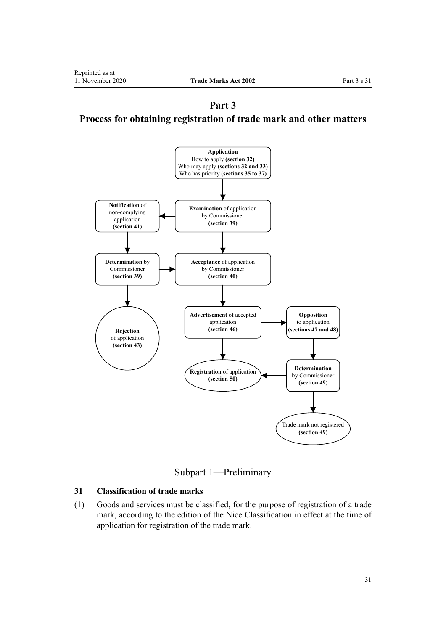<span id="page-30-0"></span>**Part 3 Process for obtaining registration of trade mark and other matters**



Subpart 1—Preliminary

## **31 Classification of trade marks**

(1) Goods and services must be classified, for the purpose of registration of a trade mark, according to the edition of the Nice Classification in effect at the time of application for registration of the trade mark.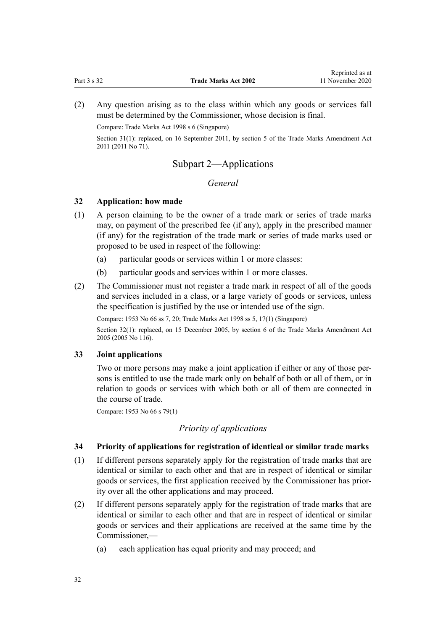<span id="page-31-0"></span>(2) Any question arising as to the class within which any goods or services fall must be determined by the Commissioner, whose decision is final.

Compare: Trade Marks Act 1998 s 6 (Singapore)

Section 31(1): replaced, on 16 September 2011, by [section 5](http://legislation.govt.nz/pdflink.aspx?id=DLM2290037) of the Trade Marks Amendment Act 2011 (2011 No 71).

## Subpart 2—Applications

## *General*

## **32 Application: how made**

- (1) A person claiming to be the owner of a trade mark or series of trade marks may, on payment of the prescribed fee (if any), apply in the prescribed manner (if any) for the registration of the trade mark or series of trade marks used or proposed to be used in respect of the following:
	- (a) particular goods or services within 1 or more classes:
	- (b) particular goods and services within 1 or more classes.
- (2) The Commissioner must not register a trade mark in respect of all of the goods and services included in a class, or a large variety of goods or services, unless the specification is justified by the use or intended use of the sign.

Compare: 1953 No 66 ss 7, 20; Trade Marks Act 1998 ss 5, 17(1) (Singapore)

Section 32(1): replaced, on 15 December 2005, by [section 6](http://legislation.govt.nz/pdflink.aspx?id=DLM362640) of the Trade Marks Amendment Act 2005 (2005 No 116).

## **33 Joint applications**

Two or more persons may make a joint application if either or any of those persons is entitled to use the trade mark only on behalf of both or all of them, or in relation to goods or services with which both or all of them are connected in the course of trade.

Compare: 1953 No 66 s 79(1)

## *Priority of applications*

## **34 Priority of applications for registration of identical or similar trade marks**

- (1) If different persons separately apply for the registration of trade marks that are identical or similar to each other and that are in respect of identical or similar goods or services, the first application received by the Commissioner has priority over all the other applications and may proceed.
- (2) If different persons separately apply for the registration of trade marks that are identical or similar to each other and that are in respect of identical or similar goods or services and their applications are received at the same time by the Commissioner,—
	- (a) each application has equal priority and may proceed; and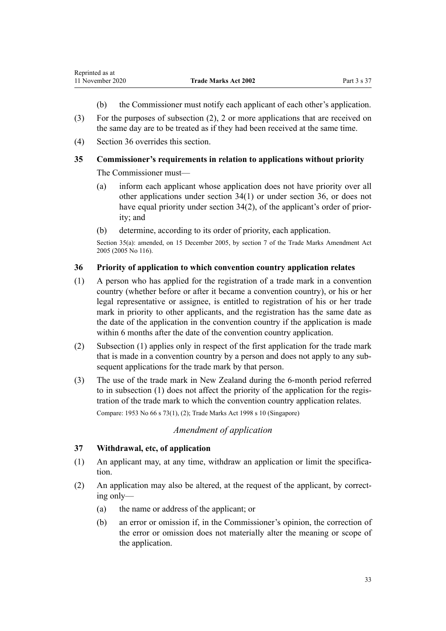- (b) the Commissioner must notify each applicant of each other's application.
- <span id="page-32-0"></span>(3) For the purposes of subsection (2), 2 or more applications that are received on the same day are to be treated as if they had been received at the same time.
- (4) Section 36 overrides this section.

## **35 Commissioner's requirements in relation to applications without priority**

The Commissioner must—

- (a) inform each applicant whose application does not have priority over all other applications under [section 34\(1\)](#page-31-0) or under section 36, or does not have equal priority under [section 34\(2\)](#page-31-0), of the applicant's order of priority; and
- (b) determine, according to its order of priority, each application.

Section 35(a): amended, on 15 December 2005, by [section 7](http://legislation.govt.nz/pdflink.aspx?id=DLM362641) of the Trade Marks Amendment Act 2005 (2005 No 116).

## **36 Priority of application to which convention country application relates**

- (1) A person who has applied for the registration of a trade mark in a convention country (whether before or after it became a convention country), or his or her legal representative or assignee, is entitled to registration of his or her trade mark in priority to other applicants, and the registration has the same date as the date of the application in the convention country if the application is made within 6 months after the date of the convention country application.
- (2) Subsection (1) applies only in respect of the first application for the trade mark that is made in a convention country by a person and does not apply to any subsequent applications for the trade mark by that person.
- (3) The use of the trade mark in New Zealand during the 6-month period referred to in subsection (1) does not affect the priority of the application for the registration of the trade mark to which the convention country application relates.

Compare: 1953 No 66 s 73(1), (2); Trade Marks Act 1998 s 10 (Singapore)

## *Amendment of application*

## **37 Withdrawal, etc, of application**

- (1) An applicant may, at any time, withdraw an application or limit the specification.
- (2) An application may also be altered, at the request of the applicant, by correcting only—
	- (a) the name or address of the applicant; or
	- (b) an error or omission if, in the Commissioner's opinion, the correction of the error or omission does not materially alter the meaning or scope of the application.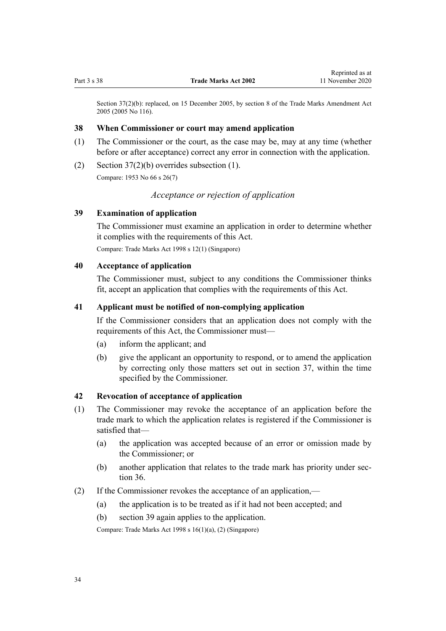<span id="page-33-0"></span>Section 37(2)(b): replaced, on 15 December 2005, by [section 8](http://legislation.govt.nz/pdflink.aspx?id=DLM362642) of the Trade Marks Amendment Act 2005 (2005 No 116).

#### **38 When Commissioner or court may amend application**

- (1) The Commissioner or the court, as the case may be, may at any time (whether before or after acceptance) correct any error in connection with the application.
- (2) Section  $37(2)(b)$  overrides subsection (1).

Compare: 1953 No 66 s 26(7)

## *Acceptance or rejection of application*

## **39 Examination of application**

The Commissioner must examine an application in order to determine whether it complies with the requirements of this Act.

Compare: Trade Marks Act 1998 s 12(1) (Singapore)

## **40 Acceptance of application**

The Commissioner must, subject to any conditions the Commissioner thinks fit, accept an application that complies with the requirements of this Act.

## **41 Applicant must be notified of non-complying application**

If the Commissioner considers that an application does not comply with the requirements of this Act, the Commissioner must—

- (a) inform the applicant; and
- (b) give the applicant an opportunity to respond, or to amend the application by correcting only those matters set out in [section 37](#page-32-0), within the time specified by the Commissioner.

#### **42 Revocation of acceptance of application**

- (1) The Commissioner may revoke the acceptance of an application before the trade mark to which the application relates is registered if the Commissioner is satisfied that—
	- (a) the application was accepted because of an error or omission made by the Commissioner; or
	- (b) another application that relates to the trade mark has priority under [sec](#page-32-0)[tion 36](#page-32-0).
- (2) If the Commissioner revokes the acceptance of an application,—
	- (a) the application is to be treated as if it had not been accepted; and
	- (b) section 39 again applies to the application.

Compare: Trade Marks Act 1998 s 16(1)(a), (2) (Singapore)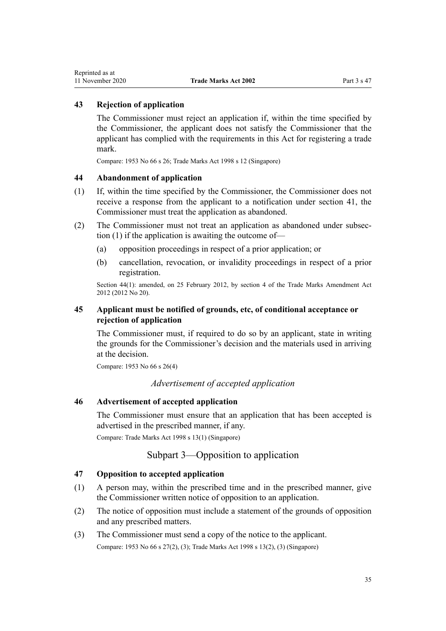## <span id="page-34-0"></span>**43 Rejection of application**

The Commissioner must reject an application if, within the time specified by the Commissioner, the applicant does not satisfy the Commissioner that the applicant has complied with the requirements in this Act for registering a trade mark.

Compare: 1953 No 66 s 26; Trade Marks Act 1998 s 12 (Singapore)

#### **44 Abandonment of application**

- (1) If, within the time specified by the Commissioner, the Commissioner does not receive a response from the applicant to a notification under [section 41,](#page-33-0) the Commissioner must treat the application as abandoned.
- (2) The Commissioner must not treat an application as abandoned under subsection (1) if the application is awaiting the outcome of—
	- (a) opposition proceedings in respect of a prior application; or
	- (b) cancellation, revocation, or invalidity proceedings in respect of a prior registration.

Section 44(1): amended, on 25 February 2012, by [section 4](http://legislation.govt.nz/pdflink.aspx?id=DLM4015207) of the Trade Marks Amendment Act 2012 (2012 No 20).

## **45 Applicant must be notified of grounds, etc, of conditional acceptance or rejection of application**

The Commissioner must, if required to do so by an applicant, state in writing the grounds for the Commissioner's decision and the materials used in arriving at the decision.

Compare: 1953 No 66 s 26(4)

*Advertisement of accepted application*

## **46 Advertisement of accepted application**

The Commissioner must ensure that an application that has been accepted is advertised in the prescribed manner, if any.

Compare: Trade Marks Act 1998 s 13(1) (Singapore)

## Subpart 3—Opposition to application

#### **47 Opposition to accepted application**

- (1) A person may, within the prescribed time and in the prescribed manner, give the Commissioner written notice of opposition to an application.
- (2) The notice of opposition must include a statement of the grounds of opposition and any prescribed matters.
- (3) The Commissioner must send a copy of the notice to the applicant. Compare: 1953 No 66 s 27(2), (3); Trade Marks Act 1998 s 13(2), (3) (Singapore)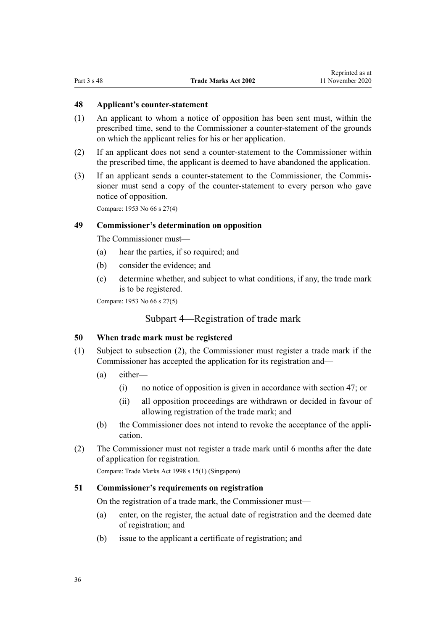## <span id="page-35-0"></span>**48 Applicant's counter-statement**

- (1) An applicant to whom a notice of opposition has been sent must, within the prescribed time, send to the Commissioner a counter-statement of the grounds on which the applicant relies for his or her application.
- (2) If an applicant does not send a counter-statement to the Commissioner within the prescribed time, the applicant is deemed to have abandoned the application.
- (3) If an applicant sends a counter-statement to the Commissioner, the Commissioner must send a copy of the counter-statement to every person who gave notice of opposition.

Compare: 1953 No 66 s 27(4)

## **49 Commissioner's determination on opposition**

The Commissioner must—

- (a) hear the parties, if so required; and
- (b) consider the evidence; and
- (c) determine whether, and subject to what conditions, if any, the trade mark is to be registered.

Compare: 1953 No 66 s 27(5)

## Subpart 4—Registration of trade mark

## **50 When trade mark must be registered**

- (1) Subject to subsection (2), the Commissioner must register a trade mark if the Commissioner has accepted the application for its registration and—
	- (a) either—
		- (i) no notice of opposition is given in accordance with [section 47](#page-34-0); or
		- (ii) all opposition proceedings are withdrawn or decided in favour of allowing registration of the trade mark; and
	- (b) the Commissioner does not intend to revoke the acceptance of the application.
- (2) The Commissioner must not register a trade mark until 6 months after the date of application for registration.

Compare: Trade Marks Act 1998 s 15(1) (Singapore)

## **51 Commissioner's requirements on registration**

On the registration of a trade mark, the Commissioner must—

- (a) enter, on the register, the actual date of registration and the deemed date of registration; and
- (b) issue to the applicant a certificate of registration; and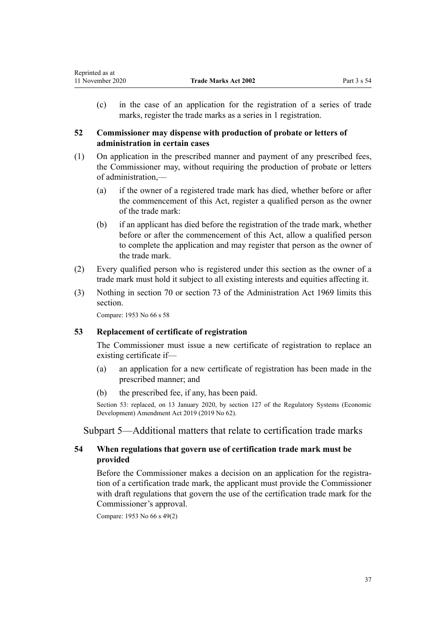(c) in the case of an application for the registration of a series of trade marks, register the trade marks as a series in 1 registration.

# **52 Commissioner may dispense with production of probate or letters of administration in certain cases**

- (1) On application in the prescribed manner and payment of any prescribed fees, the Commissioner may, without requiring the production of probate or letters of administration,—
	- (a) if the owner of a registered trade mark has died, whether before or after the commencement of this Act, register a qualified person as the owner of the trade mark:
	- (b) if an applicant has died before the registration of the trade mark, whether before or after the commencement of this Act, allow a qualified person to complete the application and may register that person as the owner of the trade mark.
- (2) Every qualified person who is registered under this section as the owner of a trade mark must hold it subject to all existing interests and equities affecting it.
- (3) Nothing in [section 70](http://legislation.govt.nz/pdflink.aspx?id=DLM393092) or [section 73](http://legislation.govt.nz/pdflink.aspx?id=DLM393097) of the Administration Act 1969 limits this section.

Compare: 1953 No 66 s 58

# **53 Replacement of certificate of registration**

The Commissioner must issue a new certificate of registration to replace an existing certificate if—

- (a) an application for a new certificate of registration has been made in the prescribed manner; and
- (b) the prescribed fee, if any, has been paid.

Section 53: replaced, on 13 January 2020, by [section 127](http://legislation.govt.nz/pdflink.aspx?id=LMS85754) of the Regulatory Systems (Economic Development) Amendment Act 2019 (2019 No 62).

Subpart 5—Additional matters that relate to certification trade marks

# **54 When regulations that govern use of certification trade mark must be provided**

Before the Commissioner makes a decision on an application for the registration of a certification trade mark, the applicant must provide the Commissioner with draft regulations that govern the use of the certification trade mark for the Commissioner's approval.

Compare: 1953 No 66 s 49(2)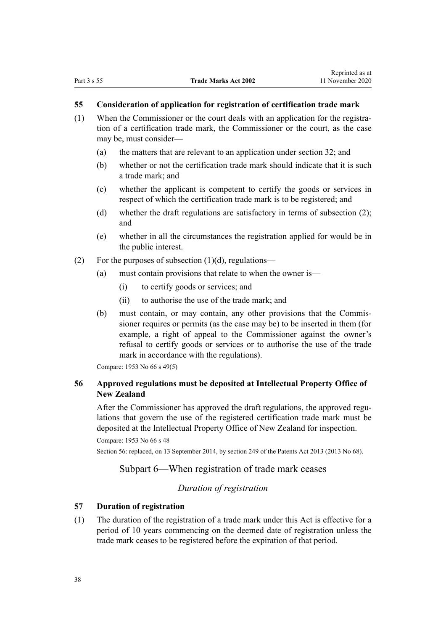#### **55 Consideration of application for registration of certification trade mark**

- (1) When the Commissioner or the court deals with an application for the registration of a certification trade mark, the Commissioner or the court, as the case may be, must consider—
	- (a) the matters that are relevant to an application under [section 32](#page-31-0); and
	- (b) whether or not the certification trade mark should indicate that it is such a trade mark; and
	- (c) whether the applicant is competent to certify the goods or services in respect of which the certification trade mark is to be registered; and
	- (d) whether the draft regulations are satisfactory in terms of subsection (2); and
	- (e) whether in all the circumstances the registration applied for would be in the public interest.
- (2) For the purposes of subsection  $(1)(d)$ , regulations—
	- (a) must contain provisions that relate to when the owner is—
		- (i) to certify goods or services; and
		- (ii) to authorise the use of the trade mark; and
	- (b) must contain, or may contain, any other provisions that the Commissioner requires or permits (as the case may be) to be inserted in them (for example, a right of appeal to the Commissioner against the owner's refusal to certify goods or services or to authorise the use of the trade mark in accordance with the regulations).

Compare: 1953 No 66 s 49(5)

# **56 Approved regulations must be deposited at Intellectual Property Office of New Zealand**

After the Commissioner has approved the draft regulations, the approved regulations that govern the use of the registered certification trade mark must be deposited at the Intellectual Property Office of New Zealand for inspection.

```
Compare: 1953 No 66 s 48
```
Section 56: replaced, on 13 September 2014, by [section 249](http://legislation.govt.nz/pdflink.aspx?id=DLM1419624) of the Patents Act 2013 (2013 No 68).

# Subpart 6—When registration of trade mark ceases

# *Duration of registration*

## **57 Duration of registration**

(1) The duration of the registration of a trade mark under this Act is effective for a period of 10 years commencing on the deemed date of registration unless the trade mark ceases to be registered before the expiration of that period.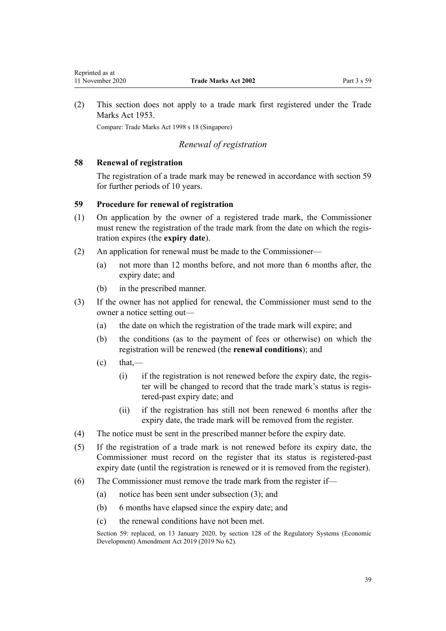<span id="page-38-0"></span>(2) This section does not apply to a trade mark first registered under the Trade Marks Act 1953.

Compare: Trade Marks Act 1998 s 18 (Singapore)

# *Renewal of registration*

## **58 Renewal of registration**

The registration of a trade mark may be renewed in accordance with section 59 for further periods of 10 years.

## **59 Procedure for renewal of registration**

- (1) On application by the owner of a registered trade mark, the Commissioner must renew the registration of the trade mark from the date on which the registration expires (the **expiry date**).
- (2) An application for renewal must be made to the Commissioner—
	- (a) not more than 12 months before, and not more than 6 months after, the expiry date; and
	- (b) in the prescribed manner.
- (3) If the owner has not applied for renewal, the Commissioner must send to the owner a notice setting out—
	- (a) the date on which the registration of the trade mark will expire; and
	- (b) the conditions (as to the payment of fees or otherwise) on which the registration will be renewed (the **renewal conditions**); and
	- $\text{(c)}$  that,—
		- (i) if the registration is not renewed before the expiry date, the register will be changed to record that the trade mark's status is registered-past expiry date; and
		- (ii) if the registration has still not been renewed 6 months after the expiry date, the trade mark will be removed from the register.
- (4) The notice must be sent in the prescribed manner before the expiry date.
- (5) If the registration of a trade mark is not renewed before its expiry date, the Commissioner must record on the register that its status is registered-past expiry date (until the registration is renewed or it is removed from the register).
- (6) The Commissioner must remove the trade mark from the register if—
	- (a) notice has been sent under subsection (3); and
	- (b) 6 months have elapsed since the expiry date; and
	- (c) the renewal conditions have not been met.

Section 59: replaced, on 13 January 2020, by [section 128](http://legislation.govt.nz/pdflink.aspx?id=LMS85760) of the Regulatory Systems (Economic Development) Amendment Act 2019 (2019 No 62).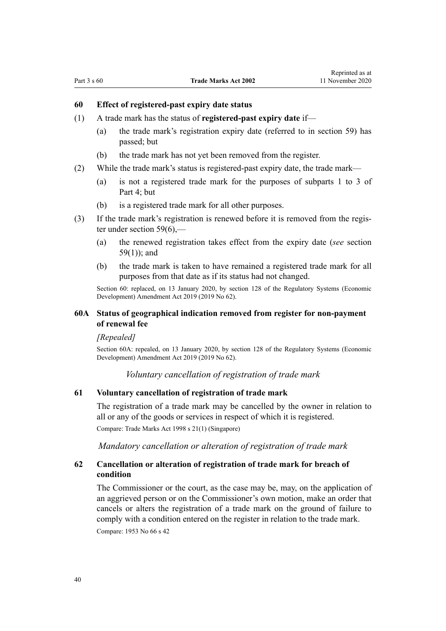## **60 Effect of registered-past expiry date status**

- (1) A trade mark has the status of **registered-past expiry date** if—
	- (a) the trade mark's registration expiry date (referred to in [section 59\)](#page-38-0) has passed; but
	- (b) the trade mark has not yet been removed from the register.
- (2) While the trade mark's status is registered-past expiry date, the trade mark—
	- (a) is not a registered trade mark for the purposes of [subparts 1 to 3](#page-48-0) of Part 4; but
	- (b) is a registered trade mark for all other purposes.
- (3) If the trade mark's registration is renewed before it is removed from the register under [section 59\(6\),](#page-38-0)—
	- (a) the renewed registration takes effect from the expiry date (*see* [section](#page-38-0) [59\(1\)](#page-38-0)); and
	- (b) the trade mark is taken to have remained a registered trade mark for all purposes from that date as if its status had not changed.

Section 60: replaced, on 13 January 2020, by [section 128](http://legislation.govt.nz/pdflink.aspx?id=LMS85760) of the Regulatory Systems (Economic Development) Amendment Act 2019 (2019 No 62).

#### **60A Status of geographical indication removed from register for non-payment of renewal fee**

#### *[Repealed]*

Section 60A: repealed, on 13 January 2020, by [section 128](http://legislation.govt.nz/pdflink.aspx?id=LMS85760) of the Regulatory Systems (Economic Development) Amendment Act 2019 (2019 No 62).

*Voluntary cancellation of registration of trade mark*

#### **61 Voluntary cancellation of registration of trade mark**

The registration of a trade mark may be cancelled by the owner in relation to all or any of the goods or services in respect of which it is registered.

Compare: Trade Marks Act 1998 s 21(1) (Singapore)

*Mandatory cancellation or alteration of registration of trade mark*

# **62 Cancellation or alteration of registration of trade mark for breach of condition**

The Commissioner or the court, as the case may be, may, on the application of an aggrieved person or on the Commissioner's own motion, make an order that cancels or alters the registration of a trade mark on the ground of failure to comply with a condition entered on the register in relation to the trade mark. Compare: 1953 No 66 s 42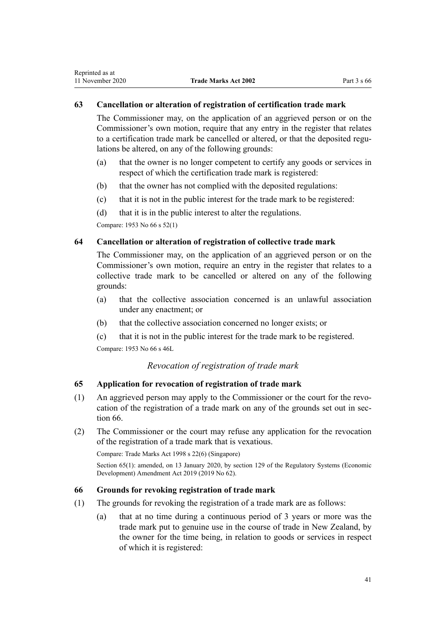#### <span id="page-40-0"></span>**63 Cancellation or alteration of registration of certification trade mark**

The Commissioner may, on the application of an aggrieved person or on the Commissioner's own motion, require that any entry in the register that relates to a certification trade mark be cancelled or altered, or that the deposited regulations be altered, on any of the following grounds:

- (a) that the owner is no longer competent to certify any goods or services in respect of which the certification trade mark is registered:
- (b) that the owner has not complied with the deposited regulations:
- (c) that it is not in the public interest for the trade mark to be registered:
- (d) that it is in the public interest to alter the regulations.

Compare: 1953 No 66 s 52(1)

## **64 Cancellation or alteration of registration of collective trade mark**

The Commissioner may, on the application of an aggrieved person or on the Commissioner's own motion, require an entry in the register that relates to a collective trade mark to be cancelled or altered on any of the following grounds:

- (a) that the collective association concerned is an unlawful association under any enactment; or
- (b) that the collective association concerned no longer exists; or
- (c) that it is not in the public interest for the trade mark to be registered.

Compare: 1953 No 66 s 46L

# *Revocation of registration of trade mark*

## **65 Application for revocation of registration of trade mark**

- (1) An aggrieved person may apply to the Commissioner or the court for the revocation of the registration of a trade mark on any of the grounds set out in section 66.
- (2) The Commissioner or the court may refuse any application for the revocation of the registration of a trade mark that is vexatious.

Compare: Trade Marks Act 1998 s 22(6) (Singapore)

Section 65(1): amended, on 13 January 2020, by [section 129](http://legislation.govt.nz/pdflink.aspx?id=LMS85761) of the Regulatory Systems (Economic Development) Amendment Act 2019 (2019 No 62).

#### **66 Grounds for revoking registration of trade mark**

- (1) The grounds for revoking the registration of a trade mark are as follows:
	- (a) that at no time during a continuous period of 3 years or more was the trade mark put to genuine use in the course of trade in New Zealand, by the owner for the time being, in relation to goods or services in respect of which it is registered: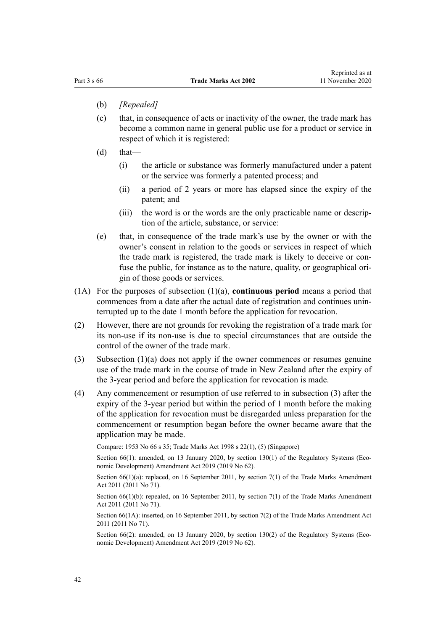- (b) *[Repealed]*
- (c) that, in consequence of acts or inactivity of the owner, the trade mark has become a common name in general public use for a product or service in respect of which it is registered:
- $(d)$  that—
	- (i) the article or substance was formerly manufactured under a patent or the service was formerly a patented process; and
	- (ii) a period of 2 years or more has elapsed since the expiry of the patent; and
	- (iii) the word is or the words are the only practicable name or description of the article, substance, or service:
- (e) that, in consequence of the trade mark's use by the owner or with the owner's consent in relation to the goods or services in respect of which the trade mark is registered, the trade mark is likely to deceive or confuse the public, for instance as to the nature, quality, or geographical origin of those goods or services.
- (1A) For the purposes of subsection (1)(a), **continuous period** means a period that commences from a date after the actual date of registration and continues uninterrupted up to the date 1 month before the application for revocation.
- (2) However, there are not grounds for revoking the registration of a trade mark for its non-use if its non-use is due to special circumstances that are outside the control of the owner of the trade mark.
- (3) Subsection (1)(a) does not apply if the owner commences or resumes genuine use of the trade mark in the course of trade in New Zealand after the expiry of the 3-year period and before the application for revocation is made.
- (4) Any commencement or resumption of use referred to in subsection (3) after the expiry of the 3-year period but within the period of 1 month before the making of the application for revocation must be disregarded unless preparation for the commencement or resumption began before the owner became aware that the application may be made.

Compare: 1953 No 66 s 35; Trade Marks Act 1998 s 22(1), (5) (Singapore)

Section 66(1): amended, on 13 January 2020, by [section 130\(1\)](http://legislation.govt.nz/pdflink.aspx?id=LMS85762) of the Regulatory Systems (Economic Development) Amendment Act 2019 (2019 No 62).

Section 66(1)(a): replaced, on 16 September 2011, by [section 7\(1\)](http://legislation.govt.nz/pdflink.aspx?id=DLM2290040) of the Trade Marks Amendment Act 2011 (2011 No 71).

Section  $66(1)(b)$ : repealed, on 16 September 2011, by [section 7\(1\)](http://legislation.govt.nz/pdflink.aspx?id=DLM2290040) of the Trade Marks Amendment Act 2011 (2011 No 71).

Section 66(1A): inserted, on 16 September 2011, by [section 7\(2\)](http://legislation.govt.nz/pdflink.aspx?id=DLM2290040) of the Trade Marks Amendment Act 2011 (2011 No 71).

Section 66(2): amended, on 13 January 2020, by [section 130\(2\)](http://legislation.govt.nz/pdflink.aspx?id=LMS85762) of the Regulatory Systems (Economic Development) Amendment Act 2019 (2019 No 62).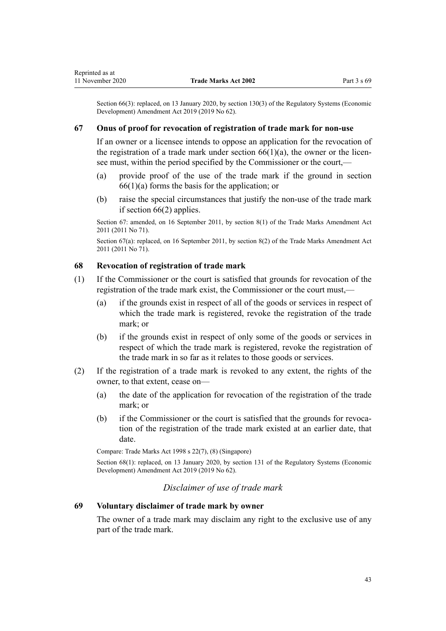Section 66(3): replaced, on 13 January 2020, by [section 130\(3\)](http://legislation.govt.nz/pdflink.aspx?id=LMS85762) of the Regulatory Systems (Economic Development) Amendment Act 2019 (2019 No 62).

#### **67 Onus of proof for revocation of registration of trade mark for non-use**

If an owner or a licensee intends to oppose an application for the revocation of the registration of a trade mark under section  $66(1)(a)$ , the owner or the licensee must, within the period specified by the Commissioner or the court,—

- (a) provide proof of the use of the trade mark if the ground in [section](#page-40-0)  $66(1)(a)$  forms the basis for the application; or
- (b) raise the special circumstances that justify the non-use of the trade mark if [section 66\(2\)](#page-40-0) applies.

Section 67: amended, on 16 September 2011, by [section 8\(1\)](http://legislation.govt.nz/pdflink.aspx?id=DLM2290042) of the Trade Marks Amendment Act 2011 (2011 No 71).

Section 67(a): replaced, on 16 September 2011, by [section 8\(2\)](http://legislation.govt.nz/pdflink.aspx?id=DLM2290042) of the Trade Marks Amendment Act 2011 (2011 No 71).

## **68 Revocation of registration of trade mark**

- (1) If the Commissioner or the court is satisfied that grounds for revocation of the registration of the trade mark exist, the Commissioner or the court must,—
	- (a) if the grounds exist in respect of all of the goods or services in respect of which the trade mark is registered, revoke the registration of the trade mark; or
	- (b) if the grounds exist in respect of only some of the goods or services in respect of which the trade mark is registered, revoke the registration of the trade mark in so far as it relates to those goods or services.
- (2) If the registration of a trade mark is revoked to any extent, the rights of the owner, to that extent, cease on—
	- (a) the date of the application for revocation of the registration of the trade mark; or
	- (b) if the Commissioner or the court is satisfied that the grounds for revocation of the registration of the trade mark existed at an earlier date, that date.

Compare: Trade Marks Act 1998 s 22(7), (8) (Singapore)

Section 68(1): replaced, on 13 January 2020, by [section 131](http://legislation.govt.nz/pdflink.aspx?id=LMS85763) of the Regulatory Systems (Economic Development) Amendment Act 2019 (2019 No 62).

#### *Disclaimer of use of trade mark*

# **69 Voluntary disclaimer of trade mark by owner**

The owner of a trade mark may disclaim any right to the exclusive use of any part of the trade mark.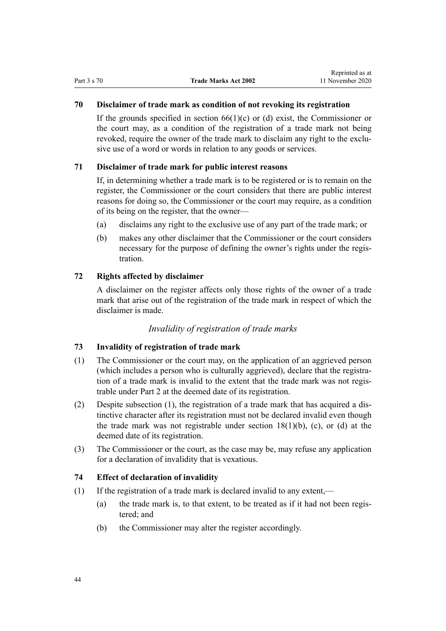## **70 Disclaimer of trade mark as condition of not revoking its registration**

If the grounds specified in section  $66(1)(c)$  or (d) exist, the Commissioner or the court may, as a condition of the registration of a trade mark not being revoked, require the owner of the trade mark to disclaim any right to the exclusive use of a word or words in relation to any goods or services.

## **71 Disclaimer of trade mark for public interest reasons**

If, in determining whether a trade mark is to be registered or is to remain on the register, the Commissioner or the court considers that there are public interest reasons for doing so, the Commissioner or the court may require, as a condition of its being on the register, that the owner—

- (a) disclaims any right to the exclusive use of any part of the trade mark; or
- (b) makes any other disclaimer that the Commissioner or the court considers necessary for the purpose of defining the owner's rights under the registration.

#### **72 Rights affected by disclaimer**

A disclaimer on the register affects only those rights of the owner of a trade mark that arise out of the registration of the trade mark in respect of which the disclaimer is made.

#### *Invalidity of registration of trade marks*

#### **73 Invalidity of registration of trade mark**

- (1) The Commissioner or the court may, on the application of an aggrieved person (which includes a person who is culturally aggrieved), declare that the registration of a trade mark is invalid to the extent that the trade mark was not registrable under [Part 2](#page-21-0) at the deemed date of its registration.
- (2) Despite subsection (1), the registration of a trade mark that has acquired a distinctive character after its registration must not be declared invalid even though the trade mark was not registrable under section  $18(1)(b)$ , (c), or (d) at the deemed date of its registration.
- (3) The Commissioner or the court, as the case may be, may refuse any application for a declaration of invalidity that is vexatious.

#### **74 Effect of declaration of invalidity**

- (1) If the registration of a trade mark is declared invalid to any extent,—
	- (a) the trade mark is, to that extent, to be treated as if it had not been registered; and
	- (b) the Commissioner may alter the register accordingly.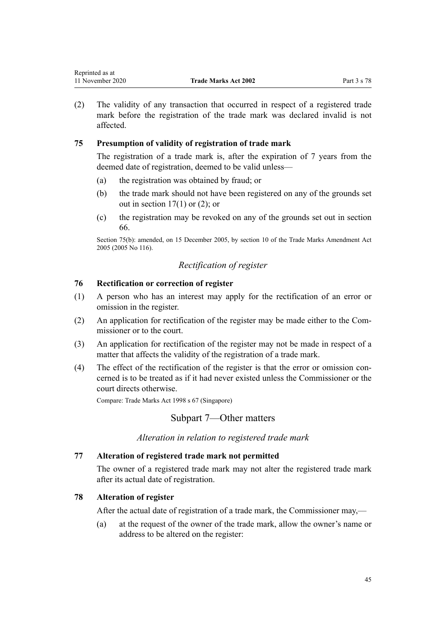# **75 Presumption of validity of registration of trade mark**

The registration of a trade mark is, after the expiration of 7 years from the deemed date of registration, deemed to be valid unless—

- (a) the registration was obtained by fraud; or
- (b) the trade mark should not have been registered on any of the grounds set out in section  $17(1)$  or  $(2)$ ; or
- (c) the registration may be revoked on any of the grounds set out in [section](#page-40-0) [66.](#page-40-0)

Section 75(b): amended, on 15 December 2005, by [section 10](http://legislation.govt.nz/pdflink.aspx?id=DLM362644) of the Trade Marks Amendment Act 2005 (2005 No 116).

# *Rectification of register*

# **76 Rectification or correction of register**

affected.

- (1) A person who has an interest may apply for the rectification of an error or omission in the register.
- (2) An application for rectification of the register may be made either to the Commissioner or to the court.
- (3) An application for rectification of the register may not be made in respect of a matter that affects the validity of the registration of a trade mark.
- (4) The effect of the rectification of the register is that the error or omission concerned is to be treated as if it had never existed unless the Commissioner or the court directs otherwise.

Compare: Trade Marks Act 1998 s 67 (Singapore)

# Subpart 7—Other matters

*Alteration in relation to registered trade mark*

#### **77 Alteration of registered trade mark not permitted**

The owner of a registered trade mark may not alter the registered trade mark after its actual date of registration.

# **78 Alteration of register**

After the actual date of registration of a trade mark, the Commissioner may,—

(a) at the request of the owner of the trade mark, allow the owner's name or address to be altered on the register: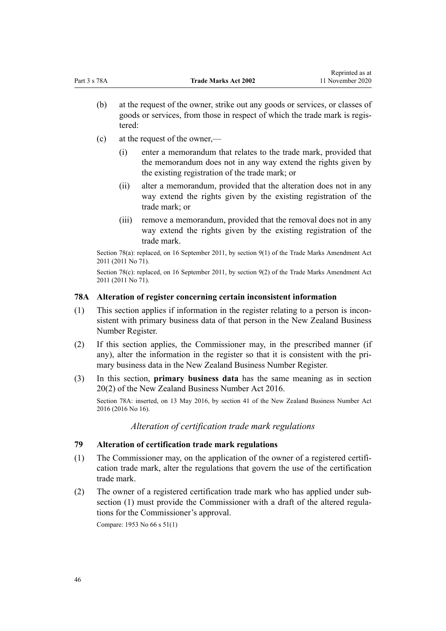- (b) at the request of the owner, strike out any goods or services, or classes of goods or services, from those in respect of which the trade mark is registered:
- (c) at the request of the owner,—
	- (i) enter a memorandum that relates to the trade mark, provided that the memorandum does not in any way extend the rights given by the existing registration of the trade mark; or
	- (ii) alter a memorandum, provided that the alteration does not in any way extend the rights given by the existing registration of the trade mark; or
	- (iii) remove a memorandum, provided that the removal does not in any way extend the rights given by the existing registration of the trade mark.

Section 78(a): replaced, on 16 September 2011, by [section 9\(1\)](http://legislation.govt.nz/pdflink.aspx?id=DLM2290043) of the Trade Marks Amendment Act 2011 (2011 No 71).

Section 78(c): replaced, on 16 September 2011, by [section 9\(2\)](http://legislation.govt.nz/pdflink.aspx?id=DLM2290043) of the Trade Marks Amendment Act 2011 (2011 No 71).

#### **78A Alteration of register concerning certain inconsistent information**

- (1) This section applies if information in the register relating to a person is inconsistent with primary business data of that person in the New Zealand Business Number Register.
- (2) If this section applies, the Commissioner may, in the prescribed manner (if any), alter the information in the register so that it is consistent with the primary business data in the New Zealand Business Number Register.
- (3) In this section, **primary business data** has the same meaning as in [section](http://legislation.govt.nz/pdflink.aspx?id=DLM6431573) [20\(2\)](http://legislation.govt.nz/pdflink.aspx?id=DLM6431573) of the New Zealand Business Number Act 2016.

Section 78A: inserted, on 13 May 2016, by [section 41](http://legislation.govt.nz/pdflink.aspx?id=DLM6431601) of the New Zealand Business Number Act 2016 (2016 No 16).

*Alteration of certification trade mark regulations*

## **79 Alteration of certification trade mark regulations**

- (1) The Commissioner may, on the application of the owner of a registered certification trade mark, alter the regulations that govern the use of the certification trade mark.
- (2) The owner of a registered certification trade mark who has applied under subsection (1) must provide the Commissioner with a draft of the altered regulations for the Commissioner's approval.

Compare: 1953 No 66 s 51(1)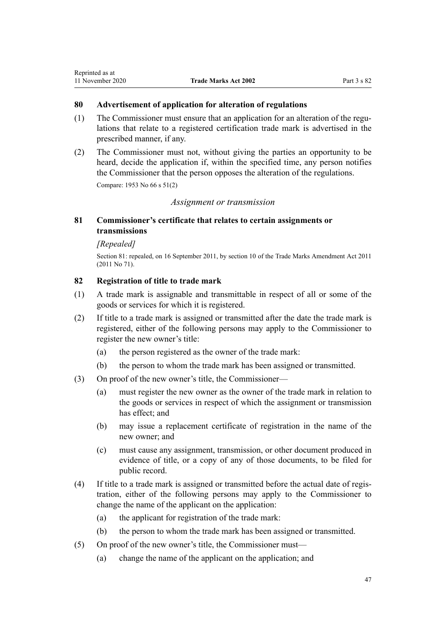# **80 Advertisement of application for alteration of regulations**

- (1) The Commissioner must ensure that an application for an alteration of the regulations that relate to a registered certification trade mark is advertised in the prescribed manner, if any.
- (2) The Commissioner must not, without giving the parties an opportunity to be heard, decide the application if, within the specified time, any person notifies the Commissioner that the person opposes the alteration of the regulations.

Compare: 1953 No 66 s 51(2)

#### *Assignment or transmission*

# **81 Commissioner's certificate that relates to certain assignments or transmissions**

## *[Repealed]*

Section 81: repealed, on 16 September 2011, by [section 10](http://legislation.govt.nz/pdflink.aspx?id=DLM2290044) of the Trade Marks Amendment Act 2011 (2011 No 71).

## **82 Registration of title to trade mark**

- (1) A trade mark is assignable and transmittable in respect of all or some of the goods or services for which it is registered.
- (2) If title to a trade mark is assigned or transmitted after the date the trade mark is registered, either of the following persons may apply to the Commissioner to register the new owner's title:
	- (a) the person registered as the owner of the trade mark:
	- (b) the person to whom the trade mark has been assigned or transmitted.
- (3) On proof of the new owner's title, the Commissioner—
	- (a) must register the new owner as the owner of the trade mark in relation to the goods or services in respect of which the assignment or transmission has effect; and
	- (b) may issue a replacement certificate of registration in the name of the new owner; and
	- (c) must cause any assignment, transmission, or other document produced in evidence of title, or a copy of any of those documents, to be filed for public record.
- (4) If title to a trade mark is assigned or transmitted before the actual date of registration, either of the following persons may apply to the Commissioner to change the name of the applicant on the application:
	- (a) the applicant for registration of the trade mark:
	- (b) the person to whom the trade mark has been assigned or transmitted.
- (5) On proof of the new owner's title, the Commissioner must—
	- (a) change the name of the applicant on the application; and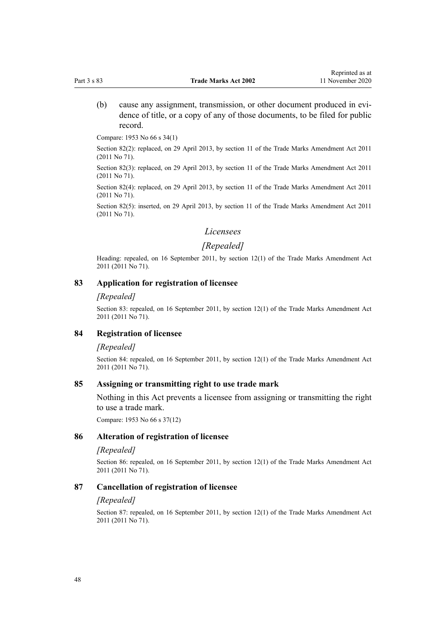(b) cause any assignment, transmission, or other document produced in evidence of title, or a copy of any of those documents, to be filed for public record.

Compare: 1953 No 66 s 34(1)

Section 82(2): replaced, on 29 April 2013, by [section 11](http://legislation.govt.nz/pdflink.aspx?id=DLM2290045) of the Trade Marks Amendment Act 2011 (2011 No 71).

Section 82(3): replaced, on 29 April 2013, by [section 11](http://legislation.govt.nz/pdflink.aspx?id=DLM2290045) of the Trade Marks Amendment Act 2011 (2011 No 71).

Section 82(4): replaced, on 29 April 2013, by [section 11](http://legislation.govt.nz/pdflink.aspx?id=DLM2290045) of the Trade Marks Amendment Act 2011 (2011 No 71).

Section 82(5): inserted, on 29 April 2013, by [section 11](http://legislation.govt.nz/pdflink.aspx?id=DLM2290045) of the Trade Marks Amendment Act 2011 (2011 No 71).

#### *Licensees*

## *[Repealed]*

Heading: repealed, on 16 September 2011, by [section 12\(1\)](http://legislation.govt.nz/pdflink.aspx?id=DLM2290046) of the Trade Marks Amendment Act 2011 (2011 No 71).

#### **83 Application for registration of licensee**

#### *[Repealed]*

Section 83: repealed, on 16 September 2011, by [section 12\(1\)](http://legislation.govt.nz/pdflink.aspx?id=DLM2290046) of the Trade Marks Amendment Act 2011 (2011 No 71).

#### **84 Registration of licensee**

#### *[Repealed]*

Section 84: repealed, on 16 September 2011, by [section 12\(1\)](http://legislation.govt.nz/pdflink.aspx?id=DLM2290046) of the Trade Marks Amendment Act 2011 (2011 No 71).

#### **85 Assigning or transmitting right to use trade mark**

Nothing in this Act prevents a licensee from assigning or transmitting the right to use a trade mark.

Compare: 1953 No 66 s 37(12)

#### **86 Alteration of registration of licensee**

#### *[Repealed]*

Section 86: repealed, on 16 September 2011, by [section 12\(1\)](http://legislation.govt.nz/pdflink.aspx?id=DLM2290046) of the Trade Marks Amendment Act 2011 (2011 No 71).

#### **87 Cancellation of registration of licensee**

#### *[Repealed]*

Section 87: repealed, on 16 September 2011, by [section 12\(1\)](http://legislation.govt.nz/pdflink.aspx?id=DLM2290046) of the Trade Marks Amendment Act 2011 (2011 No 71).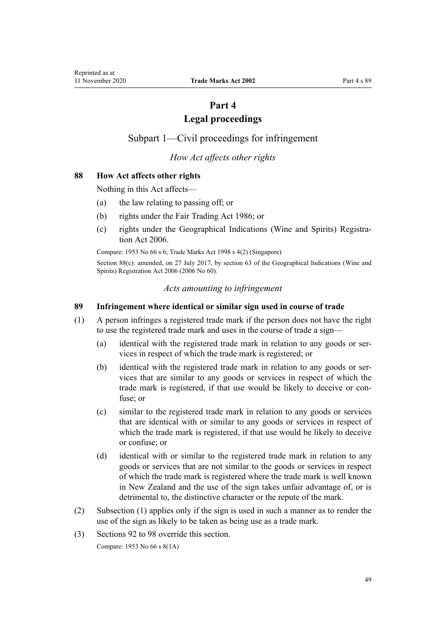# **Part 4**

# **Legal proceedings**

# <span id="page-48-0"></span>Subpart 1—Civil proceedings for infringement

# *How Act affects other rights*

## **88 How Act affects other rights**

Nothing in this Act affects—

- (a) the law relating to passing off; or
- (b) rights under the [Fair Trading Act 1986](http://legislation.govt.nz/pdflink.aspx?id=DLM96438); or
- (c) rights under the [Geographical Indications \(Wine and Spirits\) Registra](http://legislation.govt.nz/pdflink.aspx?id=DLM390755)[tion Act 2006](http://legislation.govt.nz/pdflink.aspx?id=DLM390755).

Compare: 1953 No 66 s 6; Trade Marks Act 1998 s 4(2) (Singapore)

Section 88(c): amended, on 27 July 2017, by [section 63](http://legislation.govt.nz/pdflink.aspx?id=DLM390893) of the Geographical Indications (Wine and Spirits) Registration Act 2006 (2006 No 60).

#### *Acts amounting to infringement*

#### **89 Infringement where identical or similar sign used in course of trade**

- (1) A person infringes a registered trade mark if the person does not have the right to use the registered trade mark and uses in the course of trade a sign—
	- (a) identical with the registered trade mark in relation to any goods or services in respect of which the trade mark is registered; or
	- (b) identical with the registered trade mark in relation to any goods or services that are similar to any goods or services in respect of which the trade mark is registered, if that use would be likely to deceive or confuse; or
	- (c) similar to the registered trade mark in relation to any goods or services that are identical with or similar to any goods or services in respect of which the trade mark is registered, if that use would be likely to deceive or confuse; or
	- (d) identical with or similar to the registered trade mark in relation to any goods or services that are not similar to the goods or services in respect of which the trade mark is registered where the trade mark is well known in New Zealand and the use of the sign takes unfair advantage of, or is detrimental to, the distinctive character or the repute of the mark.
- (2) Subsection (1) applies only if the sign is used in such a manner as to render the use of the sign as likely to be taken as being use as a trade mark.
- (3) [Sections 92 to 98](#page-50-0) override this section.

Compare: 1953 No 66 s 8(1A)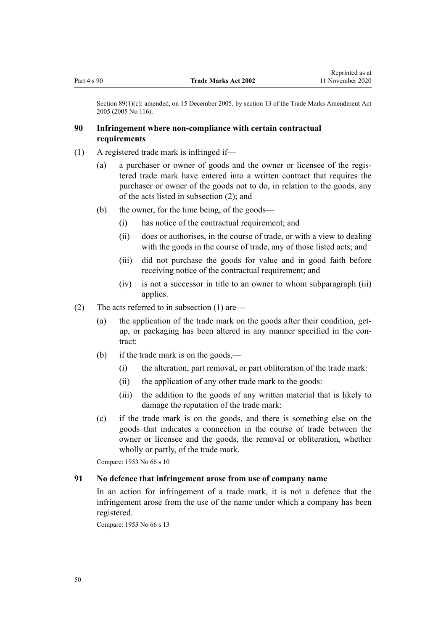Section 89(1)(c): amended, on 15 December 2005, by [section 13](http://legislation.govt.nz/pdflink.aspx?id=DLM362647) of the Trade Marks Amendment Act 2005 (2005 No 116).

## **90 Infringement where non-compliance with certain contractual requirements**

- (1) A registered trade mark is infringed if—
	- (a) a purchaser or owner of goods and the owner or licensee of the registered trade mark have entered into a written contract that requires the purchaser or owner of the goods not to do, in relation to the goods, any of the acts listed in subsection (2); and
	- (b) the owner, for the time being, of the goods—
		- (i) has notice of the contractual requirement; and
		- (ii) does or authorises, in the course of trade, or with a view to dealing with the goods in the course of trade, any of those listed acts; and
		- (iii) did not purchase the goods for value and in good faith before receiving notice of the contractual requirement; and
		- (iv) is not a successor in title to an owner to whom subparagraph (iii) applies.
- (2) The acts referred to in subsection (1) are—
	- (a) the application of the trade mark on the goods after their condition, getup, or packaging has been altered in any manner specified in the contract:
	- (b) if the trade mark is on the goods,—
		- (i) the alteration, part removal, or part obliteration of the trade mark:
		- (ii) the application of any other trade mark to the goods:
		- (iii) the addition to the goods of any written material that is likely to damage the reputation of the trade mark:
	- (c) if the trade mark is on the goods, and there is something else on the goods that indicates a connection in the course of trade between the owner or licensee and the goods, the removal or obliteration, whether wholly or partly, of the trade mark.

Compare: 1953 No 66 s 10

#### **91 No defence that infringement arose from use of company name**

In an action for infringement of a trade mark, it is not a defence that the infringement arose from the use of the name under which a company has been registered.

Compare: 1953 No 66 s 13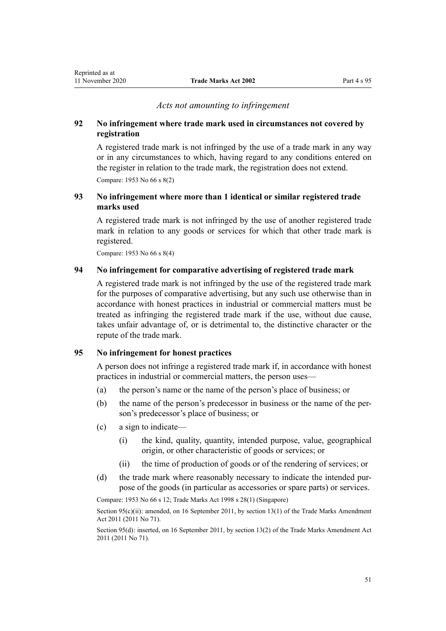#### *Acts not amounting to infringement*

## <span id="page-50-0"></span>**92 No infringement where trade mark used in circumstances not covered by registration**

A registered trade mark is not infringed by the use of a trade mark in any way or in any circumstances to which, having regard to any conditions entered on the register in relation to the trade mark, the registration does not extend. Compare: 1953 No 66 s 8(2)

# **93 No infringement where more than 1 identical or similar registered trade marks used**

A registered trade mark is not infringed by the use of another registered trade mark in relation to any goods or services for which that other trade mark is registered.

Compare: 1953 No 66 s 8(4)

## **94 No infringement for comparative advertising of registered trade mark**

A registered trade mark is not infringed by the use of the registered trade mark for the purposes of comparative advertising, but any such use otherwise than in accordance with honest practices in industrial or commercial matters must be treated as infringing the registered trade mark if the use, without due cause, takes unfair advantage of, or is detrimental to, the distinctive character or the repute of the trade mark.

## **95 No infringement for honest practices**

A person does not infringe a registered trade mark if, in accordance with honest practices in industrial or commercial matters, the person uses—

- (a) the person's name or the name of the person's place of business; or
- (b) the name of the person's predecessor in business or the name of the person's predecessor's place of business; or
- (c) a sign to indicate—
	- (i) the kind, quality, quantity, intended purpose, value, geographical origin, or other characteristic of goods or services; or
	- (ii) the time of production of goods or of the rendering of services; or
- (d) the trade mark where reasonably necessary to indicate the intended purpose of the goods (in particular as accessories or spare parts) or services.

Compare: 1953 No 66 s 12; Trade Marks Act 1998 s 28(1) (Singapore)

Section 95(c)(ii): amended, on 16 September 2011, by [section 13\(1\)](http://legislation.govt.nz/pdflink.aspx?id=DLM2290047) of the Trade Marks Amendment Act 2011 (2011 No 71).

Section 95(d): inserted, on 16 September 2011, by [section 13\(2\)](http://legislation.govt.nz/pdflink.aspx?id=DLM2290047) of the Trade Marks Amendment Act 2011 (2011 No 71).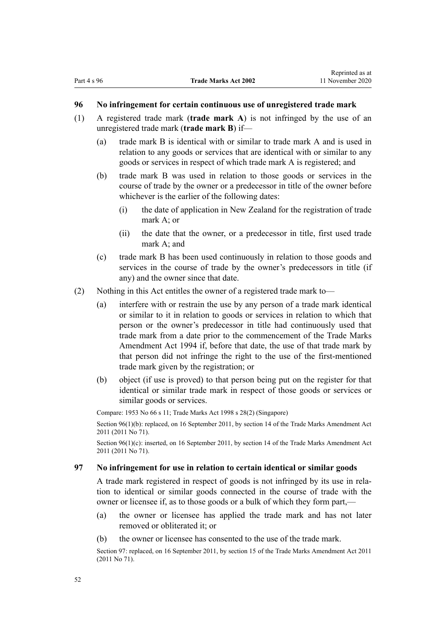#### <span id="page-51-0"></span>**96 No infringement for certain continuous use of unregistered trade mark**

- (1) A registered trade mark (**trade mark A**) is not infringed by the use of an unregistered trade mark (**trade mark B**) if—
	- (a) trade mark B is identical with or similar to trade mark A and is used in relation to any goods or services that are identical with or similar to any goods or services in respect of which trade mark A is registered; and
	- (b) trade mark B was used in relation to those goods or services in the course of trade by the owner or a predecessor in title of the owner before whichever is the earlier of the following dates:
		- (i) the date of application in New Zealand for the registration of trade mark A; or
		- (ii) the date that the owner, or a predecessor in title, first used trade mark A; and
	- (c) trade mark B has been used continuously in relation to those goods and services in the course of trade by the owner's predecessors in title (if any) and the owner since that date.
- (2) Nothing in this Act entitles the owner of a registered trade mark to—
	- (a) interfere with or restrain the use by any person of a trade mark identical or similar to it in relation to goods or services in relation to which that person or the owner's predecessor in title had continuously used that trade mark from a date prior to the commencement of the Trade Marks Amendment Act 1994 if, before that date, the use of that trade mark by that person did not infringe the right to the use of the first-mentioned trade mark given by the registration; or
	- (b) object (if use is proved) to that person being put on the register for that identical or similar trade mark in respect of those goods or services or similar goods or services.

Compare: 1953 No 66 s 11; Trade Marks Act 1998 s 28(2) (Singapore) Section 96(1)(b): replaced, on 16 September 2011, by [section 14](http://legislation.govt.nz/pdflink.aspx?id=DLM2353604) of the Trade Marks Amendment Act 2011 (2011 No 71).

Section 96(1)(c): inserted, on 16 September 2011, by [section 14](http://legislation.govt.nz/pdflink.aspx?id=DLM2353604) of the Trade Marks Amendment Act 2011 (2011 No 71).

#### **97 No infringement for use in relation to certain identical or similar goods**

A trade mark registered in respect of goods is not infringed by its use in relation to identical or similar goods connected in the course of trade with the owner or licensee if, as to those goods or a bulk of which they form part,—

- (a) the owner or licensee has applied the trade mark and has not later removed or obliterated it; or
- (b) the owner or licensee has consented to the use of the trade mark.

Section 97: replaced, on 16 September 2011, by [section 15](http://legislation.govt.nz/pdflink.aspx?id=DLM2290048) of the Trade Marks Amendment Act 2011 (2011 No 71).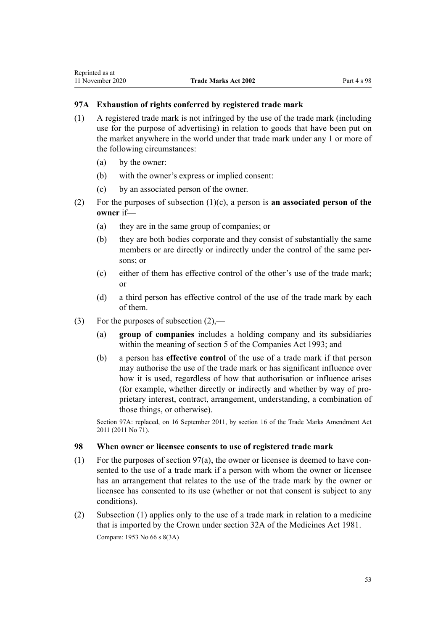## **97A Exhaustion of rights conferred by registered trade mark**

- (1) A registered trade mark is not infringed by the use of the trade mark (including use for the purpose of advertising) in relation to goods that have been put on the market anywhere in the world under that trade mark under any 1 or more of the following circumstances:
	- (a) by the owner:
	- (b) with the owner's express or implied consent:
	- (c) by an associated person of the owner.
- (2) For the purposes of subsection (1)(c), a person is **an associated person of the owner** if—
	- (a) they are in the same group of companies; or
	- (b) they are both bodies corporate and they consist of substantially the same members or are directly or indirectly under the control of the same persons; or
	- (c) either of them has effective control of the other's use of the trade mark; or
	- (d) a third person has effective control of the use of the trade mark by each of them.
- (3) For the purposes of subsection  $(2)$ ,—
	- (a) **group of companies** includes a holding company and its subsidiaries within the meaning of [section 5](http://legislation.govt.nz/pdflink.aspx?id=DLM319999) of the Companies Act 1993; and
	- (b) a person has **effective control** of the use of a trade mark if that person may authorise the use of the trade mark or has significant influence over how it is used, regardless of how that authorisation or influence arises (for example, whether directly or indirectly and whether by way of proprietary interest, contract, arrangement, understanding, a combination of those things, or otherwise).

Section 97A: replaced, on 16 September 2011, by [section 16](http://legislation.govt.nz/pdflink.aspx?id=DLM2290050) of the Trade Marks Amendment Act 2011 (2011 No 71).

#### **98 When owner or licensee consents to use of registered trade mark**

- (1) For the purposes of [section 97\(a\),](#page-51-0) the owner or licensee is deemed to have consented to the use of a trade mark if a person with whom the owner or licensee has an arrangement that relates to the use of the trade mark by the owner or licensee has consented to its use (whether or not that consent is subject to any conditions).
- (2) Subsection (1) applies only to the use of a trade mark in relation to a medicine that is imported by the Crown under [section 32A](http://legislation.govt.nz/pdflink.aspx?id=DLM55435) of the Medicines Act 1981. Compare: 1953 No 66 s 8(3A)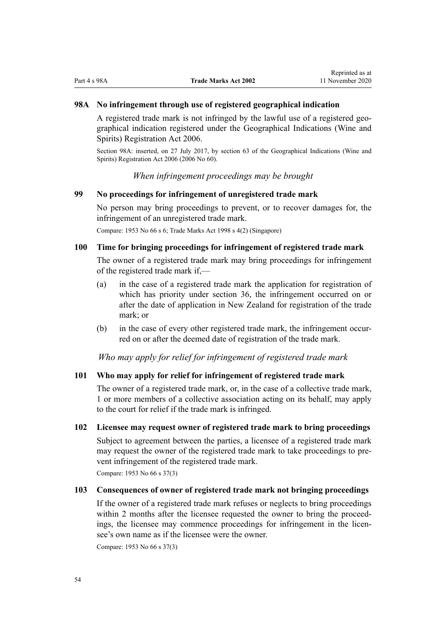## <span id="page-53-0"></span>**98A No infringement through use of registered geographical indication**

A registered trade mark is not infringed by the lawful use of a registered geographical indication registered under the [Geographical Indications \(Wine and](http://legislation.govt.nz/pdflink.aspx?id=DLM390755) [Spirits\) Registration Act 2006.](http://legislation.govt.nz/pdflink.aspx?id=DLM390755)

Section 98A: inserted, on 27 July 2017, by [section 63](http://legislation.govt.nz/pdflink.aspx?id=DLM390893) of the Geographical Indications (Wine and Spirits) Registration Act 2006 (2006 No 60).

*When infringement proceedings may be brought*

## **99 No proceedings for infringement of unregistered trade mark**

No person may bring proceedings to prevent, or to recover damages for, the infringement of an unregistered trade mark.

Compare: 1953 No 66 s 6; Trade Marks Act 1998 s 4(2) (Singapore)

## **100 Time for bringing proceedings for infringement of registered trade mark**

The owner of a registered trade mark may bring proceedings for infringement of the registered trade mark if,—

- (a) in the case of a registered trade mark the application for registration of which has priority under [section 36,](#page-32-0) the infringement occurred on or after the date of application in New Zealand for registration of the trade mark; or
- (b) in the case of every other registered trade mark, the infringement occurred on or after the deemed date of registration of the trade mark.

*Who may apply for relief for infringement of registered trade mark*

#### **101 Who may apply for relief for infringement of registered trade mark**

The owner of a registered trade mark, or, in the case of a collective trade mark, 1 or more members of a collective association acting on its behalf, may apply to the court for relief if the trade mark is infringed.

#### **102 Licensee may request owner of registered trade mark to bring proceedings**

Subject to agreement between the parties, a licensee of a registered trade mark may request the owner of the registered trade mark to take proceedings to prevent infringement of the registered trade mark.

Compare: 1953 No 66 s 37(3)

## **103 Consequences of owner of registered trade mark not bringing proceedings**

If the owner of a registered trade mark refuses or neglects to bring proceedings within 2 months after the licensee requested the owner to bring the proceedings, the licensee may commence proceedings for infringement in the licensee's own name as if the licensee were the owner.

Compare: 1953 No 66 s 37(3)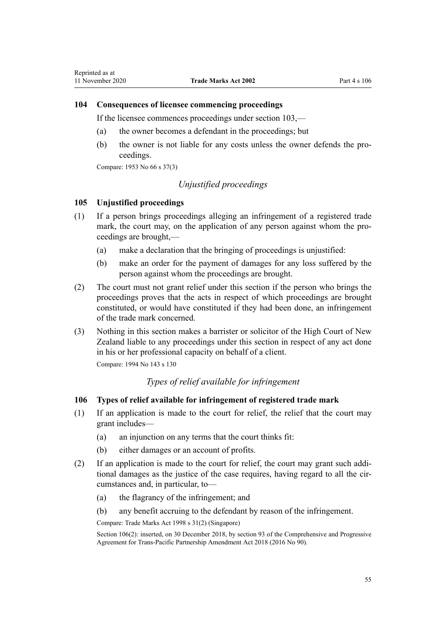## **104 Consequences of licensee commencing proceedings**

If the licensee commences proceedings under [section 103,](#page-53-0)—

- (a) the owner becomes a defendant in the proceedings; but
- (b) the owner is not liable for any costs unless the owner defends the proceedings.

Compare: 1953 No 66 s 37(3)

# *Unjustified proceedings*

#### **105 Unjustified proceedings**

- (1) If a person brings proceedings alleging an infringement of a registered trade mark, the court may, on the application of any person against whom the proceedings are brought,—
	- (a) make a declaration that the bringing of proceedings is unjustified:
	- (b) make an order for the payment of damages for any loss suffered by the person against whom the proceedings are brought.
- (2) The court must not grant relief under this section if the person who brings the proceedings proves that the acts in respect of which proceedings are brought constituted, or would have constituted if they had been done, an infringement of the trade mark concerned.
- (3) Nothing in this section makes a barrister or solicitor of the High Court of New Zealand liable to any proceedings under this section in respect of any act done in his or her professional capacity on behalf of a client.

Compare: 1994 No 143 [s 130](http://legislation.govt.nz/pdflink.aspx?id=DLM346600)

# *Types of relief available for infringement*

## **106 Types of relief available for infringement of registered trade mark**

- (1) If an application is made to the court for relief, the relief that the court may grant includes—
	- (a) an injunction on any terms that the court thinks fit:
	- (b) either damages or an account of profits.
- (2) If an application is made to the court for relief, the court may grant such additional damages as the justice of the case requires, having regard to all the circumstances and, in particular, to—
	- (a) the flagrancy of the infringement; and
	- (b) any benefit accruing to the defendant by reason of the infringement.

Compare: Trade Marks Act 1998 s 31(2) (Singapore)

Section 106(2): inserted, on 30 December 2018, by [section 93](http://legislation.govt.nz/pdflink.aspx?id=DLM6838428) of the Comprehensive and Progressive Agreement for Trans-Pacific Partnership Amendment Act 2018 (2016 No 90).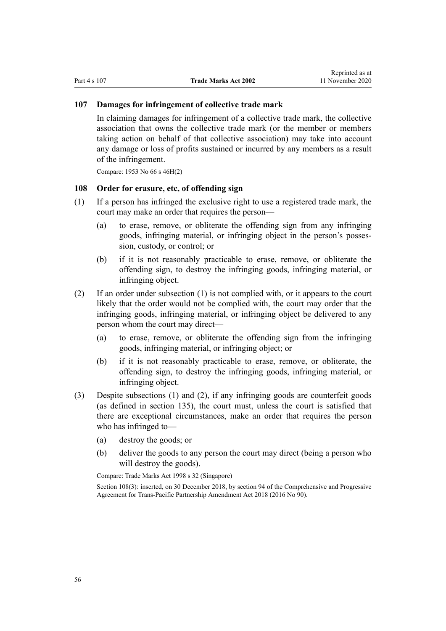#### **107 Damages for infringement of collective trade mark**

In claiming damages for infringement of a collective trade mark, the collective association that owns the collective trade mark (or the member or members taking action on behalf of that collective association) may take into account any damage or loss of profits sustained or incurred by any members as a result of the infringement.

Compare: 1953 No 66 s 46H(2)

## **108 Order for erasure, etc, of offending sign**

- (1) If a person has infringed the exclusive right to use a registered trade mark, the court may make an order that requires the person—
	- (a) to erase, remove, or obliterate the offending sign from any infringing goods, infringing material, or infringing object in the person's possession, custody, or control; or
	- (b) if it is not reasonably practicable to erase, remove, or obliterate the offending sign, to destroy the infringing goods, infringing material, or infringing object.
- (2) If an order under subsection (1) is not complied with, or it appears to the court likely that the order would not be complied with, the court may order that the infringing goods, infringing material, or infringing object be delivered to any person whom the court may direct—
	- (a) to erase, remove, or obliterate the offending sign from the infringing goods, infringing material, or infringing object; or
	- (b) if it is not reasonably practicable to erase, remove, or obliterate, the offending sign, to destroy the infringing goods, infringing material, or infringing object.
- (3) Despite subsections (1) and (2), if any infringing goods are counterfeit goods (as defined in [section 135\)](#page-81-0), the court must, unless the court is satisfied that there are exceptional circumstances, make an order that requires the person who has infringed to—
	- (a) destroy the goods; or
	- (b) deliver the goods to any person the court may direct (being a person who will destroy the goods).

Compare: Trade Marks Act 1998 s 32 (Singapore)

Section 108(3): inserted, on 30 December 2018, by [section 94](http://legislation.govt.nz/pdflink.aspx?id=DLM6838429) of the Comprehensive and Progressive Agreement for Trans-Pacific Partnership Amendment Act 2018 (2016 No 90).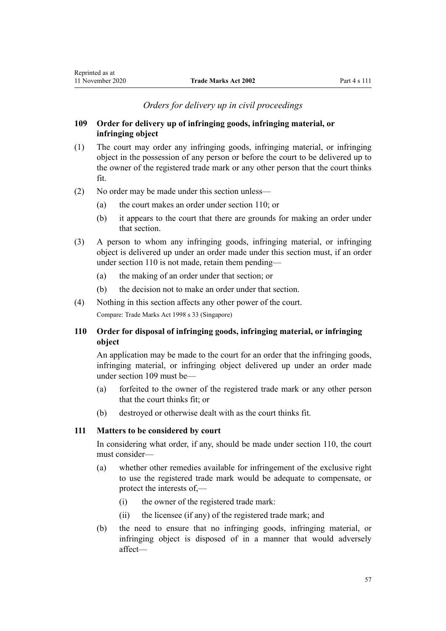# *Orders for delivery up in civil proceedings*

## <span id="page-56-0"></span>**109 Order for delivery up of infringing goods, infringing material, or infringing object**

- (1) The court may order any infringing goods, infringing material, or infringing object in the possession of any person or before the court to be delivered up to the owner of the registered trade mark or any other person that the court thinks fit.
- (2) No order may be made under this section unless—
	- (a) the court makes an order under section 110; or
	- (b) it appears to the court that there are grounds for making an order under that section.
- (3) A person to whom any infringing goods, infringing material, or infringing object is delivered up under an order made under this section must, if an order under section 110 is not made, retain them pending—
	- (a) the making of an order under that section; or
	- (b) the decision not to make an order under that section.
- (4) Nothing in this section affects any other power of the court. Compare: Trade Marks Act 1998 s 33 (Singapore)

# **110 Order for disposal of infringing goods, infringing material, or infringing object**

An application may be made to the court for an order that the infringing goods, infringing material, or infringing object delivered up under an order made under section 109 must be—

- (a) forfeited to the owner of the registered trade mark or any other person that the court thinks fit; or
- (b) destroyed or otherwise dealt with as the court thinks fit.

## **111 Matters to be considered by court**

In considering what order, if any, should be made under section 110, the court must consider—

- (a) whether other remedies available for infringement of the exclusive right to use the registered trade mark would be adequate to compensate, or protect the interests of,—
	- (i) the owner of the registered trade mark:
	- (ii) the licensee (if any) of the registered trade mark; and
- (b) the need to ensure that no infringing goods, infringing material, or infringing object is disposed of in a manner that would adversely affect—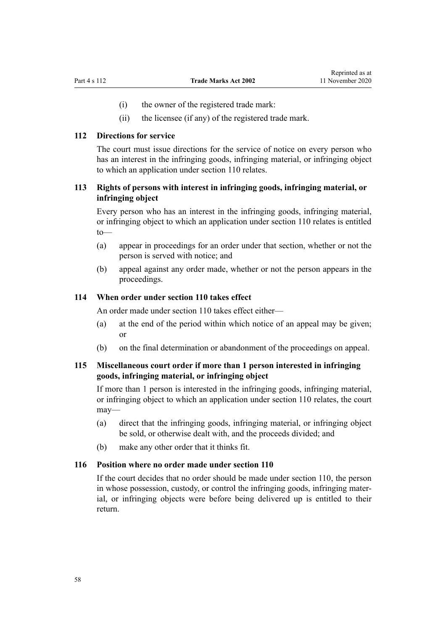- (i) the owner of the registered trade mark:
- (ii) the licensee (if any) of the registered trade mark.

#### **112 Directions for service**

The court must issue directions for the service of notice on every person who has an interest in the infringing goods, infringing material, or infringing object to which an application under [section 110](#page-56-0) relates.

# **113 Rights of persons with interest in infringing goods, infringing material, or infringing object**

Every person who has an interest in the infringing goods, infringing material, or infringing object to which an application under [section 110](#page-56-0) relates is entitled to—

- (a) appear in proceedings for an order under that section, whether or not the person is served with notice; and
- (b) appeal against any order made, whether or not the person appears in the proceedings.

## **114 When order under section 110 takes effect**

An order made under [section 110](#page-56-0) takes effect either—

- (a) at the end of the period within which notice of an appeal may be given; or
- (b) on the final determination or abandonment of the proceedings on appeal.

# **115 Miscellaneous court order if more than 1 person interested in infringing goods, infringing material, or infringing object**

If more than 1 person is interested in the infringing goods, infringing material, or infringing object to which an application under [section 110](#page-56-0) relates, the court may—

- (a) direct that the infringing goods, infringing material, or infringing object be sold, or otherwise dealt with, and the proceeds divided; and
- (b) make any other order that it thinks fit.

## **116 Position where no order made under section 110**

If the court decides that no order should be made under [section 110](#page-56-0), the person in whose possession, custody, or control the infringing goods, infringing material, or infringing objects were before being delivered up is entitled to their return.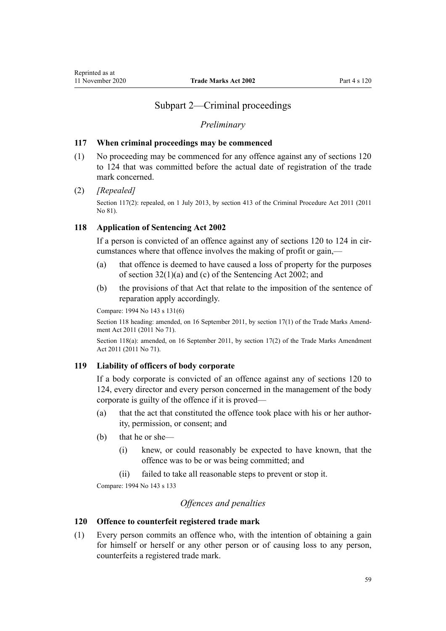# Subpart 2—Criminal proceedings

#### *Preliminary*

#### <span id="page-58-0"></span>**117 When criminal proceedings may be commenced**

(1) No proceeding may be commenced for any offence against any of sections 120 to 124 that was committed before the actual date of registration of the trade mark concerned.

#### (2) *[Repealed]*

Section 117(2): repealed, on 1 July 2013, by [section 413](http://legislation.govt.nz/pdflink.aspx?id=DLM3360714) of the Criminal Procedure Act 2011 (2011) No 81).

## **118 Application of Sentencing Act 2002**

If a person is convicted of an offence against any of sections 120 to 124 in circumstances where that offence involves the making of profit or gain,—

- (a) that offence is deemed to have caused a loss of property for the purposes of [section 32\(1\)\(a\) and \(c\)](http://legislation.govt.nz/pdflink.aspx?id=DLM135596) of the Sentencing Act 2002; and
- (b) the provisions of that Act that relate to the imposition of the sentence of reparation apply accordingly.

Compare: 1994 No 143 [s 131\(6\)](http://legislation.govt.nz/pdflink.aspx?id=DLM346602)

Section 118 heading: amended, on 16 September 2011, by [section 17\(1\)](http://legislation.govt.nz/pdflink.aspx?id=DLM2290054) of the Trade Marks Amendment Act 2011 (2011 No 71).

Section 118(a): amended, on 16 September 2011, by [section 17\(2\)](http://legislation.govt.nz/pdflink.aspx?id=DLM2290054) of the Trade Marks Amendment Act 2011 (2011 No 71).

#### **119 Liability of officers of body corporate**

If a body corporate is convicted of an offence against any of sections 120 to 124, every director and every person concerned in the management of the body corporate is guilty of the offence if it is proved—

- (a) that the act that constituted the offence took place with his or her authority, permission, or consent; and
- (b) that he or she—
	- (i) knew, or could reasonably be expected to have known, that the offence was to be or was being committed; and
	- (ii) failed to take all reasonable steps to prevent or stop it.

Compare: 1994 No 143 [s 133](http://legislation.govt.nz/pdflink.aspx?id=DLM346611)

## *Offences and penalties*

## **120 Offence to counterfeit registered trade mark**

(1) Every person commits an offence who, with the intention of obtaining a gain for himself or herself or any other person or of causing loss to any person, counterfeits a registered trade mark.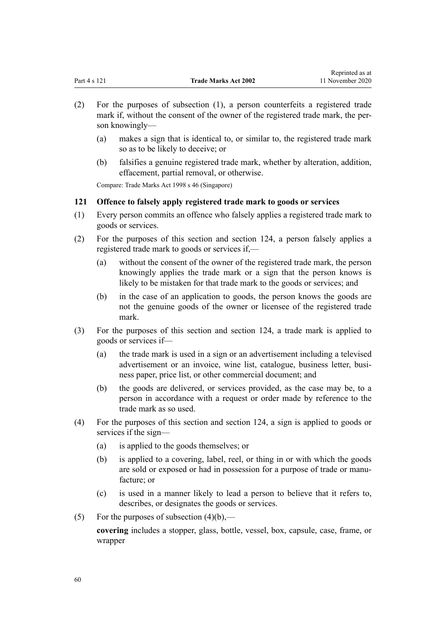<span id="page-59-0"></span>

| 11 November 2020<br>Part 4 s 121<br><b>Trade Marks Act 2002</b> |  |
|-----------------------------------------------------------------|--|

Reprinted as at

- (2) For the purposes of subsection (1), a person counterfeits a registered trade mark if, without the consent of the owner of the registered trade mark, the person knowingly—
	- (a) makes a sign that is identical to, or similar to, the registered trade mark so as to be likely to deceive; or
	- (b) falsifies a genuine registered trade mark, whether by alteration, addition, effacement, partial removal, or otherwise.

Compare: Trade Marks Act 1998 s 46 (Singapore)

## **121 Offence to falsely apply registered trade mark to goods or services**

- (1) Every person commits an offence who falsely applies a registered trade mark to goods or services.
- (2) For the purposes of this section and [section 124,](#page-60-0) a person falsely applies a registered trade mark to goods or services if,—
	- (a) without the consent of the owner of the registered trade mark, the person knowingly applies the trade mark or a sign that the person knows is likely to be mistaken for that trade mark to the goods or services; and
	- (b) in the case of an application to goods, the person knows the goods are not the genuine goods of the owner or licensee of the registered trade mark.
- (3) For the purposes of this section and [section 124,](#page-60-0) a trade mark is applied to goods or services if—
	- (a) the trade mark is used in a sign or an advertisement including a televised advertisement or an invoice, wine list, catalogue, business letter, business paper, price list, or other commercial document; and
	- (b) the goods are delivered, or services provided, as the case may be, to a person in accordance with a request or order made by reference to the trade mark as so used.
- (4) For the purposes of this section and [section 124](#page-60-0), a sign is applied to goods or services if the sign—
	- (a) is applied to the goods themselves; or
	- (b) is applied to a covering, label, reel, or thing in or with which the goods are sold or exposed or had in possession for a purpose of trade or manufacture; or
	- (c) is used in a manner likely to lead a person to believe that it refers to, describes, or designates the goods or services.
- (5) For the purposes of subsection  $(4)(b)$ ,—

**covering** includes a stopper, glass, bottle, vessel, box, capsule, case, frame, or wrapper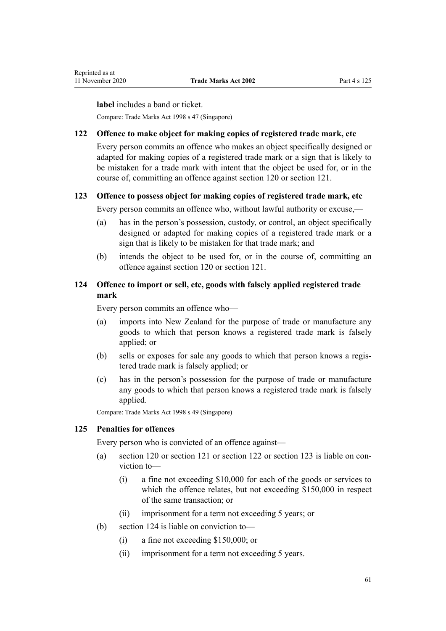<span id="page-60-0"></span>**label** includes a band or ticket.

Compare: Trade Marks Act 1998 s 47 (Singapore)

#### **122 Offence to make object for making copies of registered trade mark, etc**

Every person commits an offence who makes an object specifically designed or adapted for making copies of a registered trade mark or a sign that is likely to be mistaken for a trade mark with intent that the object be used for, or in the course of, committing an offence against [section 120](#page-58-0) or [section 121](#page-59-0).

# **123 Offence to possess object for making copies of registered trade mark, etc**

Every person commits an offence who, without lawful authority or excuse,—

- (a) has in the person's possession, custody, or control, an object specifically designed or adapted for making copies of a registered trade mark or a sign that is likely to be mistaken for that trade mark; and
- (b) intends the object to be used for, or in the course of, committing an offence against [section 120](#page-58-0) or [section 121.](#page-59-0)

## **124 Offence to import or sell, etc, goods with falsely applied registered trade mark**

Every person commits an offence who—

- (a) imports into New Zealand for the purpose of trade or manufacture any goods to which that person knows a registered trade mark is falsely applied; or
- (b) sells or exposes for sale any goods to which that person knows a registered trade mark is falsely applied; or
- (c) has in the person's possession for the purpose of trade or manufacture any goods to which that person knows a registered trade mark is falsely applied.

Compare: Trade Marks Act 1998 s 49 (Singapore)

#### **125 Penalties for offences**

Every person who is convicted of an offence against—

- (a) [section 120](#page-58-0) or [section 121](#page-59-0) or section 122 or section 123 is liable on conviction to—
	- (i) a fine not exceeding \$10,000 for each of the goods or services to which the offence relates, but not exceeding \$150,000 in respect of the same transaction; or
	- (ii) imprisonment for a term not exceeding 5 years; or
- (b) section 124 is liable on conviction to—
	- (i) a fine not exceeding \$150,000; or
	- (ii) imprisonment for a term not exceeding 5 years.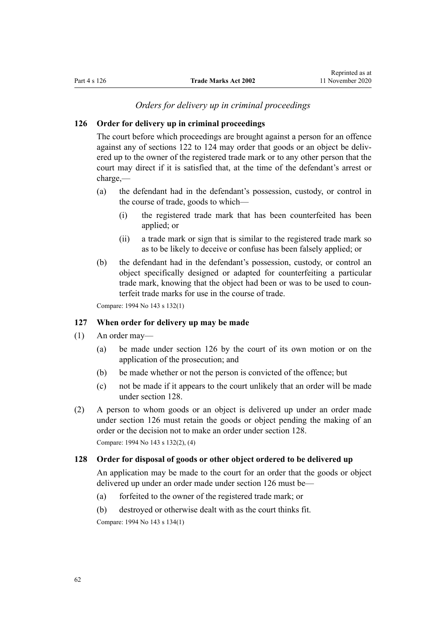# *Orders for delivery up in criminal proceedings*

#### <span id="page-61-0"></span>**126 Order for delivery up in criminal proceedings**

The court before which proceedings are brought against a person for an offence against any of [sections 122 to 124](#page-60-0) may order that goods or an object be delivered up to the owner of the registered trade mark or to any other person that the court may direct if it is satisfied that, at the time of the defendant's arrest or charge,—

- (a) the defendant had in the defendant's possession, custody, or control in the course of trade, goods to which—
	- (i) the registered trade mark that has been counterfeited has been applied; or
	- (ii) a trade mark or sign that is similar to the registered trade mark so as to be likely to deceive or confuse has been falsely applied; or
- (b) the defendant had in the defendant's possession, custody, or control an object specifically designed or adapted for counterfeiting a particular trade mark, knowing that the object had been or was to be used to counterfeit trade marks for use in the course of trade.

Compare: 1994 No 143 [s 132\(1\)](http://legislation.govt.nz/pdflink.aspx?id=DLM346610)

#### **127 When order for delivery up may be made**

- (1) An order may—
	- (a) be made under section 126 by the court of its own motion or on the application of the prosecution; and
	- (b) be made whether or not the person is convicted of the offence; but
	- (c) not be made if it appears to the court unlikely that an order will be made under section 128.
- (2) A person to whom goods or an object is delivered up under an order made under section 126 must retain the goods or object pending the making of an order or the decision not to make an order under section 128.

Compare: 1994 No 143 [s 132\(2\), \(4\)](http://legislation.govt.nz/pdflink.aspx?id=DLM346610)

## **128 Order for disposal of goods or other object ordered to be delivered up**

An application may be made to the court for an order that the goods or object delivered up under an order made under section 126 must be—

- (a) forfeited to the owner of the registered trade mark; or
- (b) destroyed or otherwise dealt with as the court thinks fit.

Compare: 1994 No 143 [s 134\(1\)](http://legislation.govt.nz/pdflink.aspx?id=DLM346615)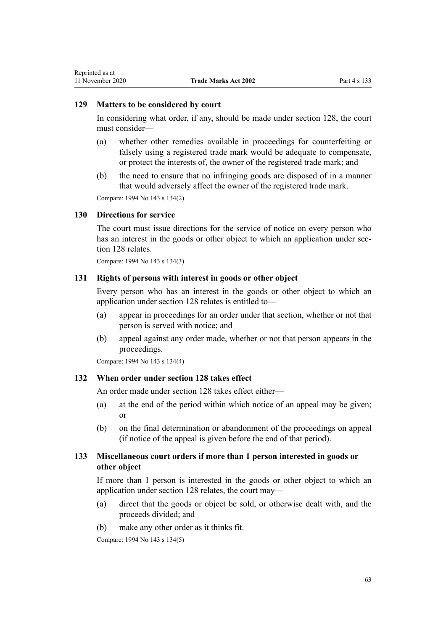#### **129 Matters to be considered by court**

In considering what order, if any, should be made under [section 128](#page-61-0), the court must consider—

- (a) whether other remedies available in proceedings for counterfeiting or falsely using a registered trade mark would be adequate to compensate, or protect the interests of, the owner of the registered trade mark; and
- (b) the need to ensure that no infringing goods are disposed of in a manner that would adversely affect the owner of the registered trade mark.

Compare: 1994 No 143 [s 134\(2\)](http://legislation.govt.nz/pdflink.aspx?id=DLM346615)

#### **130 Directions for service**

The court must issue directions for the service of notice on every person who has an interest in the goods or other object to which an application under [sec](#page-61-0)[tion 128](#page-61-0) relates.

Compare: 1994 No 143 [s 134\(3\)](http://legislation.govt.nz/pdflink.aspx?id=DLM346615)

## **131 Rights of persons with interest in goods or other object**

Every person who has an interest in the goods or other object to which an application under [section 128](#page-61-0) relates is entitled to—

- (a) appear in proceedings for an order under that section, whether or not that person is served with notice; and
- (b) appeal against any order made, whether or not that person appears in the proceedings.

Compare: 1994 No 143 [s 134\(4\)](http://legislation.govt.nz/pdflink.aspx?id=DLM346615)

## **132 When order under section 128 takes effect**

An order made under [section 128](#page-61-0) takes effect either—

- (a) at the end of the period within which notice of an appeal may be given; or
- (b) on the final determination or abandonment of the proceedings on appeal (if notice of the appeal is given before the end of that period).

# **133 Miscellaneous court orders if more than 1 person interested in goods or other object**

If more than 1 person is interested in the goods or other object to which an application under [section 128](#page-61-0) relates, the court may—

- (a) direct that the goods or object be sold, or otherwise dealt with, and the proceeds divided; and
- (b) make any other order as it thinks fit.

Compare: 1994 No 143 [s 134\(5\)](http://legislation.govt.nz/pdflink.aspx?id=DLM346615)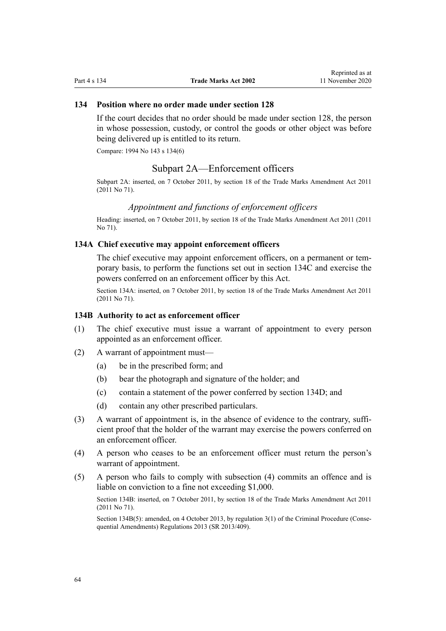#### **134 Position where no order made under section 128**

If the court decides that no order should be made under [section 128](#page-61-0), the person in whose possession, custody, or control the goods or other object was before being delivered up is entitled to its return.

Compare: 1994 No 143 [s 134\(6\)](http://legislation.govt.nz/pdflink.aspx?id=DLM346615)

## Subpart 2A—Enforcement officers

Subpart 2A: inserted, on 7 October 2011, by [section 18](http://legislation.govt.nz/pdflink.aspx?id=DLM2290055) of the Trade Marks Amendment Act 2011 (2011 No 71).

#### *Appointment and functions of enforcement officers*

Heading: inserted, on 7 October 2011, by [section 18](http://legislation.govt.nz/pdflink.aspx?id=DLM2290055) of the Trade Marks Amendment Act 2011 (2011 No 71).

#### **134A Chief executive may appoint enforcement officers**

The chief executive may appoint enforcement officers, on a permanent or temporary basis, to perform the functions set out in [section 134C](#page-64-0) and exercise the powers conferred on an enforcement officer by this Act.

Section 134A: inserted, on 7 October 2011, by [section 18](http://legislation.govt.nz/pdflink.aspx?id=DLM2290055) of the Trade Marks Amendment Act 2011 (2011 No 71).

#### **134B Authority to act as enforcement officer**

- (1) The chief executive must issue a warrant of appointment to every person appointed as an enforcement officer.
- (2) A warrant of appointment must—
	- (a) be in the prescribed form; and
	- (b) bear the photograph and signature of the holder; and
	- (c) contain a statement of the power conferred by [section 134D](#page-64-0); and
	- (d) contain any other prescribed particulars.
- (3) A warrant of appointment is, in the absence of evidence to the contrary, sufficient proof that the holder of the warrant may exercise the powers conferred on an enforcement officer.
- (4) A person who ceases to be an enforcement officer must return the person's warrant of appointment.
- (5) A person who fails to comply with subsection (4) commits an offence and is liable on conviction to a fine not exceeding \$1,000.

Section 134B: inserted, on 7 October 2011, by [section 18](http://legislation.govt.nz/pdflink.aspx?id=DLM2290055) of the Trade Marks Amendment Act 2011 (2011 No 71).

Section 134B(5): amended, on 4 October 2013, by [regulation 3\(1\)](http://legislation.govt.nz/pdflink.aspx?id=DLM5642106) of the Criminal Procedure (Consequential Amendments) Regulations 2013 (SR 2013/409).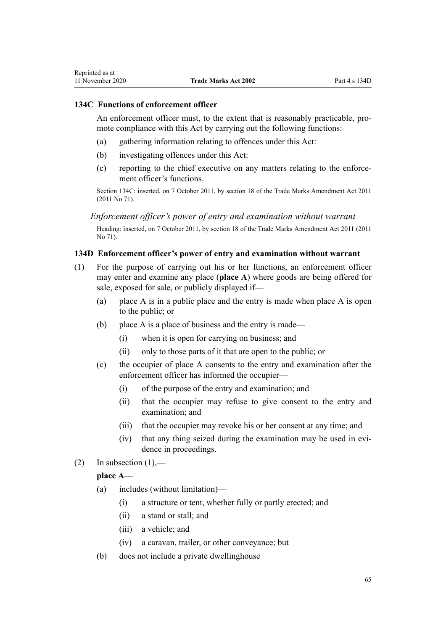# <span id="page-64-0"></span>**134C Functions of enforcement officer**

An enforcement officer must, to the extent that is reasonably practicable, promote compliance with this Act by carrying out the following functions:

- (a) gathering information relating to offences under this Act:
- (b) investigating offences under this Act:
- (c) reporting to the chief executive on any matters relating to the enforcement officer's functions.

Section 134C: inserted, on 7 October 2011, by [section 18](http://legislation.govt.nz/pdflink.aspx?id=DLM2290055) of the Trade Marks Amendment Act 2011 (2011 No 71).

*Enforcement officer's power of entry and examination without warrant*

Heading: inserted, on 7 October 2011, by [section 18](http://legislation.govt.nz/pdflink.aspx?id=DLM2290055) of the Trade Marks Amendment Act 2011 (2011 No 71).

## **134D Enforcement officer's power of entry and examination without warrant**

- (1) For the purpose of carrying out his or her functions, an enforcement officer may enter and examine any place (**place A**) where goods are being offered for sale, exposed for sale, or publicly displayed if—
	- (a) place A is in a public place and the entry is made when place A is open to the public; or
	- (b) place A is a place of business and the entry is made—
		- (i) when it is open for carrying on business; and
		- (ii) only to those parts of it that are open to the public; or
	- (c) the occupier of place A consents to the entry and examination after the enforcement officer has informed the occupier—
		- (i) of the purpose of the entry and examination; and
		- (ii) that the occupier may refuse to give consent to the entry and examination; and
		- (iii) that the occupier may revoke his or her consent at any time; and
		- (iv) that any thing seized during the examination may be used in evidence in proceedings.
- (2) In subsection  $(1)$ ,—

# **place A**—

- (a) includes (without limitation)—
	- (i) a structure or tent, whether fully or partly erected; and
	- (ii) a stand or stall; and
	- (iii) a vehicle; and
	- (iv) a caravan, trailer, or other conveyance; but
- (b) does not include a private dwellinghouse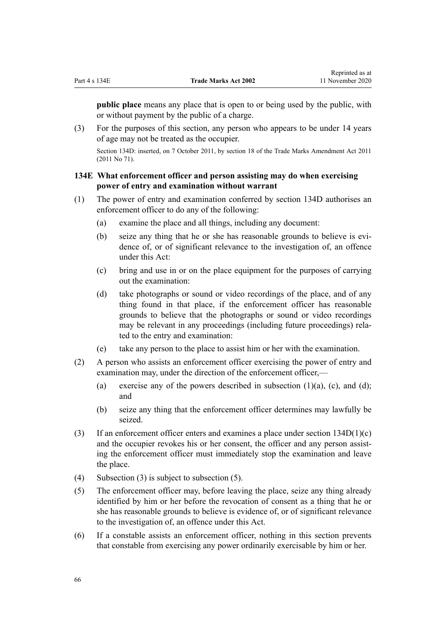**public place** means any place that is open to or being used by the public, with or without payment by the public of a charge.

(3) For the purposes of this section, any person who appears to be under 14 years of age may not be treated as the occupier.

Section 134D: inserted, on 7 October 2011, by [section 18](http://legislation.govt.nz/pdflink.aspx?id=DLM2290055) of the Trade Marks Amendment Act 2011 (2011 No 71).

## **134E What enforcement officer and person assisting may do when exercising power of entry and examination without warrant**

- (1) The power of entry and examination conferred by [section 134D](#page-64-0) authorises an enforcement officer to do any of the following:
	- (a) examine the place and all things, including any document:
	- (b) seize any thing that he or she has reasonable grounds to believe is evidence of, or of significant relevance to the investigation of, an offence under this Act:
	- (c) bring and use in or on the place equipment for the purposes of carrying out the examination:
	- (d) take photographs or sound or video recordings of the place, and of any thing found in that place, if the enforcement officer has reasonable grounds to believe that the photographs or sound or video recordings may be relevant in any proceedings (including future proceedings) related to the entry and examination:
	- (e) take any person to the place to assist him or her with the examination.
- (2) A person who assists an enforcement officer exercising the power of entry and examination may, under the direction of the enforcement officer,—
	- (a) exercise any of the powers described in subsection  $(1)(a)$ ,  $(c)$ , and  $(d)$ ; and
	- (b) seize any thing that the enforcement officer determines may lawfully be seized.
- (3) If an enforcement officer enters and examines a place under section  $134D(1)(c)$ and the occupier revokes his or her consent, the officer and any person assisting the enforcement officer must immediately stop the examination and leave the place.
- (4) Subsection (3) is subject to subsection (5).
- (5) The enforcement officer may, before leaving the place, seize any thing already identified by him or her before the revocation of consent as a thing that he or she has reasonable grounds to believe is evidence of, or of significant relevance to the investigation of, an offence under this Act.
- (6) If a constable assists an enforcement officer, nothing in this section prevents that constable from exercising any power ordinarily exercisable by him or her.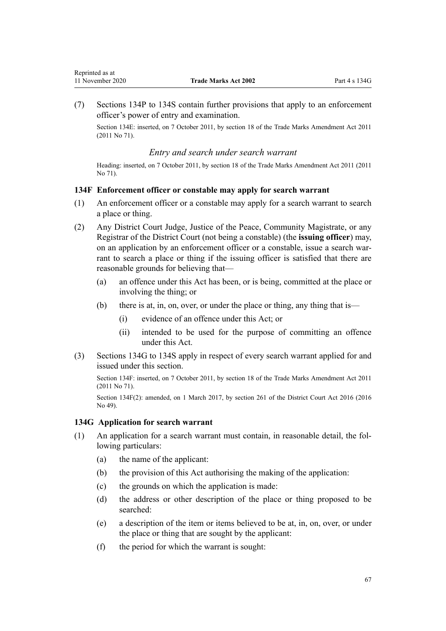<span id="page-66-0"></span>(7) [Sections 134P to 134S](#page-72-0) contain further provisions that apply to an enforcement officer's power of entry and examination.

Section 134E: inserted, on 7 October 2011, by [section 18](http://legislation.govt.nz/pdflink.aspx?id=DLM2290055) of the Trade Marks Amendment Act 2011 (2011 No 71).

#### *Entry and search under search warrant*

Heading: inserted, on 7 October 2011, by [section 18](http://legislation.govt.nz/pdflink.aspx?id=DLM2290055) of the Trade Marks Amendment Act 2011 (2011 No 71).

## **134F Enforcement officer or constable may apply for search warrant**

- (1) An enforcement officer or a constable may apply for a search warrant to search a place or thing.
- (2) Any District Court Judge, Justice of the Peace, Community Magistrate, or any Registrar of the District Court (not being a constable) (the **issuing officer**) may, on an application by an enforcement officer or a constable, issue a search warrant to search a place or thing if the issuing officer is satisfied that there are reasonable grounds for believing that—
	- (a) an offence under this Act has been, or is being, committed at the place or involving the thing; or
	- (b) there is at, in, on, over, or under the place or thing, any thing that is—
		- (i) evidence of an offence under this Act; or
		- (ii) intended to be used for the purpose of committing an offence under this Act.
- (3) Sections 134G to 134S apply in respect of every search warrant applied for and issued under this section.

Section 134F: inserted, on 7 October 2011, by [section 18](http://legislation.govt.nz/pdflink.aspx?id=DLM2290055) of the Trade Marks Amendment Act 2011 (2011 No 71).

Section 134F(2): amended, on 1 March 2017, by [section 261](http://legislation.govt.nz/pdflink.aspx?id=DLM6942680) of the District Court Act 2016 (2016 No 49).

#### **134G Application for search warrant**

- (1) An application for a search warrant must contain, in reasonable detail, the following particulars:
	- (a) the name of the applicant:
	- (b) the provision of this Act authorising the making of the application:
	- (c) the grounds on which the application is made:
	- (d) the address or other description of the place or thing proposed to be searched:
	- (e) a description of the item or items believed to be at, in, on, over, or under the place or thing that are sought by the applicant:
	- (f) the period for which the warrant is sought: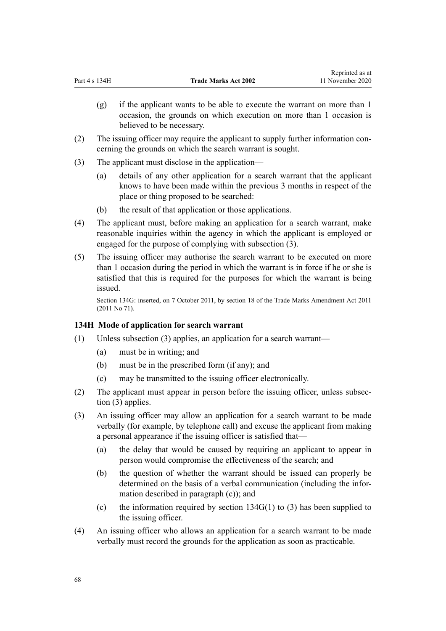- (g) if the applicant wants to be able to execute the warrant on more than 1 occasion, the grounds on which execution on more than 1 occasion is believed to be necessary.
- (2) The issuing officer may require the applicant to supply further information concerning the grounds on which the search warrant is sought.
- (3) The applicant must disclose in the application—
	- (a) details of any other application for a search warrant that the applicant knows to have been made within the previous 3 months in respect of the place or thing proposed to be searched:
	- (b) the result of that application or those applications.
- (4) The applicant must, before making an application for a search warrant, make reasonable inquiries within the agency in which the applicant is employed or engaged for the purpose of complying with subsection (3).
- (5) The issuing officer may authorise the search warrant to be executed on more than 1 occasion during the period in which the warrant is in force if he or she is satisfied that this is required for the purposes for which the warrant is being issued.

Section 134G: inserted, on 7 October 2011, by [section 18](http://legislation.govt.nz/pdflink.aspx?id=DLM2290055) of the Trade Marks Amendment Act 2011 (2011 No 71).

# **134H Mode of application for search warrant**

- (1) Unless subsection (3) applies, an application for a search warrant—
	- (a) must be in writing; and
	- (b) must be in the prescribed form (if any); and
	- (c) may be transmitted to the issuing officer electronically.
- (2) The applicant must appear in person before the issuing officer, unless subsection (3) applies.
- (3) An issuing officer may allow an application for a search warrant to be made verbally (for example, by telephone call) and excuse the applicant from making a personal appearance if the issuing officer is satisfied that—
	- (a) the delay that would be caused by requiring an applicant to appear in person would compromise the effectiveness of the search; and
	- (b) the question of whether the warrant should be issued can properly be determined on the basis of a verbal communication (including the information described in paragraph (c)); and
	- (c) the information required by section  $134G(1)$  to (3) has been supplied to the issuing officer.
- (4) An issuing officer who allows an application for a search warrant to be made verbally must record the grounds for the application as soon as practicable.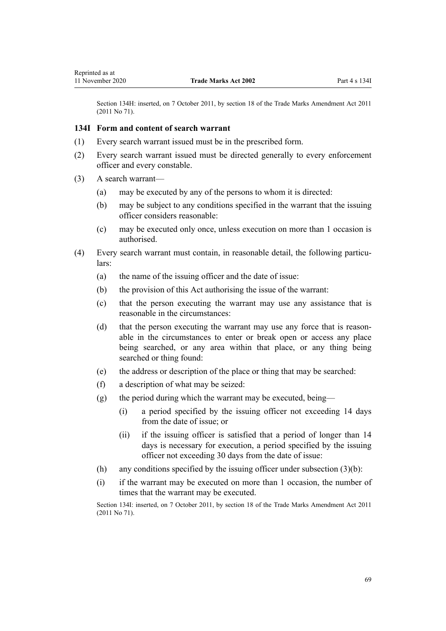<span id="page-68-0"></span>Section 134H: inserted, on 7 October 2011, by [section 18](http://legislation.govt.nz/pdflink.aspx?id=DLM2290055) of the Trade Marks Amendment Act 2011 (2011 No 71).

## **134I Form and content of search warrant**

- (1) Every search warrant issued must be in the prescribed form.
- (2) Every search warrant issued must be directed generally to every enforcement officer and every constable.
- (3) A search warrant—
	- (a) may be executed by any of the persons to whom it is directed:
	- (b) may be subject to any conditions specified in the warrant that the issuing officer considers reasonable:
	- (c) may be executed only once, unless execution on more than 1 occasion is authorised.
- (4) Every search warrant must contain, in reasonable detail, the following particulars:
	- (a) the name of the issuing officer and the date of issue:
	- (b) the provision of this Act authorising the issue of the warrant:
	- (c) that the person executing the warrant may use any assistance that is reasonable in the circumstances:
	- (d) that the person executing the warrant may use any force that is reasonable in the circumstances to enter or break open or access any place being searched, or any area within that place, or any thing being searched or thing found:
	- (e) the address or description of the place or thing that may be searched:
	- (f) a description of what may be seized:
	- (g) the period during which the warrant may be executed, being—
		- (i) a period specified by the issuing officer not exceeding 14 days from the date of issue; or
		- (ii) if the issuing officer is satisfied that a period of longer than 14 days is necessary for execution, a period specified by the issuing officer not exceeding 30 days from the date of issue:
	- (h) any conditions specified by the issuing officer under subsection  $(3)(b)$ :
	- (i) if the warrant may be executed on more than 1 occasion, the number of times that the warrant may be executed.

Section 134I: inserted, on 7 October 2011, by [section 18](http://legislation.govt.nz/pdflink.aspx?id=DLM2290055) of the Trade Marks Amendment Act 2011 (2011 No 71).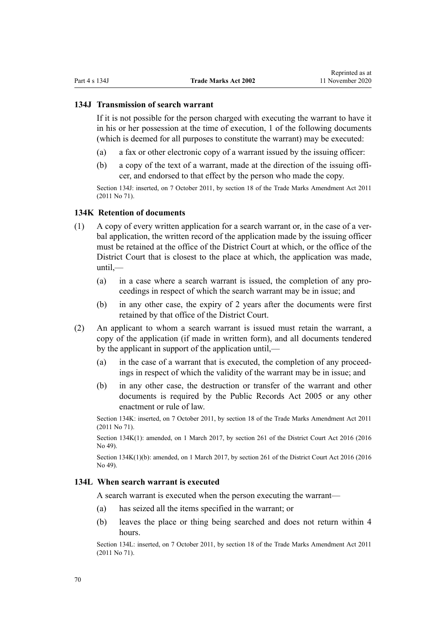#### **134J Transmission of search warrant**

If it is not possible for the person charged with executing the warrant to have it in his or her possession at the time of execution, 1 of the following documents (which is deemed for all purposes to constitute the warrant) may be executed:

- (a) a fax or other electronic copy of a warrant issued by the issuing officer:
- (b) a copy of the text of a warrant, made at the direction of the issuing officer, and endorsed to that effect by the person who made the copy.

Section 134J: inserted, on 7 October 2011, by [section 18](http://legislation.govt.nz/pdflink.aspx?id=DLM2290055) of the Trade Marks Amendment Act 2011 (2011 No 71).

#### **134K Retention of documents**

- (1) A copy of every written application for a search warrant or, in the case of a verbal application, the written record of the application made by the issuing officer must be retained at the office of the District Court at which, or the office of the District Court that is closest to the place at which, the application was made,  $until$ —
	- (a) in a case where a search warrant is issued, the completion of any proceedings in respect of which the search warrant may be in issue; and
	- (b) in any other case, the expiry of 2 years after the documents were first retained by that office of the District Court.
- (2) An applicant to whom a search warrant is issued must retain the warrant, a copy of the application (if made in written form), and all documents tendered by the applicant in support of the application until,—
	- (a) in the case of a warrant that is executed, the completion of any proceedings in respect of which the validity of the warrant may be in issue; and
	- (b) in any other case, the destruction or transfer of the warrant and other documents is required by the [Public Records Act 2005](http://legislation.govt.nz/pdflink.aspx?id=DLM345528) or any other enactment or rule of law.

Section 134K: inserted, on 7 October 2011, by [section 18](http://legislation.govt.nz/pdflink.aspx?id=DLM2290055) of the Trade Marks Amendment Act 2011 (2011 No 71).

Section 134K(1): amended, on 1 March 2017, by [section 261](http://legislation.govt.nz/pdflink.aspx?id=DLM6942680) of the District Court Act 2016 (2016 No 49).

Section 134K(1)(b): amended, on 1 March 2017, by [section 261](http://legislation.govt.nz/pdflink.aspx?id=DLM6942680) of the District Court Act 2016 (2016) No 49).

#### **134L When search warrant is executed**

A search warrant is executed when the person executing the warrant—

- (a) has seized all the items specified in the warrant; or
- (b) leaves the place or thing being searched and does not return within 4 hours.

Section 134L: inserted, on 7 October 2011, by [section 18](http://legislation.govt.nz/pdflink.aspx?id=DLM2290055) of the Trade Marks Amendment Act 2011 (2011 No 71).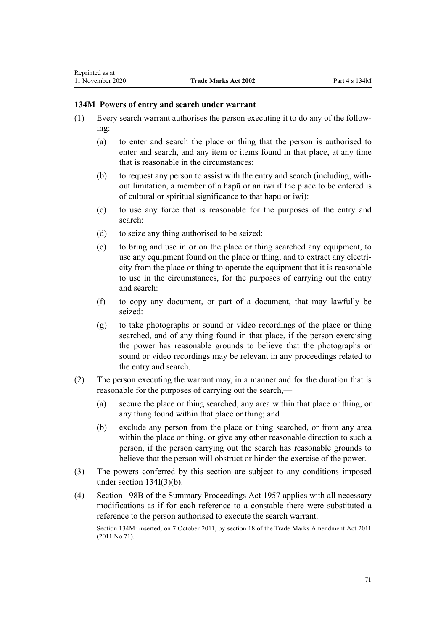## **134M Powers of entry and search under warrant**

- (1) Every search warrant authorises the person executing it to do any of the following:
	- (a) to enter and search the place or thing that the person is authorised to enter and search, and any item or items found in that place, at any time that is reasonable in the circumstances:
	- (b) to request any person to assist with the entry and search (including, without limitation, a member of a hapū or an iwi if the place to be entered is of cultural or spiritual significance to that hapū or iwi):
	- (c) to use any force that is reasonable for the purposes of the entry and search:
	- (d) to seize any thing authorised to be seized:
	- (e) to bring and use in or on the place or thing searched any equipment, to use any equipment found on the place or thing, and to extract any electricity from the place or thing to operate the equipment that it is reasonable to use in the circumstances, for the purposes of carrying out the entry and search:
	- (f) to copy any document, or part of a document, that may lawfully be seized:
	- (g) to take photographs or sound or video recordings of the place or thing searched, and of any thing found in that place, if the person exercising the power has reasonable grounds to believe that the photographs or sound or video recordings may be relevant in any proceedings related to the entry and search.
- (2) The person executing the warrant may, in a manner and for the duration that is reasonable for the purposes of carrying out the search,—
	- (a) secure the place or thing searched, any area within that place or thing, or any thing found within that place or thing; and
	- (b) exclude any person from the place or thing searched, or from any area within the place or thing, or give any other reasonable direction to such a person, if the person carrying out the search has reasonable grounds to believe that the person will obstruct or hinder the exercise of the power.
- (3) The powers conferred by this section are subject to any conditions imposed under [section 134I\(3\)\(b\).](#page-68-0)
- (4) [Section 198B](http://legislation.govt.nz/pdflink.aspx?id=DLM314016) of the Summary Proceedings Act 1957 applies with all necessary modifications as if for each reference to a constable there were substituted a reference to the person authorised to execute the search warrant.

Section 134M: inserted, on 7 October 2011, by [section 18](http://legislation.govt.nz/pdflink.aspx?id=DLM2290055) of the Trade Marks Amendment Act 2011 (2011 No 71).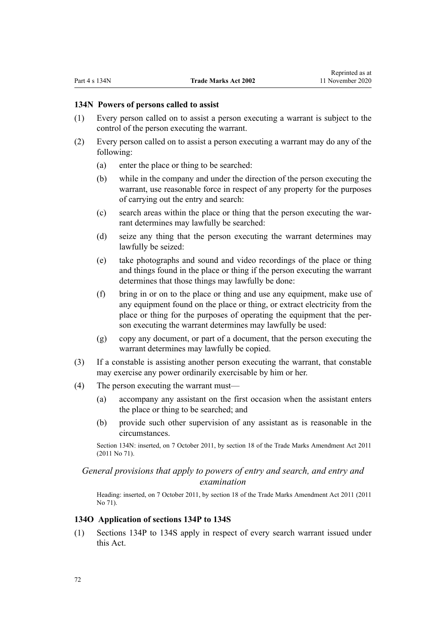#### **134N Powers of persons called to assist**

- (1) Every person called on to assist a person executing a warrant is subject to the control of the person executing the warrant.
- (2) Every person called on to assist a person executing a warrant may do any of the following:
	- (a) enter the place or thing to be searched:
	- (b) while in the company and under the direction of the person executing the warrant, use reasonable force in respect of any property for the purposes of carrying out the entry and search:
	- (c) search areas within the place or thing that the person executing the warrant determines may lawfully be searched:
	- (d) seize any thing that the person executing the warrant determines may lawfully be seized:
	- (e) take photographs and sound and video recordings of the place or thing and things found in the place or thing if the person executing the warrant determines that those things may lawfully be done:
	- (f) bring in or on to the place or thing and use any equipment, make use of any equipment found on the place or thing, or extract electricity from the place or thing for the purposes of operating the equipment that the person executing the warrant determines may lawfully be used:
	- (g) copy any document, or part of a document, that the person executing the warrant determines may lawfully be copied.
- (3) If a constable is assisting another person executing the warrant, that constable may exercise any power ordinarily exercisable by him or her.
- (4) The person executing the warrant must—
	- (a) accompany any assistant on the first occasion when the assistant enters the place or thing to be searched; and
	- (b) provide such other supervision of any assistant as is reasonable in the circumstances.

Section 134N: inserted, on 7 October 2011, by [section 18](http://legislation.govt.nz/pdflink.aspx?id=DLM2290055) of the Trade Marks Amendment Act 2011 (2011 No 71).

# *General provisions that apply to powers of entry and search, and entry and examination*

Heading: inserted, on 7 October 2011, by [section 18](http://legislation.govt.nz/pdflink.aspx?id=DLM2290055) of the Trade Marks Amendment Act 2011 (2011 No 71).

#### **134O Application of sections 134P to 134S**

(1) [Sections 134P to 134S](#page-72-0) apply in respect of every search warrant issued under this Act.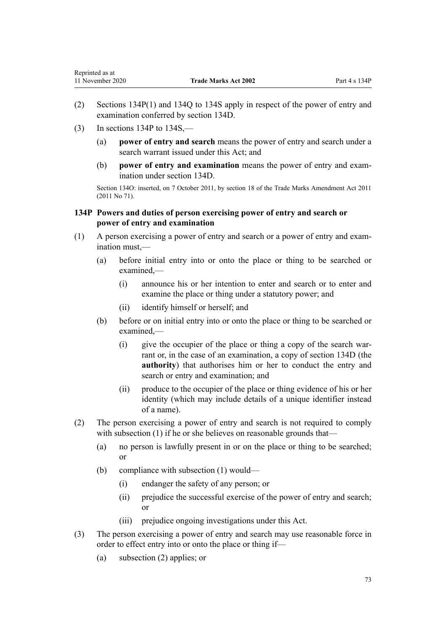- (2) Sections 134P(1) and [134Q to 134S](#page-73-0) apply in respect of the power of entry and examination conferred by [section 134D](#page-64-0).
- $(3)$  In sections 134P to 134S.—

<span id="page-72-0"></span>Reprinted as at

- (a) **power of entry and search** means the power of entry and search under a search warrant issued under this Act; and
- (b) **power of entry and examination** means the power of entry and examination under [section 134D](#page-64-0).

Section 134O: inserted, on 7 October 2011, by [section 18](http://legislation.govt.nz/pdflink.aspx?id=DLM2290055) of the Trade Marks Amendment Act 2011 (2011 No 71).

# **134P Powers and duties of person exercising power of entry and search or power of entry and examination**

- (1) A person exercising a power of entry and search or a power of entry and examination must,—
	- (a) before initial entry into or onto the place or thing to be searched or examined,—
		- (i) announce his or her intention to enter and search or to enter and examine the place or thing under a statutory power; and
		- (ii) identify himself or herself; and
	- (b) before or on initial entry into or onto the place or thing to be searched or examined,—
		- (i) give the occupier of the place or thing a copy of the search warrant or, in the case of an examination, a copy of [section 134D](#page-64-0) (the **authority**) that authorises him or her to conduct the entry and search or entry and examination; and
		- (ii) produce to the occupier of the place or thing evidence of his or her identity (which may include details of a unique identifier instead of a name).
- (2) The person exercising a power of entry and search is not required to comply with subsection (1) if he or she believes on reasonable grounds that—
	- (a) no person is lawfully present in or on the place or thing to be searched; or
	- (b) compliance with subsection (1) would—
		- (i) endanger the safety of any person; or
		- (ii) prejudice the successful exercise of the power of entry and search; or
		- (iii) prejudice ongoing investigations under this Act.
- (3) The person exercising a power of entry and search may use reasonable force in order to effect entry into or onto the place or thing if—
	- (a) subsection (2) applies; or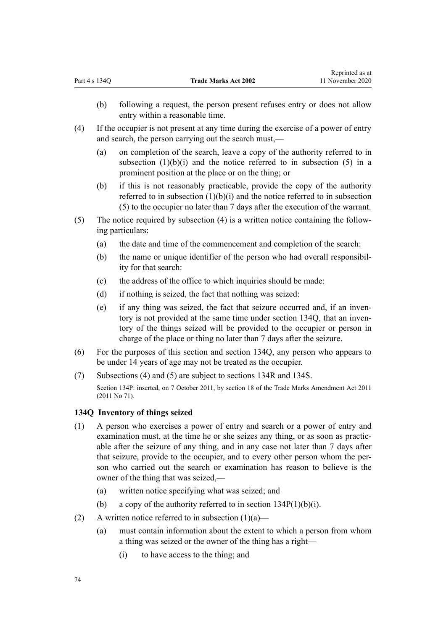- <span id="page-73-0"></span>(b) following a request, the person present refuses entry or does not allow entry within a reasonable time.
- (4) If the occupier is not present at any time during the exercise of a power of entry and search, the person carrying out the search must,—
	- (a) on completion of the search, leave a copy of the authority referred to in subsection  $(1)(b)(i)$  and the notice referred to in subsection  $(5)$  in a prominent position at the place or on the thing; or
	- (b) if this is not reasonably practicable, provide the copy of the authority referred to in subsection  $(1)(b)(i)$  and the notice referred to in subsection (5) to the occupier no later than 7 days after the execution of the warrant.
- (5) The notice required by subsection (4) is a written notice containing the following particulars:
	- (a) the date and time of the commencement and completion of the search:
	- (b) the name or unique identifier of the person who had overall responsibility for that search:
	- (c) the address of the office to which inquiries should be made:
	- (d) if nothing is seized, the fact that nothing was seized:
	- (e) if any thing was seized, the fact that seizure occurred and, if an inventory is not provided at the same time under section 134Q, that an inventory of the things seized will be provided to the occupier or person in charge of the place or thing no later than 7 days after the seizure.
- (6) For the purposes of this section and section 134Q, any person who appears to be under 14 years of age may not be treated as the occupier.
- (7) Subsections (4) and (5) are subject to [sections 134R](#page-74-0) and [134S](#page-75-0).

Section 134P: inserted, on 7 October 2011, by [section 18](http://legislation.govt.nz/pdflink.aspx?id=DLM2290055) of the Trade Marks Amendment Act 2011 (2011 No 71).

### **134Q Inventory of things seized**

- (1) A person who exercises a power of entry and search or a power of entry and examination must, at the time he or she seizes any thing, or as soon as practicable after the seizure of any thing, and in any case not later than 7 days after that seizure, provide to the occupier, and to every other person whom the person who carried out the search or examination has reason to believe is the owner of the thing that was seized,—
	- (a) written notice specifying what was seized; and
	- (b) a copy of the authority referred to in section  $134P(1)(b)(i)$ .
- (2) A written notice referred to in subsection  $(1)(a)$ 
	- (a) must contain information about the extent to which a person from whom a thing was seized or the owner of the thing has a right—
		- (i) to have access to the thing; and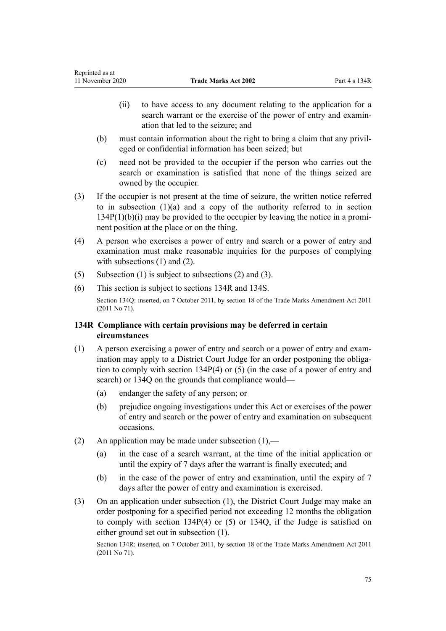- <span id="page-74-0"></span>(ii) to have access to any document relating to the application for a search warrant or the exercise of the power of entry and examination that led to the seizure; and
- (b) must contain information about the right to bring a claim that any privileged or confidential information has been seized; but
- (c) need not be provided to the occupier if the person who carries out the search or examination is satisfied that none of the things seized are owned by the occupier.
- (3) If the occupier is not present at the time of seizure, the written notice referred to in sub[section](#page-72-0)  $(1)(a)$  and a copy of the authority referred to in section [134P\(1\)\(b\)\(i\)](#page-72-0) may be provided to the occupier by leaving the notice in a prominent position at the place or on the thing.
- (4) A person who exercises a power of entry and search or a power of entry and examination must make reasonable inquiries for the purposes of complying with subsections (1) and (2).
- (5) Subsection (1) is subject to subsections (2) and (3).
- (6) This section is subject to sections 134R and [134S.](#page-75-0)

Section 134Q: inserted, on 7 October 2011, by [section 18](http://legislation.govt.nz/pdflink.aspx?id=DLM2290055) of the Trade Marks Amendment Act 2011 (2011 No 71).

# **134R Compliance with certain provisions may be deferred in certain circumstances**

- (1) A person exercising a power of entry and search or a power of entry and examination may apply to a District Court Judge for an order postponing the obligation to comply with [section 134P\(4\) or \(5\)](#page-72-0) (in the case of a power of entry and search) or [134Q](#page-73-0) on the grounds that compliance would—
	- (a) endanger the safety of any person; or
	- (b) prejudice ongoing investigations under this Act or exercises of the power of entry and search or the power of entry and examination on subsequent occasions.
- (2) An application may be made under subsection  $(1)$ ,—
	- (a) in the case of a search warrant, at the time of the initial application or until the expiry of 7 days after the warrant is finally executed; and
	- (b) in the case of the power of entry and examination, until the expiry of 7 days after the power of entry and examination is exercised.
- (3) On an application under subsection (1), the District Court Judge may make an order postponing for a specified period not exceeding 12 months the obligation to comply with [section 134P\(4\) or \(5\)](#page-72-0) or [134Q](#page-73-0), if the Judge is satisfied on either ground set out in subsection (1).

Section 134R: inserted, on 7 October 2011, by [section 18](http://legislation.govt.nz/pdflink.aspx?id=DLM2290055) of the Trade Marks Amendment Act 2011 (2011 No 71).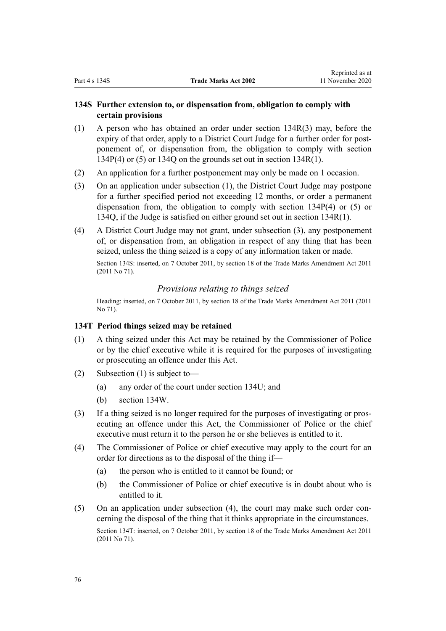# <span id="page-75-0"></span>**134S Further extension to, or dispensation from, obligation to comply with certain provisions**

- (1) A person who has obtained an order under [section 134R\(3\)](#page-74-0) may, before the expiry of that order, apply to a District Court Judge for a further order for postponement of, or dispensation from, the obligation to comply with [section](#page-72-0) [134P\(4\) or \(5\)](#page-72-0) or [134Q](#page-73-0) on the grounds set out i[n section 134R\(1\).](#page-74-0)
- (2) An application for a further postponement may only be made on 1 occasion.
- (3) On an application under subsection (1), the District Court Judge may postpone for a further specified period not exceeding 12 months, or order a permanent dispensation from, the obligation to comply with [section 134P\(4\) or \(5\)](#page-72-0) or [134Q,](#page-73-0) if the Judge is satisfied on either ground set out in [section 134R\(1\)](#page-74-0).
- (4) A District Court Judge may not grant, under subsection (3), any postponement of, or dispensation from, an obligation in respect of any thing that has been seized, unless the thing seized is a copy of any information taken or made.

Section 134S: inserted, on 7 October 2011, by [section 18](http://legislation.govt.nz/pdflink.aspx?id=DLM2290055) of the Trade Marks Amendment Act 2011 (2011 No 71).

## *Provisions relating to things seized*

Heading: inserted, on 7 October 2011, by [section 18](http://legislation.govt.nz/pdflink.aspx?id=DLM2290055) of the Trade Marks Amendment Act 2011 (2011 No 71).

## **134T Period things seized may be retained**

- (1) A thing seized under this Act may be retained by the Commissioner of Police or by the chief executive while it is required for the purposes of investigating or prosecuting an offence under this Act.
- (2) Subsection (1) is subject to—
	- (a) any order of the court under [section 134U;](#page-76-0) and
	- (b) [section 134W.](#page-77-0)
- (3) If a thing seized is no longer required for the purposes of investigating or prosecuting an offence under this Act, the Commissioner of Police or the chief executive must return it to the person he or she believes is entitled to it.
- (4) The Commissioner of Police or chief executive may apply to the court for an order for directions as to the disposal of the thing if—
	- (a) the person who is entitled to it cannot be found; or
	- (b) the Commissioner of Police or chief executive is in doubt about who is entitled to it.
- (5) On an application under subsection (4), the court may make such order concerning the disposal of the thing that it thinks appropriate in the circumstances. Section 134T: inserted, on 7 October 2011, by [section 18](http://legislation.govt.nz/pdflink.aspx?id=DLM2290055) of the Trade Marks Amendment Act 2011 (2011 No 71).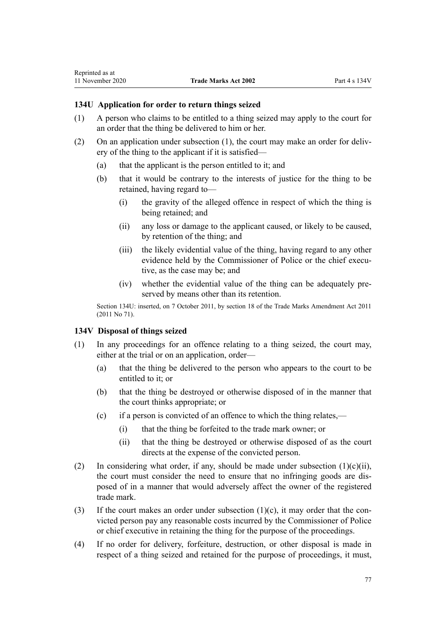# <span id="page-76-0"></span>**134U Application for order to return things seized**

- (1) A person who claims to be entitled to a thing seized may apply to the court for an order that the thing be delivered to him or her.
- (2) On an application under subsection (1), the court may make an order for delivery of the thing to the applicant if it is satisfied—
	- (a) that the applicant is the person entitled to it; and
	- (b) that it would be contrary to the interests of justice for the thing to be retained, having regard to—
		- (i) the gravity of the alleged offence in respect of which the thing is being retained; and
		- (ii) any loss or damage to the applicant caused, or likely to be caused, by retention of the thing; and
		- (iii) the likely evidential value of the thing, having regard to any other evidence held by the Commissioner of Police or the chief executive, as the case may be; and
		- (iv) whether the evidential value of the thing can be adequately preserved by means other than its retention.

Section 134U: inserted, on 7 October 2011, by [section 18](http://legislation.govt.nz/pdflink.aspx?id=DLM2290055) of the Trade Marks Amendment Act 2011 (2011 No 71).

### **134V Disposal of things seized**

- (1) In any proceedings for an offence relating to a thing seized, the court may, either at the trial or on an application, order—
	- (a) that the thing be delivered to the person who appears to the court to be entitled to it; or
	- (b) that the thing be destroyed or otherwise disposed of in the manner that the court thinks appropriate; or
	- (c) if a person is convicted of an offence to which the thing relates,—
		- (i) that the thing be forfeited to the trade mark owner; or
		- (ii) that the thing be destroyed or otherwise disposed of as the court directs at the expense of the convicted person.
- (2) In considering what order, if any, should be made under subsection  $(1)(c)(ii)$ , the court must consider the need to ensure that no infringing goods are disposed of in a manner that would adversely affect the owner of the registered trade mark.
- (3) If the court makes an order under subsection  $(1)(c)$ , it may order that the convicted person pay any reasonable costs incurred by the Commissioner of Police or chief executive in retaining the thing for the purpose of the proceedings.
- (4) If no order for delivery, forfeiture, destruction, or other disposal is made in respect of a thing seized and retained for the purpose of proceedings, it must,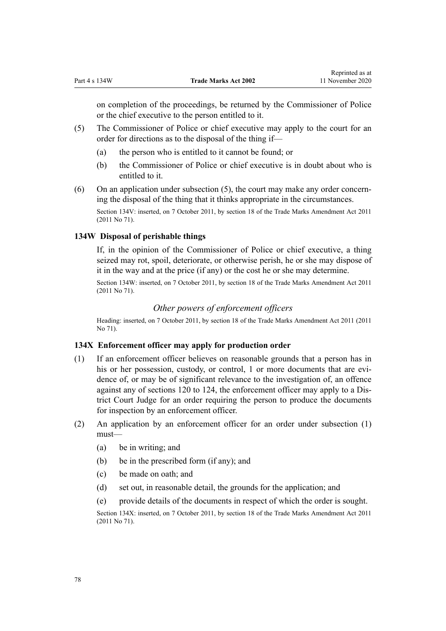<span id="page-77-0"></span>on completion of the proceedings, be returned by the Commissioner of Police or the chief executive to the person entitled to it.

- (5) The Commissioner of Police or chief executive may apply to the court for an order for directions as to the disposal of the thing if—
	- (a) the person who is entitled to it cannot be found; or
	- (b) the Commissioner of Police or chief executive is in doubt about who is entitled to it.
- (6) On an application under subsection (5), the court may make any order concerning the disposal of the thing that it thinks appropriate in the circumstances.

Section 134V: inserted, on 7 October 2011, by [section 18](http://legislation.govt.nz/pdflink.aspx?id=DLM2290055) of the Trade Marks Amendment Act 2011 (2011 No 71).

# **134W Disposal of perishable things**

If, in the opinion of the Commissioner of Police or chief executive, a thing seized may rot, spoil, deteriorate, or otherwise perish, he or she may dispose of it in the way and at the price (if any) or the cost he or she may determine.

Section 134W: inserted, on 7 October 2011, by [section 18](http://legislation.govt.nz/pdflink.aspx?id=DLM2290055) of the Trade Marks Amendment Act 2011 (2011 No 71).

# *Other powers of enforcement officers*

Heading: inserted, on 7 October 2011, by [section 18](http://legislation.govt.nz/pdflink.aspx?id=DLM2290055) of the Trade Marks Amendment Act 2011 (2011 No 71).

## **134X Enforcement officer may apply for production order**

- (1) If an enforcement officer believes on reasonable grounds that a person has in his or her possession, custody, or control, 1 or more documents that are evidence of, or may be of significant relevance to the investigation of, an offence against any of [sections 120 to 124](#page-58-0), the enforcement officer may apply to a District Court Judge for an order requiring the person to produce the documents for inspection by an enforcement officer.
- (2) An application by an enforcement officer for an order under subsection (1) must—
	- (a) be in writing; and
	- (b) be in the prescribed form (if any); and
	- (c) be made on oath; and
	- (d) set out, in reasonable detail, the grounds for the application; and
	- (e) provide details of the documents in respect of which the order is sought.

Section 134X: inserted, on 7 October 2011, by [section 18](http://legislation.govt.nz/pdflink.aspx?id=DLM2290055) of the Trade Marks Amendment Act 2011 (2011 No 71).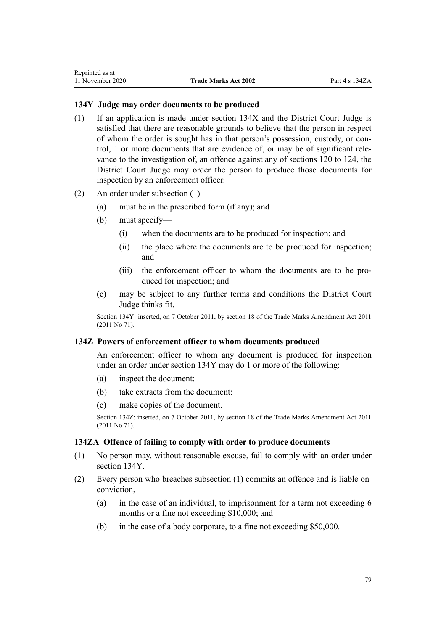# <span id="page-78-0"></span>**134Y Judge may order documents to be produced**

- (1) If an application is made under [section 134X](#page-77-0) and the District Court Judge is satisfied that there are reasonable grounds to believe that the person in respect of whom the order is sought has in that person's possession, custody, or control, 1 or more documents that are evidence of, or may be of significant relevance to the investigation of, an offence against any of [sections 120 to 124](#page-58-0), the District Court Judge may order the person to produce those documents for inspection by an enforcement officer.
- (2) An order under subsection (1)—
	- (a) must be in the prescribed form (if any); and
	- (b) must specify—
		- (i) when the documents are to be produced for inspection; and
		- (ii) the place where the documents are to be produced for inspection; and
		- (iii) the enforcement officer to whom the documents are to be produced for inspection; and
	- (c) may be subject to any further terms and conditions the District Court Judge thinks fit.

Section 134Y: inserted, on 7 October 2011, by [section 18](http://legislation.govt.nz/pdflink.aspx?id=DLM2290055) of the Trade Marks Amendment Act 2011 (2011 No 71).

## **134Z Powers of enforcement officer to whom documents produced**

An enforcement officer to whom any document is produced for inspection under an order under section 134Y may do 1 or more of the following:

- (a) inspect the document:
- (b) take extracts from the document:
- (c) make copies of the document.

Section 134Z: inserted, on 7 October 2011, by [section 18](http://legislation.govt.nz/pdflink.aspx?id=DLM2290055) of the Trade Marks Amendment Act 2011 (2011 No 71).

# **134ZA Offence of failing to comply with order to produce documents**

- (1) No person may, without reasonable excuse, fail to comply with an order under section 134Y.
- (2) Every person who breaches subsection (1) commits an offence and is liable on conviction,—
	- (a) in the case of an individual, to imprisonment for a term not exceeding 6 months or a fine not exceeding \$10,000; and
	- (b) in the case of a body corporate, to a fine not exceeding \$50,000.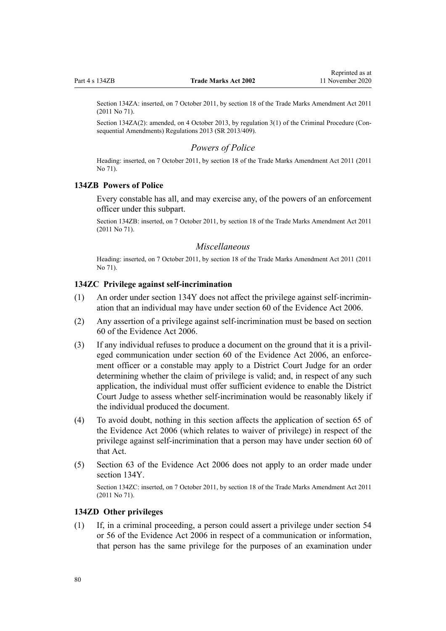Section 134ZA: inserted, on 7 October 2011, by [section 18](http://legislation.govt.nz/pdflink.aspx?id=DLM2290055) of the Trade Marks Amendment Act 2011 (2011 No 71).

Section 134ZA(2): amended, on 4 October 2013, by [regulation 3\(1\)](http://legislation.govt.nz/pdflink.aspx?id=DLM5642106) of the Criminal Procedure (Consequential Amendments) Regulations 2013 (SR 2013/409).

### *Powers of Police*

Heading: inserted, on 7 October 2011, by [section 18](http://legislation.govt.nz/pdflink.aspx?id=DLM2290055) of the Trade Marks Amendment Act 2011 (2011 No 71).

### **134ZB Powers of Police**

Every constable has all, and may exercise any, of the powers of an enforcement officer under this subpart.

Section 134ZB: inserted, on 7 October 2011, by [section 18](http://legislation.govt.nz/pdflink.aspx?id=DLM2290055) of the Trade Marks Amendment Act 2011 (2011 No 71).

### *Miscellaneous*

Heading: inserted, on 7 October 2011, by [section 18](http://legislation.govt.nz/pdflink.aspx?id=DLM2290055) of the Trade Marks Amendment Act 2011 (2011 No 71).

# **134ZC Privilege against self-incrimination**

- (1) An order under [section 134Y](#page-78-0) does not affect the privilege against self-incrimination that an individual may have under [section 60](http://legislation.govt.nz/pdflink.aspx?id=DLM393672) of the Evidence Act 2006.
- (2) Any assertion of a privilege against self-incrimination must be based on [section](http://legislation.govt.nz/pdflink.aspx?id=DLM393672) [60](http://legislation.govt.nz/pdflink.aspx?id=DLM393672) of the Evidence Act 2006.
- (3) If any individual refuses to produce a document on the ground that it is a privileged communication under [section 60](http://legislation.govt.nz/pdflink.aspx?id=DLM393672) of the Evidence Act 2006, an enforcement officer or a constable may apply to a District Court Judge for an order determining whether the claim of privilege is valid; and, in respect of any such application, the individual must offer sufficient evidence to enable the District Court Judge to assess whether self-incrimination would be reasonably likely if the individual produced the document.
- (4) To avoid doubt, nothing in this section affects the application of [section 65](http://legislation.govt.nz/pdflink.aspx?id=DLM393677) of the Evidence Act 2006 (which relates to waiver of privilege) in respect of the privilege against self-incrimination that a person may have under [section 60](http://legislation.govt.nz/pdflink.aspx?id=DLM393672) of that Act.
- (5) [Section 63](http://legislation.govt.nz/pdflink.aspx?id=DLM393675) of the Evidence Act 2006 does not apply to an order made under [section 134Y](#page-78-0).

Section 134ZC: inserted, on 7 October 2011, by [section 18](http://legislation.govt.nz/pdflink.aspx?id=DLM2290055) of the Trade Marks Amendment Act 2011 (2011 No 71).

# **134ZD Other privileges**

(1) If, in a criminal proceeding, a person could assert a privilege under [section 54](http://legislation.govt.nz/pdflink.aspx?id=DLM393659) or [56](http://legislation.govt.nz/pdflink.aspx?id=DLM393663) of the Evidence Act 2006 in respect of a communication or information, that person has the same privilege for the purposes of an examination under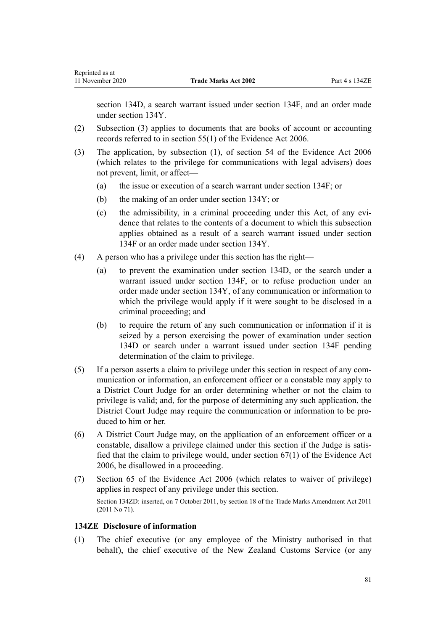[section 134D](#page-64-0), a search warrant issued under [section 134F](#page-66-0), and an order made under [section 134Y](#page-78-0).

- (2) Subsection (3) applies to documents that are books of account or accounting records referred to in [section 55\(1\)](http://legislation.govt.nz/pdflink.aspx?id=DLM393662) of the Evidence Act 2006.
- (3) The application, by subsection (1), of [section 54](http://legislation.govt.nz/pdflink.aspx?id=DLM393659) of the Evidence Act 2006 (which relates to the privilege for communications with legal advisers) does not prevent, limit, or affect—
	- (a) the issue or execution of a search warrant under [section 134F;](#page-66-0) or
	- (b) the making of an order under [section 134Y;](#page-78-0) or
	- (c) the admissibility, in a criminal proceeding under this Act, of any evidence that relates to the contents of a document to which this subsection applies obtained as a result of a search warrant issued under [section](#page-66-0) [134F](#page-66-0) or an order made under [section 134Y.](#page-78-0)
- (4) A person who has a privilege under this section has the right—
	- (a) to prevent the examination under [section 134D,](#page-64-0) or the search under a warrant issued under [section 134F](#page-66-0), or to refuse production under an order made under [section 134Y,](#page-78-0) of any communication or information to which the privilege would apply if it were sought to be disclosed in a criminal proceeding; and
	- (b) to require the return of any such communication or information if it is seized by a person exercising the power of examination under [section](#page-64-0) [134D](#page-64-0) or search under a warrant issued under [section 134F](#page-66-0) pending determination of the claim to privilege.
- (5) If a person asserts a claim to privilege under this section in respect of any communication or information, an enforcement officer or a constable may apply to a District Court Judge for an order determining whether or not the claim to privilege is valid; and, for the purpose of determining any such application, the District Court Judge may require the communication or information to be produced to him or her.
- (6) A District Court Judge may, on the application of an enforcement officer or a constable, disallow a privilege claimed under this section if the Judge is satisfied that the claim to privilege would, under [section 67\(1\)](http://legislation.govt.nz/pdflink.aspx?id=DLM393679) of the Evidence Act 2006, be disallowed in a proceeding.
- (7) [Section 65](http://legislation.govt.nz/pdflink.aspx?id=DLM393677) of the Evidence Act 2006 (which relates to waiver of privilege) applies in respect of any privilege under this section. Section 134ZD: inserted, on 7 October 2011, by [section 18](http://legislation.govt.nz/pdflink.aspx?id=DLM2290055) of the Trade Marks Amendment Act 2011 (2011 No 71).

## **134ZE Disclosure of information**

(1) The chief executive (or any employee of the Ministry authorised in that behalf), the chief executive of the New Zealand Customs Service (or any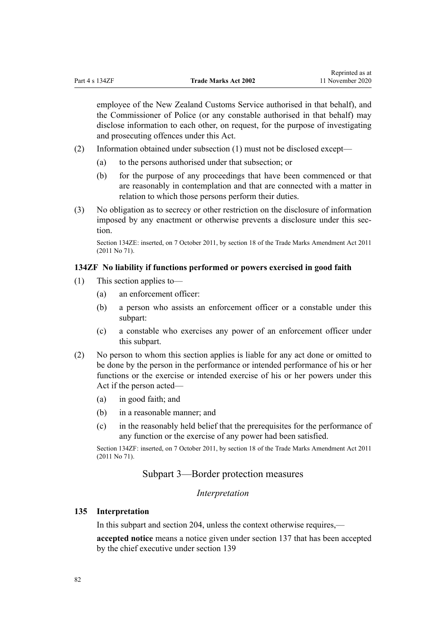employee of the New Zealand Customs Service authorised in that behalf), and the Commissioner of Police (or any constable authorised in that behalf) may disclose information to each other, on request, for the purpose of investigating and prosecuting offences under this Act.

- (2) Information obtained under subsection (1) must not be disclosed except—
	- (a) to the persons authorised under that subsection; or
	- (b) for the purpose of any proceedings that have been commenced or that are reasonably in contemplation and that are connected with a matter in relation to which those persons perform their duties.
- (3) No obligation as to secrecy or other restriction on the disclosure of information imposed by any enactment or otherwise prevents a disclosure under this section.

Section 134ZE: inserted, on 7 October 2011, by [section 18](http://legislation.govt.nz/pdflink.aspx?id=DLM2290055) of the Trade Marks Amendment Act 2011 (2011 No 71).

## **134ZF No liability if functions performed or powers exercised in good faith**

- (1) This section applies to—
	- (a) an enforcement officer:
	- (b) a person who assists an enforcement officer or a constable under this subpart:
	- (c) a constable who exercises any power of an enforcement officer under this subpart.
- (2) No person to whom this section applies is liable for any act done or omitted to be done by the person in the performance or intended performance of his or her functions or the exercise or intended exercise of his or her powers under this Act if the person acted—
	- (a) in good faith; and
	- (b) in a reasonable manner; and
	- (c) in the reasonably held belief that the prerequisites for the performance of any function or the exercise of any power had been satisfied.

Section 134ZF: inserted, on 7 October 2011, by [section 18](http://legislation.govt.nz/pdflink.aspx?id=DLM2290055) of the Trade Marks Amendment Act 2011 (2011 No 71).

# Subpart 3—Border protection measures

#### *Interpretation*

# **135 Interpretation**

In this subpart and [section 204](#page-118-0), unless the context otherwise requires,—

**accepted notice** means a notice given under [section 137](#page-84-0) that has been accepted by the chief executive under [section 139](#page-85-0)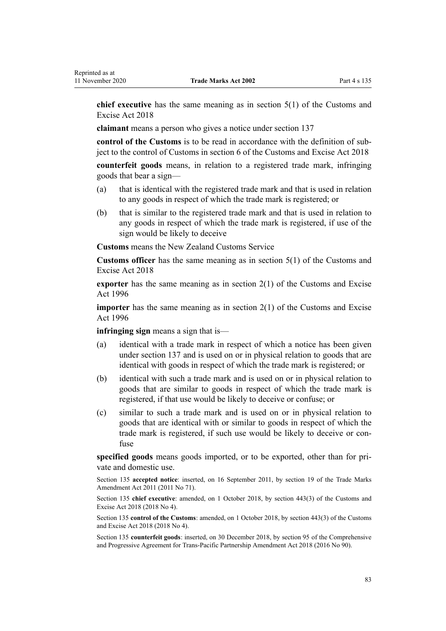**chief executive** has the same meaning as in [section 5\(1\)](http://legislation.govt.nz/pdflink.aspx?id=DLM7038971) of the Customs and Excise Act 2018

**claimant** means a person who gives a notice under [section 137](#page-84-0)

**control of the Customs** is to be read in accordance with the definition of subject to the control of Customs in [section 6](http://legislation.govt.nz/pdflink.aspx?id=DLM7039191) of the Customs and Excise Act 2018

**counterfeit goods** means, in relation to a registered trade mark, infringing goods that bear a sign—

- (a) that is identical with the registered trade mark and that is used in relation to any goods in respect of which the trade mark is registered; or
- (b) that is similar to the registered trade mark and that is used in relation to any goods in respect of which the trade mark is registered, if use of the sign would be likely to deceive

**Customs** means the New Zealand Customs Service

**Customs officer** has the same meaning as in [section 5\(1\)](http://legislation.govt.nz/pdflink.aspx?id=DLM7038971) of the Customs and Excise Act 2018

**exporter** has the same meaning as in [section 2\(1\)](http://legislation.govt.nz/pdflink.aspx?id=DLM377342) of the Customs and Excise Act 1996

**importer** has the same meaning as in [section 2\(1\)](http://legislation.govt.nz/pdflink.aspx?id=DLM377342) of the Customs and Excise Act 1996

**infringing sign** means a sign that is—

- (a) identical with a trade mark in respect of which a notice has been given under [section 137](#page-84-0) and is used on or in physical relation to goods that are identical with goods in respect of which the trade mark is registered; or
- (b) identical with such a trade mark and is used on or in physical relation to goods that are similar to goods in respect of which the trade mark is registered, if that use would be likely to deceive or confuse; or
- (c) similar to such a trade mark and is used on or in physical relation to goods that are identical with or similar to goods in respect of which the trade mark is registered, if such use would be likely to deceive or confuse

**specified goods** means goods imported, or to be exported, other than for private and domestic use.

Section 135 **accepted notice**: inserted, on 16 September 2011, by [section 19](http://legislation.govt.nz/pdflink.aspx?id=DLM2290099) of the Trade Marks Amendment Act 2011 (2011 No 71).

Section 135 **chief executive**: amended, on 1 October 2018, by [section 443\(3\)](http://legislation.govt.nz/pdflink.aspx?id=DLM7039957) of the Customs and Excise Act 2018 (2018 No 4).

Section 135 **control of the Customs**: amended, on 1 October 2018, by [section 443\(3\)](http://legislation.govt.nz/pdflink.aspx?id=DLM7039957) of the Customs and Excise Act 2018 (2018 No 4).

Section 135 **counterfeit goods**: inserted, on 30 December 2018, by [section 95](http://legislation.govt.nz/pdflink.aspx?id=DLM6838430) of the Comprehensive and Progressive Agreement for Trans-Pacific Partnership Amendment Act 2018 (2016 No 90).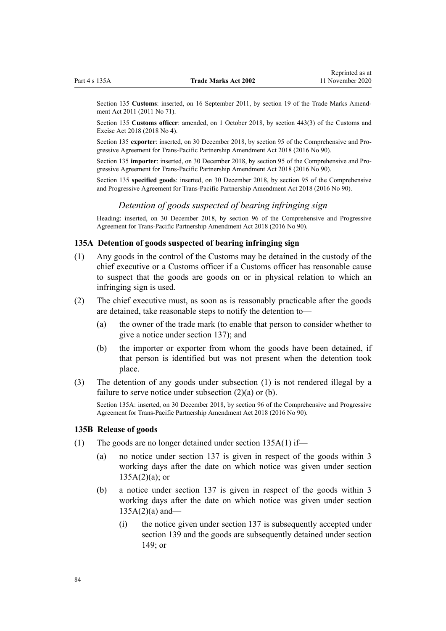<span id="page-83-0"></span>Section 135 **Customs**: inserted, on 16 September 2011, by [section 19](http://legislation.govt.nz/pdflink.aspx?id=DLM2290099) of the Trade Marks Amendment Act 2011 (2011 No 71).

Section 135 **Customs officer**: amended, on 1 October 2018, by [section 443\(3\)](http://legislation.govt.nz/pdflink.aspx?id=DLM7039957) of the Customs and Excise Act 2018 (2018 No 4).

Section 135 **exporter**: inserted, on 30 December 2018, by [section 95](http://legislation.govt.nz/pdflink.aspx?id=DLM6838430) of the Comprehensive and Progressive Agreement for Trans-Pacific Partnership Amendment Act 2018 (2016 No 90).

Section 135 **importer**: inserted, on 30 December 2018, by [section 95](http://legislation.govt.nz/pdflink.aspx?id=DLM6838430) of the Comprehensive and Progressive Agreement for Trans-Pacific Partnership Amendment Act 2018 (2016 No 90).

Section 135 **specified goods**: inserted, on 30 December 2018, by [section 95](http://legislation.govt.nz/pdflink.aspx?id=DLM6838430) of the Comprehensive and Progressive Agreement for Trans-Pacific Partnership Amendment Act 2018 (2016 No 90).

# *Detention of goods suspected of bearing infringing sign*

Heading: inserted, on 30 December 2018, by [section 96](http://legislation.govt.nz/pdflink.aspx?id=DLM6838439) of the Comprehensive and Progressive Agreement for Trans-Pacific Partnership Amendment Act 2018 (2016 No 90).

# **135A Detention of goods suspected of bearing infringing sign**

- (1) Any goods in the control of the Customs may be detained in the custody of the chief executive or a Customs officer if a Customs officer has reasonable cause to suspect that the goods are goods on or in physical relation to which an infringing sign is used.
- (2) The chief executive must, as soon as is reasonably practicable after the goods are detained, take reasonable steps to notify the detention to—
	- (a) the owner of the trade mark (to enable that person to consider whether to give a notice under [section 137\)](#page-84-0); and
	- (b) the importer or exporter from whom the goods have been detained, if that person is identified but was not present when the detention took place.
- (3) The detention of any goods under subsection (1) is not rendered illegal by a failure to serve notice under subsection (2)(a) or (b).

Section 135A: inserted, on 30 December 2018, by [section 96](http://legislation.govt.nz/pdflink.aspx?id=DLM6838439) of the Comprehensive and Progressive Agreement for Trans-Pacific Partnership Amendment Act 2018 (2016 No 90).

#### **135B Release of goods**

- (1) The goods are no longer detained under section 135A(1) if—
	- (a) no notice under [section 137](#page-84-0) is given in respect of the goods within 3 working days after the date on which notice was given under section  $135A(2)(a)$ ; or
	- (b) a notice under [section 137](#page-84-0) is given in respect of the goods within 3 working days after the date on which notice was given under section  $135A(2)(a)$  and—
		- (i) the notice given under [section 137](#page-84-0) is subsequently accepted under [section 139](#page-85-0) and the goods are subsequently detained under [section](#page-89-0) [149](#page-89-0); or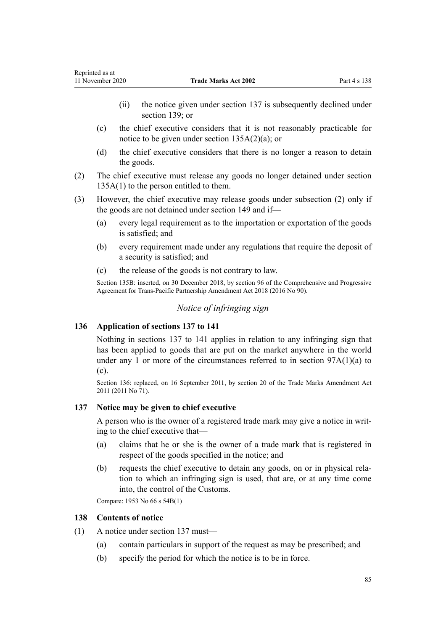- <span id="page-84-0"></span>(ii) the notice given under section 137 is subsequently declined under [section 139;](#page-85-0) or
- (c) the chief executive considers that it is not reasonably practicable for notice to be given under [section 135A\(2\)\(a\)](#page-83-0); or
- (d) the chief executive considers that there is no longer a reason to detain the goods.
- (2) The chief executive must release any goods no longer detained under [section](#page-83-0) [135A\(1\)](#page-83-0) to the person entitled to them.
- (3) However, the chief executive may release goods under subsection (2) only if the goods are not detained under [section 149](#page-89-0) and if—
	- (a) every legal requirement as to the importation or exportation of the goods is satisfied; and
	- (b) every requirement made under any regulations that require the deposit of a security is satisfied; and
	- (c) the release of the goods is not contrary to law.

Section 135B: inserted, on 30 December 2018, by [section 96](http://legislation.govt.nz/pdflink.aspx?id=DLM6838439) of the Comprehensive and Progressive Agreement for Trans-Pacific Partnership Amendment Act 2018 (2016 No 90).

# *Notice of infringing sign*

# **136 Application of sections 137 to 141**

Nothing in sections 137 to 141 applies in relation to any infringing sign that has been applied to goods that are put on the market anywhere in the world under any 1 or more of the circumstances referred to in section  $97A(1)(a)$  to [\(c\).](#page-52-0)

Section 136: replaced, on 16 September 2011, by [section 20](http://legislation.govt.nz/pdflink.aspx?id=DLM2353611) of the Trade Marks Amendment Act 2011 (2011 No 71).

#### **137 Notice may be given to chief executive**

A person who is the owner of a registered trade mark may give a notice in writing to the chief executive that—

- (a) claims that he or she is the owner of a trade mark that is registered in respect of the goods specified in the notice; and
- (b) requests the chief executive to detain any goods, on or in physical relation to which an infringing sign is used, that are, or at any time come into, the control of the Customs.

Compare: 1953 No 66 s 54B(1)

#### **138 Contents of notice**

- (1) A notice under section 137 must—
	- (a) contain particulars in support of the request as may be prescribed; and
	- (b) specify the period for which the notice is to be in force.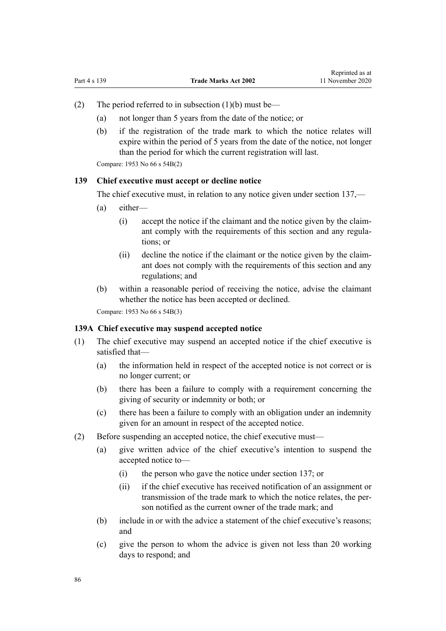- <span id="page-85-0"></span>(2) The period referred to in subsection  $(1)(b)$  must be—
	- (a) not longer than 5 years from the date of the notice; or
	- (b) if the registration of the trade mark to which the notice relates will expire within the period of 5 years from the date of the notice, not longer than the period for which the current registration will last.

Compare: 1953 No 66 s 54B(2)

### **139 Chief executive must accept or decline notice**

The chief executive must, in relation to any notice given under [section 137](#page-84-0),—

- (a) either—
	- (i) accept the notice if the claimant and the notice given by the claimant comply with the requirements of this section and any regulations; or
	- (ii) decline the notice if the claimant or the notice given by the claimant does not comply with the requirements of this section and any regulations; and
- (b) within a reasonable period of receiving the notice, advise the claimant whether the notice has been accepted or declined.

Compare: 1953 No 66 s 54B(3)

### **139A Chief executive may suspend accepted notice**

- (1) The chief executive may suspend an accepted notice if the chief executive is satisfied that—
	- (a) the information held in respect of the accepted notice is not correct or is no longer current; or
	- (b) there has been a failure to comply with a requirement concerning the giving of security or indemnity or both; or
	- (c) there has been a failure to comply with an obligation under an indemnity given for an amount in respect of the accepted notice.
- (2) Before suspending an accepted notice, the chief executive must—
	- (a) give written advice of the chief executive's intention to suspend the accepted notice to—
		- (i) the person who gave the notice under [section 137;](#page-84-0) or
		- (ii) if the chief executive has received notification of an assignment or transmission of the trade mark to which the notice relates, the person notified as the current owner of the trade mark; and
	- (b) include in or with the advice a statement of the chief executive's reasons; and
	- (c) give the person to whom the advice is given not less than 20 working days to respond; and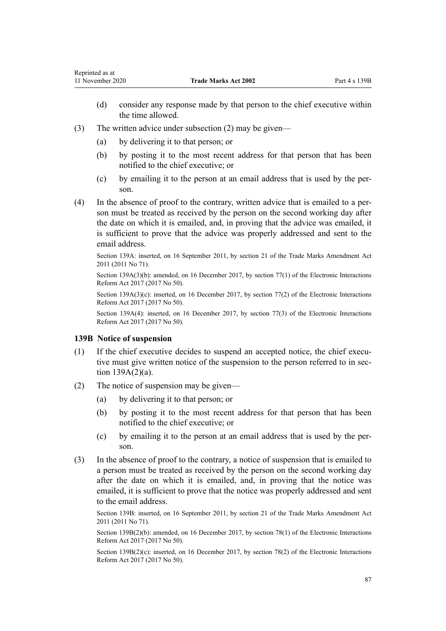- (d) consider any response made by that person to the chief executive within the time allowed.
- (3) The written advice under subsection (2) may be given—
	- (a) by delivering it to that person; or
	- (b) by posting it to the most recent address for that person that has been notified to the chief executive; or
	- (c) by emailing it to the person at an email address that is used by the person.
- (4) In the absence of proof to the contrary, written advice that is emailed to a person must be treated as received by the person on the second working day after the date on which it is emailed, and, in proving that the advice was emailed, it is sufficient to prove that the advice was properly addressed and sent to the email address.

Section 139A: inserted, on 16 September 2011, by [section 21](http://legislation.govt.nz/pdflink.aspx?id=DLM2290104) of the Trade Marks Amendment Act 2011 (2011 No 71).

Section 139A(3)(b): amended, on 16 December 2017, by [section 77\(1\)](http://legislation.govt.nz/pdflink.aspx?id=DLM6962240) of the Electronic Interactions Reform Act 2017 (2017 No 50).

Section 139A(3)(c): inserted, on 16 December 2017, by [section 77\(2\)](http://legislation.govt.nz/pdflink.aspx?id=DLM6962240) of the Electronic Interactions Reform Act 2017 (2017 No 50).

Section 139A(4): inserted, on 16 December 2017, by [section 77\(3\)](http://legislation.govt.nz/pdflink.aspx?id=DLM6962240) of the Electronic Interactions Reform Act 2017 (2017 No 50).

#### **139B Notice of suspension**

- (1) If the chief executive decides to suspend an accepted notice, the chief executive must give written notice of the suspension to the person referred to in [sec](#page-85-0)[tion 139A\(2\)\(a\).](#page-85-0)
- (2) The notice of suspension may be given—
	- (a) by delivering it to that person; or
	- (b) by posting it to the most recent address for that person that has been notified to the chief executive; or
	- (c) by emailing it to the person at an email address that is used by the person.
- (3) In the absence of proof to the contrary, a notice of suspension that is emailed to a person must be treated as received by the person on the second working day after the date on which it is emailed, and, in proving that the notice was emailed, it is sufficient to prove that the notice was properly addressed and sent to the email address.

Section 139B: inserted, on 16 September 2011, by [section 21](http://legislation.govt.nz/pdflink.aspx?id=DLM2290104) of the Trade Marks Amendment Act 2011 (2011 No 71).

Section 139B(2)(b): amended, on 16 December 2017, by [section 78\(1\)](http://legislation.govt.nz/pdflink.aspx?id=DLM6962241) of the Electronic Interactions Reform Act 2017 (2017 No 50).

Section  $139B(2)(c)$ : inserted, on 16 December 2017, by [section 78\(2\)](http://legislation.govt.nz/pdflink.aspx?id=DLM6962241) of the Electronic Interactions Reform Act 2017 (2017 No 50).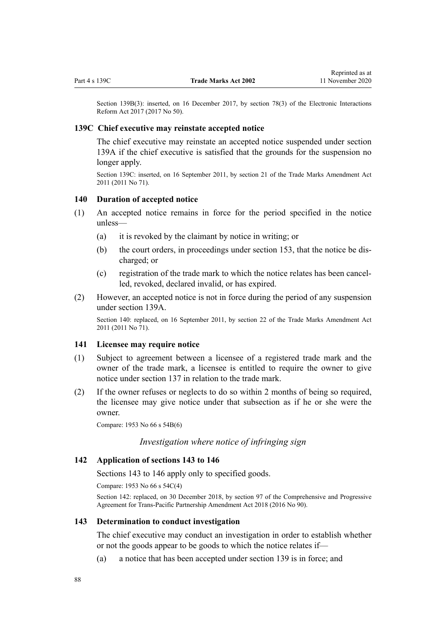<span id="page-87-0"></span>Section 139B(3): inserted, on 16 December 2017, by [section 78\(3\)](http://legislation.govt.nz/pdflink.aspx?id=DLM6962241) of the Electronic Interactions Reform Act 2017 (2017 No 50).

### **139C Chief executive may reinstate accepted notice**

The chief executive may reinstate an accepted notice suspended under [section](#page-85-0) [139A](#page-85-0) if the chief executive is satisfied that the grounds for the suspension no longer apply.

Section 139C: inserted, on 16 September 2011, by [section 21](http://legislation.govt.nz/pdflink.aspx?id=DLM2290104) of the Trade Marks Amendment Act 2011 (2011 No 71).

#### **140 Duration of accepted notice**

- (1) An accepted notice remains in force for the period specified in the notice unless—
	- (a) it is revoked by the claimant by notice in writing; or
	- (b) the court orders, in proceedings under [section 153](#page-90-0), that the notice be discharged; or
	- (c) registration of the trade mark to which the notice relates has been cancelled, revoked, declared invalid, or has expired.
- (2) However, an accepted notice is not in force during the period of any suspension under [section 139A](#page-85-0).

Section 140: replaced, on 16 September 2011, by [section 22](http://legislation.govt.nz/pdflink.aspx?id=DLM2290108) of the Trade Marks Amendment Act 2011 (2011 No 71).

### **141 Licensee may require notice**

- (1) Subject to agreement between a licensee of a registered trade mark and the owner of the trade mark, a licensee is entitled to require the owner to give notice under [section 137](#page-84-0) in relation to the trade mark.
- (2) If the owner refuses or neglects to do so within 2 months of being so required, the licensee may give notice under that subsection as if he or she were the owner.

Compare: 1953 No 66 s 54B(6)

# *Investigation where notice of infringing sign*

## **142 Application of sections 143 to 146**

Sections 143 to 146 apply only to specified goods.

Compare: 1953 No 66 s 54C(4)

Section 142: replaced, on 30 December 2018, by [section 97](http://legislation.govt.nz/pdflink.aspx?id=DLM6838443) of the Comprehensive and Progressive Agreement for Trans-Pacific Partnership Amendment Act 2018 (2016 No 90).

#### **143 Determination to conduct investigation**

The chief executive may conduct an investigation in order to establish whether or not the goods appear to be goods to which the notice relates if—

(a) a notice that has been accepted under [section 139](#page-85-0) is in force; and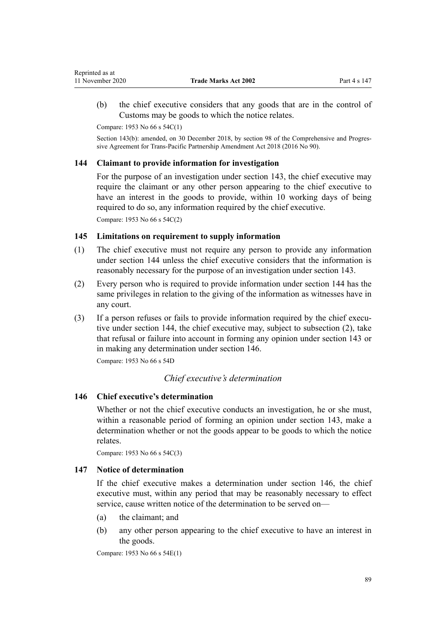<span id="page-88-0"></span>(b) the chief executive considers that any goods that are in the control of Customs may be goods to which the notice relates.

Compare: 1953 No 66 s 54C(1)

Section 143(b): amended, on 30 December 2018, by [section 98](http://legislation.govt.nz/pdflink.aspx?id=DLM6838445) of the Comprehensive and Progressive Agreement for Trans-Pacific Partnership Amendment Act 2018 (2016 No 90).

# **144 Claimant to provide information for investigation**

For the purpose of an investigation under [section 143,](#page-87-0) the chief executive may require the claimant or any other person appearing to the chief executive to have an interest in the goods to provide, within 10 working days of being required to do so, any information required by the chief executive. Compare: 1953 No 66 s 54C(2)

# **145 Limitations on requirement to supply information**

- (1) The chief executive must not require any person to provide any information under section 144 unless the chief executive considers that the information is reasonably necessary for the purpose of an investigation under [section 143](#page-87-0).
- (2) Every person who is required to provide information under section 144 has the same privileges in relation to the giving of the information as witnesses have in any court.
- (3) If a person refuses or fails to provide information required by the chief executive under section 144, the chief executive may, subject to subsection (2), take that refusal or failure into account in forming any opinion under [section 143](#page-87-0) or in making any determination under section 146.

Compare: 1953 No 66 s 54D

# *Chief executive's determination*

# **146 Chief executive's determination**

Whether or not the chief executive conducts an investigation, he or she must, within a reasonable period of forming an opinion under [section 143](#page-87-0), make a determination whether or not the goods appear to be goods to which the notice relates.

Compare: 1953 No 66 s 54C(3)

## **147 Notice of determination**

If the chief executive makes a determination under section 146, the chief executive must, within any period that may be reasonably necessary to effect service, cause written notice of the determination to be served on—

- (a) the claimant; and
- (b) any other person appearing to the chief executive to have an interest in the goods.

Compare: 1953 No 66 s 54E(1)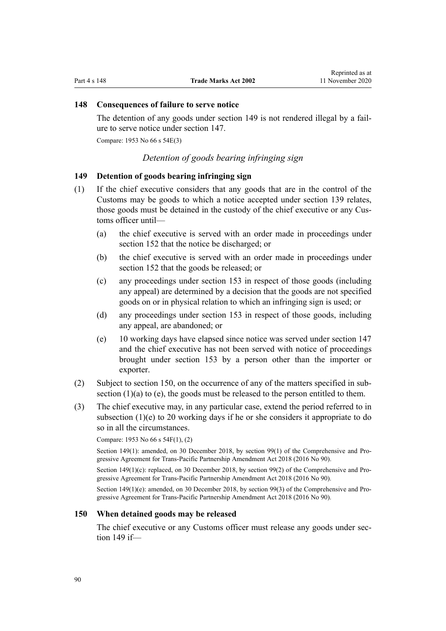# <span id="page-89-0"></span>**148 Consequences of failure to serve notice**

The detention of any goods under section 149 is not rendered illegal by a failure to serve notice under [section 147](#page-88-0).

Compare: 1953 No 66 s 54E(3)

# *Detention of goods bearing infringing sign*

# **149 Detention of goods bearing infringing sign**

- (1) If the chief executive considers that any goods that are in the control of the Customs may be goods to which a notice accepted under [section 139](#page-85-0) relates, those goods must be detained in the custody of the chief executive or any Customs officer until—
	- (a) the chief executive is served with an order made in proceedings under [section 152](#page-90-0) that the notice be discharged; or
	- (b) the chief executive is served with an order made in proceedings under [section 152](#page-90-0) that the goods be released; or
	- (c) any proceedings under [section 153](#page-90-0) in respect of those goods (including any appeal) are determined by a decision that the goods are not specified goods on or in physical relation to which an infringing sign is used; or
	- (d) any proceedings under [section 153](#page-90-0) in respect of those goods, including any appeal, are abandoned; or
	- (e) 10 working days have elapsed since notice was served under [section 147](#page-88-0) and the chief executive has not been served with notice of proceedings brought under [section 153](#page-90-0) by a person other than the importer or exporter.
- (2) Subject to section 150, on the occurrence of any of the matters specified in subsection  $(1)(a)$  to  $(e)$ , the goods must be released to the person entitled to them.
- (3) The chief executive may, in any particular case, extend the period referred to in subsection (1)(e) to 20 working days if he or she considers it appropriate to do so in all the circumstances.

Compare: 1953 No 66 s 54F(1), (2)

Section 149(1): amended, on 30 December 2018, by [section 99\(1\)](http://legislation.govt.nz/pdflink.aspx?id=DLM6838446) of the Comprehensive and Progressive Agreement for Trans-Pacific Partnership Amendment Act 2018 (2016 No 90).

Section 149(1)(c): replaced, on 30 December 2018, by [section 99\(2\)](http://legislation.govt.nz/pdflink.aspx?id=DLM6838446) of the Comprehensive and Progressive Agreement for Trans-Pacific Partnership Amendment Act 2018 (2016 No 90).

Section 149(1)(e): amended, on 30 December 2018, by [section 99\(3\)](http://legislation.govt.nz/pdflink.aspx?id=DLM6838446) of the Comprehensive and Progressive Agreement for Trans-Pacific Partnership Amendment Act 2018 (2016 No 90).

#### **150 When detained goods may be released**

The chief executive or any Customs officer must release any goods under section 149 if—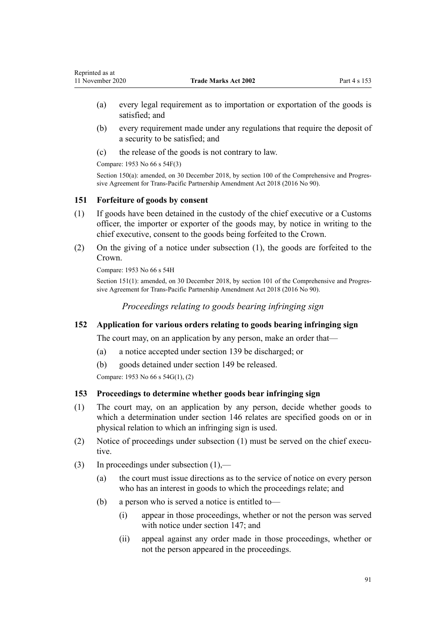- <span id="page-90-0"></span>(a) every legal requirement as to importation or exportation of the goods is satisfied; and
- (b) every requirement made under any regulations that require the deposit of a security to be satisfied; and
- (c) the release of the goods is not contrary to law.

Compare: 1953 No 66 s 54F(3)

Section 150(a): amended, on 30 December 2018, by [section 100](http://legislation.govt.nz/pdflink.aspx?id=DLM6838447) of the Comprehensive and Progressive Agreement for Trans-Pacific Partnership Amendment Act 2018 (2016 No 90).

# **151 Forfeiture of goods by consent**

- (1) If goods have been detained in the custody of the chief executive or a Customs officer, the importer or exporter of the goods may, by notice in writing to the chief executive, consent to the goods being forfeited to the Crown.
- (2) On the giving of a notice under subsection (1), the goods are forfeited to the Crown.

Compare: 1953 No 66 s 54H

Section 151(1): amended, on 30 December 2018, by [section 101](http://legislation.govt.nz/pdflink.aspx?id=DLM6838448) of the Comprehensive and Progressive Agreement for Trans-Pacific Partnership Amendment Act 2018 (2016 No 90).

*Proceedings relating to goods bearing infringing sign*

# **152 Application for various orders relating to goods bearing infringing sign**

The court may, on an application by any person, make an order that—

- (a) a notice accepted under [section 139](#page-85-0) be discharged; or
- (b) goods detained under [section 149](#page-89-0) be released.

Compare: 1953 No 66 s 54G(1), (2)

# **153 Proceedings to determine whether goods bear infringing sign**

- (1) The court may, on an application by any person, decide whether goods to which a determination under [section 146](#page-88-0) relates are specified goods on or in physical relation to which an infringing sign is used.
- (2) Notice of proceedings under subsection (1) must be served on the chief executive.
- (3) In proceedings under subsection (1),—
	- (a) the court must issue directions as to the service of notice on every person who has an interest in goods to which the proceedings relate; and
	- (b) a person who is served a notice is entitled to—
		- (i) appear in those proceedings, whether or not the person was served with notice under [section 147](#page-88-0); and
		- (ii) appeal against any order made in those proceedings, whether or not the person appeared in the proceedings.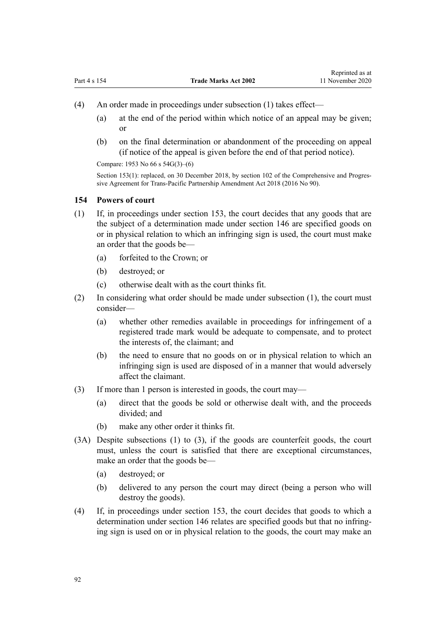- (4) An order made in proceedings under subsection (1) takes effect—
	- (a) at the end of the period within which notice of an appeal may be given; or
	- (b) on the final determination or abandonment of the proceeding on appeal (if notice of the appeal is given before the end of that period notice).

Compare: 1953 No 66 s 54G(3)–(6)

Section 153(1): replaced, on 30 December 2018, by [section 102](http://legislation.govt.nz/pdflink.aspx?id=DLM6838449) of the Comprehensive and Progressive Agreement for Trans-Pacific Partnership Amendment Act 2018 (2016 No 90).

#### **154 Powers of court**

- (1) If, in proceedings under [section 153,](#page-90-0) the court decides that any goods that are the subject of a determination made under [section 146](#page-88-0) are specified goods on or in physical relation to which an infringing sign is used, the court must make an order that the goods be—
	- (a) forfeited to the Crown; or
	- (b) destroyed; or
	- (c) otherwise dealt with as the court thinks fit.
- (2) In considering what order should be made under subsection (1), the court must consider—
	- (a) whether other remedies available in proceedings for infringement of a registered trade mark would be adequate to compensate, and to protect the interests of, the claimant; and
	- (b) the need to ensure that no goods on or in physical relation to which an infringing sign is used are disposed of in a manner that would adversely affect the claimant.
- (3) If more than 1 person is interested in goods, the court may—
	- (a) direct that the goods be sold or otherwise dealt with, and the proceeds divided; and
	- (b) make any other order it thinks fit.
- (3A) Despite subsections (1) to (3), if the goods are counterfeit goods, the court must, unless the court is satisfied that there are exceptional circumstances, make an order that the goods be—
	- (a) destroyed; or
	- (b) delivered to any person the court may direct (being a person who will destroy the goods).
- (4) If, in proceedings under [section 153,](#page-90-0) the court decides that goods to which a determination under [section 146](#page-88-0) relates are specified goods but that no infringing sign is used on or in physical relation to the goods, the court may make an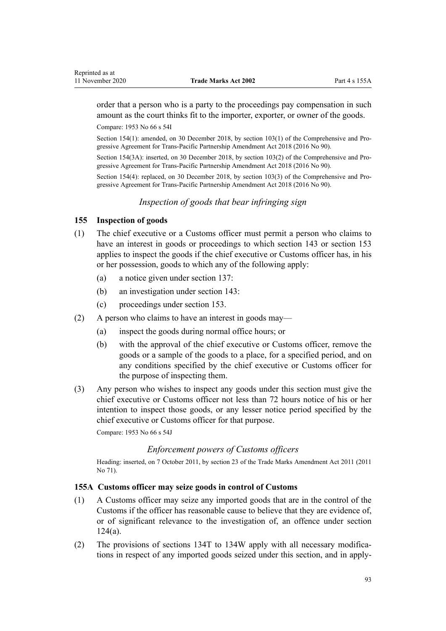<span id="page-92-0"></span>order that a person who is a party to the proceedings pay compensation in such amount as the court thinks fit to the importer, exporter, or owner of the goods.

Compare: 1953 No 66 s 54I

Section 154(1): amended, on 30 December 2018, by [section 103\(1\)](http://legislation.govt.nz/pdflink.aspx?id=DLM6838450) of the Comprehensive and Progressive Agreement for Trans-Pacific Partnership Amendment Act 2018 (2016 No 90).

Section 154(3A): inserted, on 30 December 2018, by [section 103\(2\)](http://legislation.govt.nz/pdflink.aspx?id=DLM6838450) of the Comprehensive and Progressive Agreement for Trans-Pacific Partnership Amendment Act 2018 (2016 No 90).

Section 154(4): replaced, on 30 December 2018, by [section 103\(3\)](http://legislation.govt.nz/pdflink.aspx?id=DLM6838450) of the Comprehensive and Progressive Agreement for Trans-Pacific Partnership Amendment Act 2018 (2016 No 90).

*Inspection of goods that bear infringing sign*

# **155 Inspection of goods**

- (1) The chief executive or a Customs officer must permit a person who claims to have an interest in goods or proceedings to which [section 143](#page-87-0) or [section 153](#page-90-0) applies to inspect the goods if the chief executive or Customs officer has, in his or her possession, goods to which any of the following apply:
	- (a) a notice given under [section 137](#page-84-0):
	- (b) an investigation under [section 143:](#page-87-0)
	- (c) proceedings under [section 153](#page-90-0).
- (2) A person who claims to have an interest in goods may—
	- (a) inspect the goods during normal office hours; or
	- (b) with the approval of the chief executive or Customs officer, remove the goods or a sample of the goods to a place, for a specified period, and on any conditions specified by the chief executive or Customs officer for the purpose of inspecting them.
- (3) Any person who wishes to inspect any goods under this section must give the chief executive or Customs officer not less than 72 hours notice of his or her intention to inspect those goods, or any lesser notice period specified by the chief executive or Customs officer for that purpose.

Compare: 1953 No 66 s 54J

# *Enforcement powers of Customs officers*

Heading: inserted, on 7 October 2011, by [section 23](http://legislation.govt.nz/pdflink.aspx?id=DLM2290110) of the Trade Marks Amendment Act 2011 (2011 No 71).

# **155A Customs officer may seize goods in control of Customs**

- (1) A Customs officer may seize any imported goods that are in the control of the Customs if the officer has reasonable cause to believe that they are evidence of, or of significant relevance to the investigation of, an offence under [section](#page-60-0) [124\(a\)](#page-60-0).
- (2) The provisions of [sections 134T to 134W](#page-75-0) apply with all necessary modifications in respect of any imported goods seized under this section, and in apply-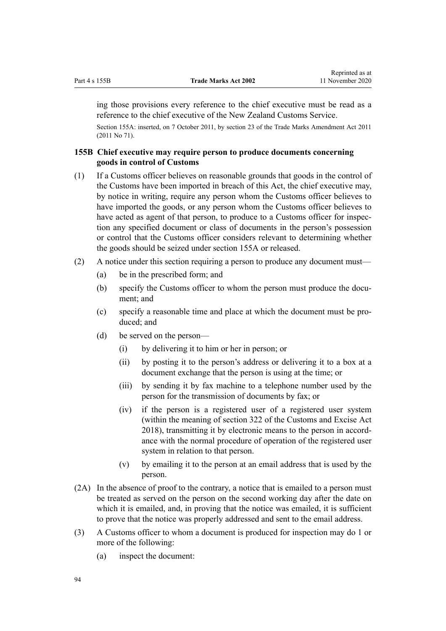<span id="page-93-0"></span>ing those provisions every reference to the chief executive must be read as a reference to the chief executive of the New Zealand Customs Service.

Section 155A: inserted, on 7 October 2011, by [section 23](http://legislation.govt.nz/pdflink.aspx?id=DLM2290110) of the Trade Marks Amendment Act 2011 (2011 No 71).

# **155B Chief executive may require person to produce documents concerning goods in control of Customs**

- (1) If a Customs officer believes on reasonable grounds that goods in the control of the Customs have been imported in breach of this Act, the chief executive may, by notice in writing, require any person whom the Customs officer believes to have imported the goods, or any person whom the Customs officer believes to have acted as agent of that person, to produce to a Customs officer for inspection any specified document or class of documents in the person's possession or control that the Customs officer considers relevant to determining whether the goods should be seized under [section 155A](#page-92-0) or released.
- (2) A notice under this section requiring a person to produce any document must—
	- (a) be in the prescribed form; and
	- (b) specify the Customs officer to whom the person must produce the document; and
	- (c) specify a reasonable time and place at which the document must be produced; and
	- (d) be served on the person—
		- (i) by delivering it to him or her in person; or
		- (ii) by posting it to the person's address or delivering it to a box at a document exchange that the person is using at the time; or
		- (iii) by sending it by fax machine to a telephone number used by the person for the transmission of documents by fax; or
		- (iv) if the person is a registered user of a registered user system (within the meaning of [section 322](http://legislation.govt.nz/pdflink.aspx?id=DLM7039763) of the Customs and Excise Act 2018), transmitting it by electronic means to the person in accordance with the normal procedure of operation of the registered user system in relation to that person.
		- (v) by emailing it to the person at an email address that is used by the person.
- (2A) In the absence of proof to the contrary, a notice that is emailed to a person must be treated as served on the person on the second working day after the date on which it is emailed, and, in proving that the notice was emailed, it is sufficient to prove that the notice was properly addressed and sent to the email address.
- (3) A Customs officer to whom a document is produced for inspection may do 1 or more of the following:
	- (a) inspect the document: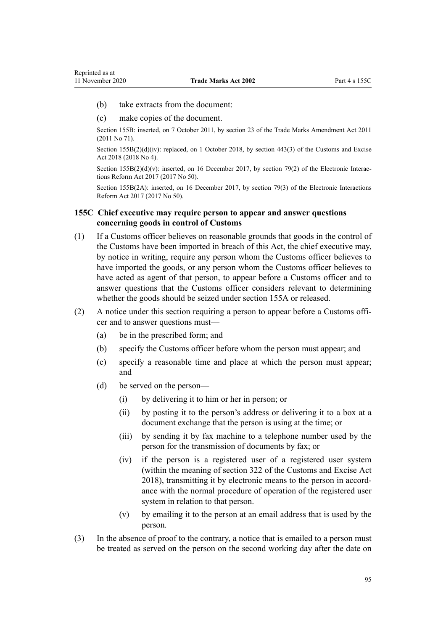- <span id="page-94-0"></span>(b) take extracts from the document:
- (c) make copies of the document.

Section 155B: inserted, on 7 October 2011, by [section 23](http://legislation.govt.nz/pdflink.aspx?id=DLM2290110) of the Trade Marks Amendment Act 2011 (2011 No 71).

Section 155B(2)(d)(iv): replaced, on 1 October 2018, by [section 443\(3\)](http://legislation.govt.nz/pdflink.aspx?id=DLM7039957) of the Customs and Excise Act 2018 (2018 No 4).

Section 155B(2)(d)(v): inserted, on 16 December 2017, by [section 79\(2\)](http://legislation.govt.nz/pdflink.aspx?id=DLM6962242) of the Electronic Interactions Reform Act 2017 (2017 No 50).

Section 155B(2A): inserted, on 16 December 2017, by [section 79\(3\)](http://legislation.govt.nz/pdflink.aspx?id=DLM6962242) of the Electronic Interactions Reform Act 2017 (2017 No 50).

# **155C Chief executive may require person to appear and answer questions concerning goods in control of Customs**

- (1) If a Customs officer believes on reasonable grounds that goods in the control of the Customs have been imported in breach of this Act, the chief executive may, by notice in writing, require any person whom the Customs officer believes to have imported the goods, or any person whom the Customs officer believes to have acted as agent of that person, to appear before a Customs officer and to answer questions that the Customs officer considers relevant to determining whether the goods should be seized under [section 155A](#page-92-0) or released.
- (2) A notice under this section requiring a person to appear before a Customs officer and to answer questions must—
	- (a) be in the prescribed form; and
	- (b) specify the Customs officer before whom the person must appear; and
	- (c) specify a reasonable time and place at which the person must appear; and
	- (d) be served on the person—
		- (i) by delivering it to him or her in person; or
		- (ii) by posting it to the person's address or delivering it to a box at a document exchange that the person is using at the time; or
		- (iii) by sending it by fax machine to a telephone number used by the person for the transmission of documents by fax; or
		- (iv) if the person is a registered user of a registered user system (within the meaning of [section 322](http://legislation.govt.nz/pdflink.aspx?id=DLM7039763) of the Customs and Excise Act 2018), transmitting it by electronic means to the person in accordance with the normal procedure of operation of the registered user system in relation to that person.
		- (v) by emailing it to the person at an email address that is used by the person.
- (3) In the absence of proof to the contrary, a notice that is emailed to a person must be treated as served on the person on the second working day after the date on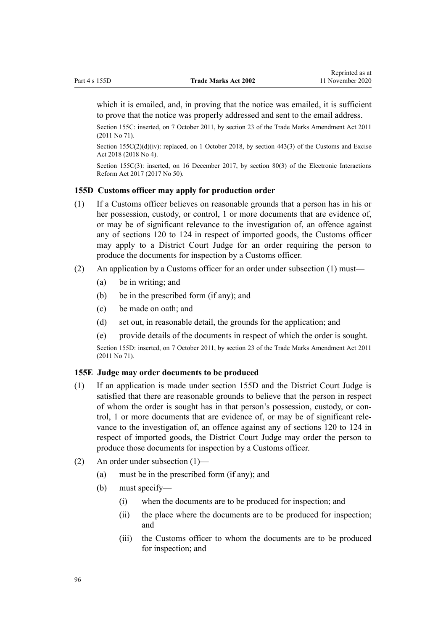<span id="page-95-0"></span>which it is emailed, and, in proving that the notice was emailed, it is sufficient to prove that the notice was properly addressed and sent to the email address.

Section 155C: inserted, on 7 October 2011, by [section 23](http://legislation.govt.nz/pdflink.aspx?id=DLM2290110) of the Trade Marks Amendment Act 2011 (2011 No 71).

Section 155C(2)(d)(iv): replaced, on 1 October 2018, by [section 443\(3\)](http://legislation.govt.nz/pdflink.aspx?id=DLM7039957) of the Customs and Excise Act 2018 (2018 No 4).

Section 155C(3): inserted, on 16 December 2017, by [section 80\(3\)](http://legislation.govt.nz/pdflink.aspx?id=DLM6962243) of the Electronic Interactions Reform Act 2017 (2017 No 50).

#### **155D Customs officer may apply for production order**

- (1) If a Customs officer believes on reasonable grounds that a person has in his or her possession, custody, or control, 1 or more documents that are evidence of, or may be of significant relevance to the investigation of, an offence against any of [sections 120 to 124](#page-58-0) in respect of imported goods, the Customs officer may apply to a District Court Judge for an order requiring the person to produce the documents for inspection by a Customs officer.
- (2) An application by a Customs officer for an order under subsection (1) must—
	- (a) be in writing; and
	- (b) be in the prescribed form (if any); and
	- (c) be made on oath; and
	- (d) set out, in reasonable detail, the grounds for the application; and
	- (e) provide details of the documents in respect of which the order is sought.

Section 155D: inserted, on 7 October 2011, by [section 23](http://legislation.govt.nz/pdflink.aspx?id=DLM2290110) of the Trade Marks Amendment Act 2011 (2011 No 71).

### **155E Judge may order documents to be produced**

- (1) If an application is made under section 155D and the District Court Judge is satisfied that there are reasonable grounds to believe that the person in respect of whom the order is sought has in that person's possession, custody, or control, 1 or more documents that are evidence of, or may be of significant relevance to the investigation of, an offence against any of [sections 120 to 124](#page-58-0) in respect of imported goods, the District Court Judge may order the person to produce those documents for inspection by a Customs officer.
- (2) An order under subsection (1)—
	- (a) must be in the prescribed form (if any); and
	- (b) must specify—
		- (i) when the documents are to be produced for inspection; and
		- (ii) the place where the documents are to be produced for inspection; and
		- (iii) the Customs officer to whom the documents are to be produced for inspection; and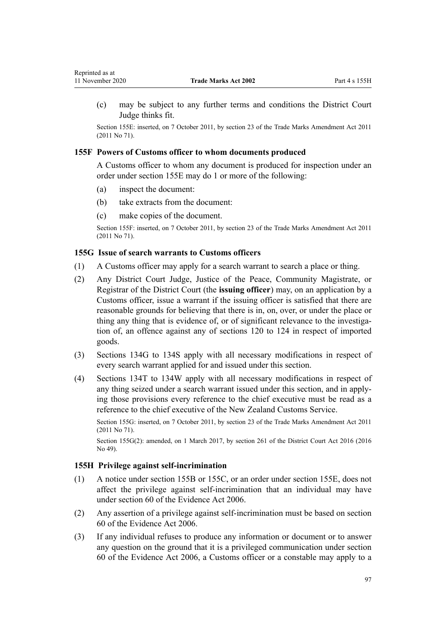(c) may be subject to any further terms and conditions the District Court Judge thinks fit.

Section 155E: inserted, on 7 October 2011, by [section 23](http://legislation.govt.nz/pdflink.aspx?id=DLM2290110) of the Trade Marks Amendment Act 2011 (2011 No 71).

### **155F Powers of Customs officer to whom documents produced**

A Customs officer to whom any document is produced for inspection under an order under [section 155E](#page-95-0) may do 1 or more of the following:

(a) inspect the document:

<span id="page-96-0"></span>Reprinted as at

- (b) take extracts from the document:
- (c) make copies of the document.

Section 155F: inserted, on 7 October 2011, by [section 23](http://legislation.govt.nz/pdflink.aspx?id=DLM2290110) of the Trade Marks Amendment Act 2011 (2011 No 71).

### **155G Issue of search warrants to Customs officers**

- (1) A Customs officer may apply for a search warrant to search a place or thing.
- (2) Any District Court Judge, Justice of the Peace, Community Magistrate, or Registrar of the District Court (the **issuing officer**) may, on an application by a Customs officer, issue a warrant if the issuing officer is satisfied that there are reasonable grounds for believing that there is in, on, over, or under the place or thing any thing that is evidence of, or of significant relevance to the investigation of, an offence against any of [sections 120 to 124](#page-58-0) in respect of imported goods.
- (3) [Sections 134G to 134S](#page-66-0) apply with all necessary modifications in respect of every search warrant applied for and issued under this section.
- (4) [Sections 134T to 134W](#page-75-0) apply with all necessary modifications in respect of any thing seized under a search warrant issued under this section, and in applying those provisions every reference to the chief executive must be read as a reference to the chief executive of the New Zealand Customs Service.

Section 155G: inserted, on 7 October 2011, by [section 23](http://legislation.govt.nz/pdflink.aspx?id=DLM2290110) of the Trade Marks Amendment Act 2011 (2011 No 71).

Section 155G(2): amended, on 1 March 2017, by [section 261](http://legislation.govt.nz/pdflink.aspx?id=DLM6942680) of the District Court Act 2016 (2016 No 49).

# **155H Privilege against self-incrimination**

- (1) A notice under [section 155B](#page-93-0) or [155C](#page-94-0), or an order under [section 155E](#page-95-0), does not affect the privilege against self-incrimination that an individual may have under [section 60](http://legislation.govt.nz/pdflink.aspx?id=DLM393672) of the Evidence Act 2006.
- (2) Any assertion of a privilege against self-incrimination must be based on [section](http://legislation.govt.nz/pdflink.aspx?id=DLM393672) [60](http://legislation.govt.nz/pdflink.aspx?id=DLM393672) of the Evidence Act 2006.
- (3) If any individual refuses to produce any information or document or to answer any question on the ground that it is a privileged communication under [section](http://legislation.govt.nz/pdflink.aspx?id=DLM393672) [60](http://legislation.govt.nz/pdflink.aspx?id=DLM393672) of the Evidence Act 2006, a Customs officer or a constable may apply to a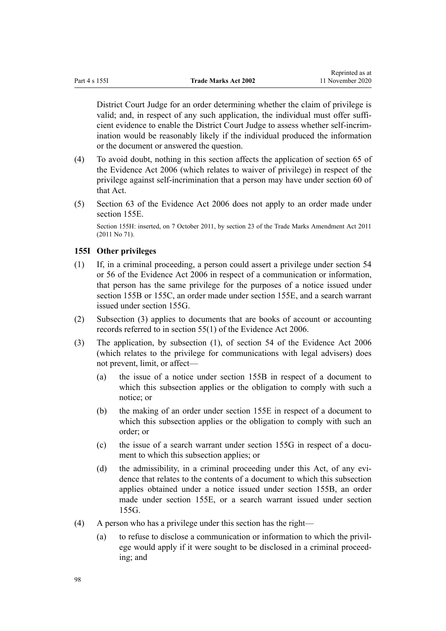District Court Judge for an order determining whether the claim of privilege is valid; and, in respect of any such application, the individual must offer sufficient evidence to enable the District Court Judge to assess whether self-incrimination would be reasonably likely if the individual produced the information or the document or answered the question.

- (4) To avoid doubt, nothing in this section affects the application of [section 65](http://legislation.govt.nz/pdflink.aspx?id=DLM393677) of the Evidence Act 2006 (which relates to waiver of privilege) in respect of the privilege against self-incrimination that a person may have under [section 60](http://legislation.govt.nz/pdflink.aspx?id=DLM393672) of that Act.
- (5) [Section 63](http://legislation.govt.nz/pdflink.aspx?id=DLM393675) of the Evidence Act 2006 does not apply to an order made under [section 155E.](#page-95-0)

Section 155H: inserted, on 7 October 2011, by [section 23](http://legislation.govt.nz/pdflink.aspx?id=DLM2290110) of the Trade Marks Amendment Act 2011 (2011 No 71).

# **155I Other privileges**

- (1) If, in a criminal proceeding, a person could assert a privilege under [section 54](http://legislation.govt.nz/pdflink.aspx?id=DLM393659) or [56](http://legislation.govt.nz/pdflink.aspx?id=DLM393663) of the Evidence Act 2006 in respect of a communication or information, that person has the same privilege for the purposes of a notice issued under [section 155B](#page-93-0) or [155C](#page-94-0), an order made under [section 155E,](#page-95-0) and a search warrant issued under [section 155G.](#page-96-0)
- (2) Subsection (3) applies to documents that are books of account or accounting records referred to in [section 55\(1\)](http://legislation.govt.nz/pdflink.aspx?id=DLM393662) of the Evidence Act 2006.
- (3) The application, by subsection (1), of section 54 of the Evidence Act 2006 (which relates to the privilege for communications with legal advisers) does not prevent, limit, or affect—
	- (a) the issue of a notice under [section 155B](#page-93-0) in respect of a document to which this subsection applies or the obligation to comply with such a notice; or
	- (b) the making of an order under [section 155E](#page-95-0) in respect of a document to which this subsection applies or the obligation to comply with such an order; or
	- (c) the issue of a search warrant under [section 155G](#page-96-0) in respect of a document to which this subsection applies; or
	- (d) the admissibility, in a criminal proceeding under this Act, of any evidence that relates to the contents of a document to which this subsection applies obtained under a notice issued under [section 155B](#page-93-0), an order made under [section 155E,](#page-95-0) or a search warrant issued under [section](#page-96-0) [155G.](#page-96-0)
- (4) A person who has a privilege under this section has the right—
	- (a) to refuse to disclose a communication or information to which the privilege would apply if it were sought to be disclosed in a criminal proceeding; and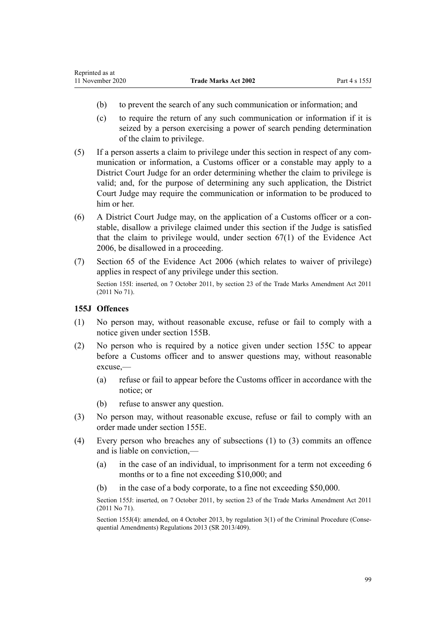- (b) to prevent the search of any such communication or information; and
- (c) to require the return of any such communication or information if it is seized by a person exercising a power of search pending determination of the claim to privilege.
- (5) If a person asserts a claim to privilege under this section in respect of any communication or information, a Customs officer or a constable may apply to a District Court Judge for an order determining whether the claim to privilege is valid; and, for the purpose of determining any such application, the District Court Judge may require the communication or information to be produced to him or her.
- (6) A District Court Judge may, on the application of a Customs officer or a constable, disallow a privilege claimed under this section if the Judge is satisfied that the claim to privilege would, under [section 67\(1\)](http://legislation.govt.nz/pdflink.aspx?id=DLM393679) of the Evidence Act 2006, be disallowed in a proceeding.
- (7) [Section 65](http://legislation.govt.nz/pdflink.aspx?id=DLM393677) of the Evidence Act 2006 (which relates to waiver of privilege) applies in respect of any privilege under this section. Section 155I: inserted, on 7 October 2011, by [section 23](http://legislation.govt.nz/pdflink.aspx?id=DLM2290110) of the Trade Marks Amendment Act 2011 (2011 No 71).

## **155J Offences**

- (1) No person may, without reasonable excuse, refuse or fail to comply with a notice given under [section 155B](#page-93-0).
- (2) No person who is required by a notice given under [section 155C](#page-94-0) to appear before a Customs officer and to answer questions may, without reasonable excuse,—
	- (a) refuse or fail to appear before the Customs officer in accordance with the notice; or
	- (b) refuse to answer any question.
- (3) No person may, without reasonable excuse, refuse or fail to comply with an order made under [section 155E.](#page-95-0)
- (4) Every person who breaches any of subsections (1) to (3) commits an offence and is liable on conviction,—
	- (a) in the case of an individual, to imprisonment for a term not exceeding 6 months or to a fine not exceeding \$10,000; and
	- (b) in the case of a body corporate, to a fine not exceeding \$50,000.

Section 155J: inserted, on 7 October 2011, by [section 23](http://legislation.govt.nz/pdflink.aspx?id=DLM2290110) of the Trade Marks Amendment Act 2011 (2011 No 71).

Section 155J(4): amended, on 4 October 2013, by [regulation 3\(1\)](http://legislation.govt.nz/pdflink.aspx?id=DLM5642106) of the Criminal Procedure (Consequential Amendments) Regulations 2013 (SR 2013/409).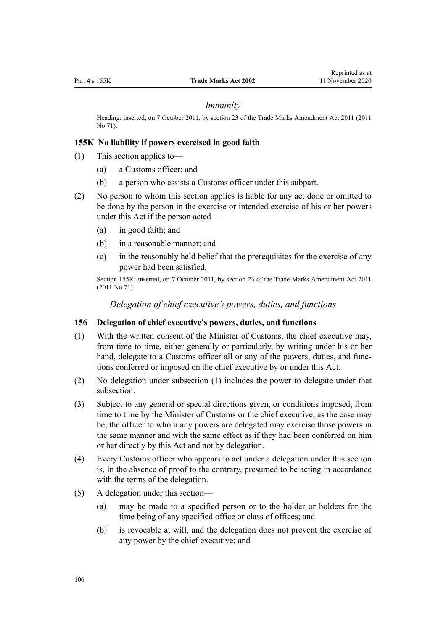#### *Immunity*

Heading: inserted, on 7 October 2011, by [section 23](http://legislation.govt.nz/pdflink.aspx?id=DLM2290110) of the Trade Marks Amendment Act 2011 (2011 No 71).

### **155K No liability if powers exercised in good faith**

- (1) This section applies to—
	- (a) a Customs officer; and
	- (b) a person who assists a Customs officer under this subpart.
- (2) No person to whom this section applies is liable for any act done or omitted to be done by the person in the exercise or intended exercise of his or her powers under this Act if the person acted—
	- (a) in good faith; and
	- (b) in a reasonable manner; and
	- (c) in the reasonably held belief that the prerequisites for the exercise of any power had been satisfied.

Section 155K: inserted, on 7 October 2011, by [section 23](http://legislation.govt.nz/pdflink.aspx?id=DLM2290110) of the Trade Marks Amendment Act 2011 (2011 No 71).

*Delegation of chief executive's powers, duties, and functions*

#### **156 Delegation of chief executive's powers, duties, and functions**

- (1) With the written consent of the Minister of Customs, the chief executive may, from time to time, either generally or particularly, by writing under his or her hand, delegate to a Customs officer all or any of the powers, duties, and functions conferred or imposed on the chief executive by or under this Act.
- (2) No delegation under subsection (1) includes the power to delegate under that subsection.
- (3) Subject to any general or special directions given, or conditions imposed, from time to time by the Minister of Customs or the chief executive, as the case may be, the officer to whom any powers are delegated may exercise those powers in the same manner and with the same effect as if they had been conferred on him or her directly by this Act and not by delegation.
- (4) Every Customs officer who appears to act under a delegation under this section is, in the absence of proof to the contrary, presumed to be acting in accordance with the terms of the delegation.
- (5) A delegation under this section—
	- (a) may be made to a specified person or to the holder or holders for the time being of any specified office or class of offices; and
	- (b) is revocable at will, and the delegation does not prevent the exercise of any power by the chief executive; and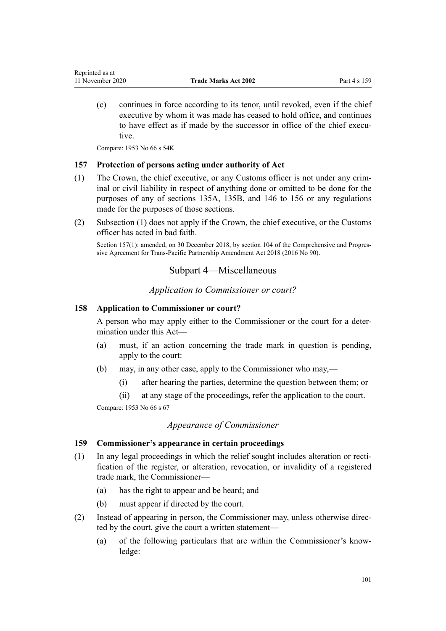(c) continues in force according to its tenor, until revoked, even if the chief executive by whom it was made has ceased to hold office, and continues to have effect as if made by the successor in office of the chief executive.

Compare: 1953 No 66 s 54K

## **157 Protection of persons acting under authority of Act**

- (1) The Crown, the chief executive, or any Customs officer is not under any criminal or civil liability in respect of anything done or omitted to be done for the purposes of any of [sections 135A](#page-83-0), [135B,](#page-83-0) and [146 to 156](#page-88-0) or any regulations made for the purposes of those sections.
- (2) Subsection (1) does not apply if the Crown, the chief executive, or the Customs officer has acted in bad faith.

Section 157(1): amended, on 30 December 2018, by [section 104](http://legislation.govt.nz/pdflink.aspx?id=DLM6838451) of the Comprehensive and Progressive Agreement for Trans-Pacific Partnership Amendment Act 2018 (2016 No 90).

# Subpart 4—Miscellaneous

*Application to Commissioner or court?*

## **158 Application to Commissioner or court?**

A person who may apply either to the Commissioner or the court for a determination under this Act—

- (a) must, if an action concerning the trade mark in question is pending, apply to the court:
- (b) may, in any other case, apply to the Commissioner who may,—
	- (i) after hearing the parties, determine the question between them; or
	- (ii) at any stage of the proceedings, refer the application to the court.

Compare: 1953 No 66 s 67

## *Appearance of Commissioner*

## **159 Commissioner's appearance in certain proceedings**

- (1) In any legal proceedings in which the relief sought includes alteration or rectification of the register, or alteration, revocation, or invalidity of a registered trade mark, the Commissioner—
	- (a) has the right to appear and be heard; and
	- (b) must appear if directed by the court.
- (2) Instead of appearing in person, the Commissioner may, unless otherwise directed by the court, give the court a written statement—
	- (a) of the following particulars that are within the Commissioner's knowledge: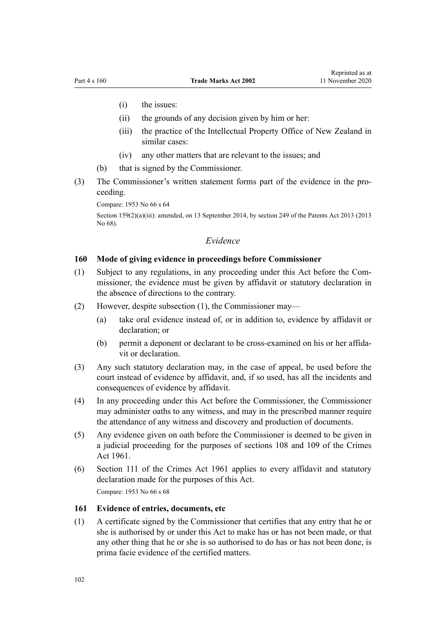- (i) the issues:
- (ii) the grounds of any decision given by him or her:
- (iii) the practice of the Intellectual Property Office of New Zealand in similar cases:
- (iv) any other matters that are relevant to the issues; and
- (b) that is signed by the Commissioner.
- (3) The Commissioner's written statement forms part of the evidence in the proceeding.

Compare: 1953 No 66 s 64

Section 159(2)(a)(iii): amended, on 13 September 2014, by [section 249](http://legislation.govt.nz/pdflink.aspx?id=DLM1419624) of the Patents Act 2013 (2013) No 68).

# *Evidence*

### **160 Mode of giving evidence in proceedings before Commissioner**

- (1) Subject to any regulations, in any proceeding under this Act before the Commissioner, the evidence must be given by affidavit or statutory declaration in the absence of directions to the contrary.
- (2) However, despite subsection (1), the Commissioner may—
	- (a) take oral evidence instead of, or in addition to, evidence by affidavit or declaration; or
	- (b) permit a deponent or declarant to be cross-examined on his or her affidavit or declaration.
- (3) Any such statutory declaration may, in the case of appeal, be used before the court instead of evidence by affidavit, and, if so used, has all the incidents and consequences of evidence by affidavit.
- (4) In any proceeding under this Act before the Commissioner, the Commissioner may administer oaths to any witness, and may in the prescribed manner require the attendance of any witness and discovery and production of documents.
- (5) Any evidence given on oath before the Commissioner is deemed to be given in a judicial proceeding for the purposes of [sections 108](http://legislation.govt.nz/pdflink.aspx?id=DLM328793) and [109](http://legislation.govt.nz/pdflink.aspx?id=DLM328796) of the Crimes Act 1961.
- (6) [Section 111](http://legislation.govt.nz/pdflink.aspx?id=DLM328799) of the Crimes Act 1961 applies to every affidavit and statutory declaration made for the purposes of this Act. Compare: 1953 No 66 s 68

#### **161 Evidence of entries, documents, etc**

(1) A certificate signed by the Commissioner that certifies that any entry that he or she is authorised by or under this Act to make has or has not been made, or that any other thing that he or she is so authorised to do has or has not been done, is prima facie evidence of the certified matters.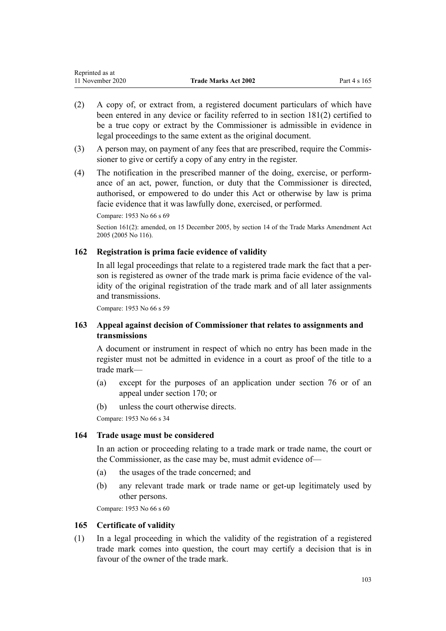| Reprinted as at  |                             |              |
|------------------|-----------------------------|--------------|
| 11 November 2020 | <b>Trade Marks Act 2002</b> | Part 4 s 165 |

- (2) A copy of, or extract from, a registered document particulars of which have been entered in any device or facility referred to in [section 181\(2\)](#page-107-0) certified to be a true copy or extract by the Commissioner is admissible in evidence in legal proceedings to the same extent as the original document.
- (3) A person may, on payment of any fees that are prescribed, require the Commissioner to give or certify a copy of any entry in the register.
- (4) The notification in the prescribed manner of the doing, exercise, or performance of an act, power, function, or duty that the Commissioner is directed, authorised, or empowered to do under this Act or otherwise by law is prima facie evidence that it was lawfully done, exercised, or performed.

Compare: 1953 No 66 s 69

Section 161(2): amended, on 15 December 2005, by [section 14](http://legislation.govt.nz/pdflink.aspx?id=DLM362648) of the Trade Marks Amendment Act 2005 (2005 No 116).

# **162 Registration is prima facie evidence of validity**

In all legal proceedings that relate to a registered trade mark the fact that a person is registered as owner of the trade mark is prima facie evidence of the validity of the original registration of the trade mark and of all later assignments and transmissions.

Compare: 1953 No 66 s 59

# **163 Appeal against decision of Commissioner that relates to assignments and transmissions**

A document or instrument in respect of which no entry has been made in the register must not be admitted in evidence in a court as proof of the title to a trade mark—

- (a) except for the purposes of an application under [section 76](#page-44-0) or of an appeal under [section 170;](#page-104-0) or
- (b) unless the court otherwise directs.

Compare: 1953 No 66 s 34

## **164 Trade usage must be considered**

In an action or proceeding relating to a trade mark or trade name, the court or the Commissioner, as the case may be, must admit evidence of—

- (a) the usages of the trade concerned; and
- (b) any relevant trade mark or trade name or get-up legitimately used by other persons.

Compare: 1953 No 66 s 60

#### **165 Certificate of validity**

(1) In a legal proceeding in which the validity of the registration of a registered trade mark comes into question, the court may certify a decision that is in favour of the owner of the trade mark.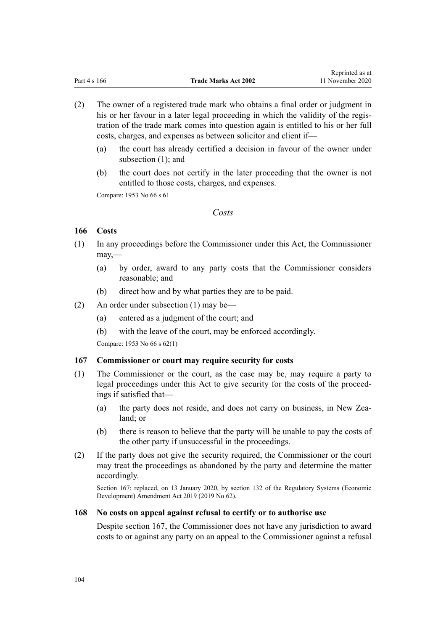Reprinted as at

- (2) The owner of a registered trade mark who obtains a final order or judgment in his or her favour in a later legal proceeding in which the validity of the registration of the trade mark comes into question again is entitled to his or her full costs, charges, and expenses as between solicitor and client if—
	- (a) the court has already certified a decision in favour of the owner under subsection (1); and
	- (b) the court does not certify in the later proceeding that the owner is not entitled to those costs, charges, and expenses.

Compare: 1953 No 66 s 61

## *Costs*

# **166 Costs**

- (1) In any proceedings before the Commissioner under this Act, the Commissioner may,—
	- (a) by order, award to any party costs that the Commissioner considers reasonable; and
	- (b) direct how and by what parties they are to be paid.
- (2) An order under subsection (1) may be—
	- (a) entered as a judgment of the court; and
	- (b) with the leave of the court, may be enforced accordingly.

Compare: 1953 No 66 s 62(1)

# **167 Commissioner or court may require security for costs**

- (1) The Commissioner or the court, as the case may be, may require a party to legal proceedings under this Act to give security for the costs of the proceedings if satisfied that—
	- (a) the party does not reside, and does not carry on business, in New Zealand; or
	- (b) there is reason to believe that the party will be unable to pay the costs of the other party if unsuccessful in the proceedings.
- (2) If the party does not give the security required, the Commissioner or the court may treat the proceedings as abandoned by the party and determine the matter accordingly.

Section 167: replaced, on 13 January 2020, by [section 132](http://legislation.govt.nz/pdflink.aspx?id=LMS85765) of the Regulatory Systems (Economic Development) Amendment Act 2019 (2019 No 62).

## **168 No costs on appeal against refusal to certify or to authorise use**

Despite section 167, the Commissioner does not have any jurisdiction to award costs to or against any party on an appeal to the Commissioner against a refusal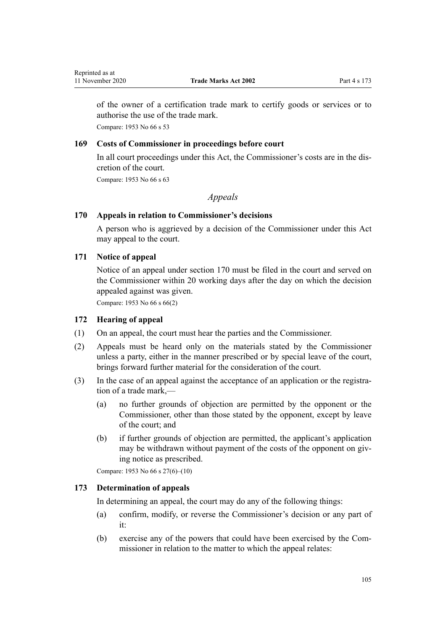<span id="page-104-0"></span>of the owner of a certification trade mark to certify goods or services or to authorise the use of the trade mark.

Compare: 1953 No 66 s 53

# **169 Costs of Commissioner in proceedings before court**

In all court proceedings under this Act, the Commissioner's costs are in the discretion of the court.

Compare: 1953 No 66 s 63

# *Appeals*

## **170 Appeals in relation to Commissioner's decisions**

A person who is aggrieved by a decision of the Commissioner under this Act may appeal to the court.

# **171 Notice of appeal**

Notice of an appeal under section 170 must be filed in the court and served on the Commissioner within 20 working days after the day on which the decision appealed against was given.

Compare: 1953 No 66 s 66(2)

## **172 Hearing of appeal**

- (1) On an appeal, the court must hear the parties and the Commissioner.
- (2) Appeals must be heard only on the materials stated by the Commissioner unless a party, either in the manner prescribed or by special leave of the court, brings forward further material for the consideration of the court.
- (3) In the case of an appeal against the acceptance of an application or the registration of a trade mark,—
	- (a) no further grounds of objection are permitted by the opponent or the Commissioner, other than those stated by the opponent, except by leave of the court; and
	- (b) if further grounds of objection are permitted, the applicant's application may be withdrawn without payment of the costs of the opponent on giving notice as prescribed.

Compare: 1953 No 66 s 27(6)–(10)

# **173 Determination of appeals**

In determining an appeal, the court may do any of the following things:

- (a) confirm, modify, or reverse the Commissioner's decision or any part of it:
- (b) exercise any of the powers that could have been exercised by the Commissioner in relation to the matter to which the appeal relates: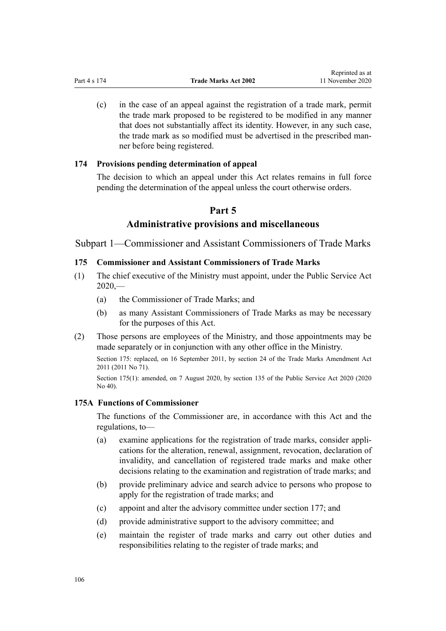(c) in the case of an appeal against the registration of a trade mark, permit the trade mark proposed to be registered to be modified in any manner that does not substantially affect its identity. However, in any such case, the trade mark as so modified must be advertised in the prescribed manner before being registered.

### **174 Provisions pending determination of appeal**

The decision to which an appeal under this Act relates remains in full force pending the determination of the appeal unless the court otherwise orders.

# **Part 5**

# **Administrative provisions and miscellaneous**

Subpart 1—Commissioner and Assistant Commissioners of Trade Marks

### **175 Commissioner and Assistant Commissioners of Trade Marks**

- (1) The chief executive of the Ministry must appoint, under the [Public Service Act](http://legislation.govt.nz/pdflink.aspx?id=LMS106157)  $2020$ , $-$ 
	- (a) the Commissioner of Trade Marks; and
	- (b) as many Assistant Commissioners of Trade Marks as may be necessary for the purposes of this Act.
- (2) Those persons are employees of the Ministry, and those appointments may be made separately or in conjunction with any other office in the Ministry.

Section 175: replaced, on 16 September 2011, by [section 24](http://legislation.govt.nz/pdflink.aspx?id=DLM2353613) of the Trade Marks Amendment Act 2011 (2011 No 71).

Section 175(1): amended, on 7 August 2020, by [section 135](http://legislation.govt.nz/pdflink.aspx?id=LMS176959) of the Public Service Act 2020 (2020) No 40).

# **175A Functions of Commissioner**

The functions of the Commissioner are, in accordance with this Act and the regulations, to—

- (a) examine applications for the registration of trade marks, consider applications for the alteration, renewal, assignment, revocation, declaration of invalidity, and cancellation of registered trade marks and make other decisions relating to the examination and registration of trade marks; and
- (b) provide preliminary advice and search advice to persons who propose to apply for the registration of trade marks; and
- (c) appoint and alter the advisory committee under [section 177;](#page-107-0) and
- (d) provide administrative support to the advisory committee; and
- (e) maintain the register of trade marks and carry out other duties and responsibilities relating to the register of trade marks; and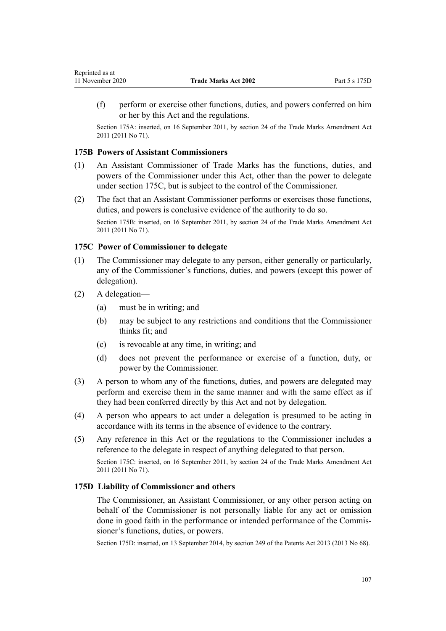(f) perform or exercise other functions, duties, and powers conferred on him or her by this Act and the regulations.

Section 175A: inserted, on 16 September 2011, by [section 24](http://legislation.govt.nz/pdflink.aspx?id=DLM2353613) of the Trade Marks Amendment Act 2011 (2011 No 71).

## **175B Powers of Assistant Commissioners**

- (1) An Assistant Commissioner of Trade Marks has the functions, duties, and powers of the Commissioner under this Act, other than the power to delegate under section 175C, but is subject to the control of the Commissioner.
- (2) The fact that an Assistant Commissioner performs or exercises those functions, duties, and powers is conclusive evidence of the authority to do so.

Section 175B: inserted, on 16 September 2011, by [section 24](http://legislation.govt.nz/pdflink.aspx?id=DLM2353613) of the Trade Marks Amendment Act 2011 (2011 No 71).

### **175C Power of Commissioner to delegate**

- (1) The Commissioner may delegate to any person, either generally or particularly, any of the Commissioner's functions, duties, and powers (except this power of delegation).
- (2) A delegation—
	- (a) must be in writing; and
	- (b) may be subject to any restrictions and conditions that the Commissioner thinks fit; and
	- (c) is revocable at any time, in writing; and
	- (d) does not prevent the performance or exercise of a function, duty, or power by the Commissioner.
- (3) A person to whom any of the functions, duties, and powers are delegated may perform and exercise them in the same manner and with the same effect as if they had been conferred directly by this Act and not by delegation.
- (4) A person who appears to act under a delegation is presumed to be acting in accordance with its terms in the absence of evidence to the contrary.
- (5) Any reference in this Act or the regulations to the Commissioner includes a reference to the delegate in respect of anything delegated to that person.

Section 175C: inserted, on 16 September 2011, by [section 24](http://legislation.govt.nz/pdflink.aspx?id=DLM2353613) of the Trade Marks Amendment Act 2011 (2011 No 71).

### **175D Liability of Commissioner and others**

The Commissioner, an Assistant Commissioner, or any other person acting on behalf of the Commissioner is not personally liable for any act or omission done in good faith in the performance or intended performance of the Commissioner's functions, duties, or powers.

Section 175D: inserted, on 13 September 2014, by [section 249](http://legislation.govt.nz/pdflink.aspx?id=DLM1419624) of the Patents Act 2013 (2013 No 68).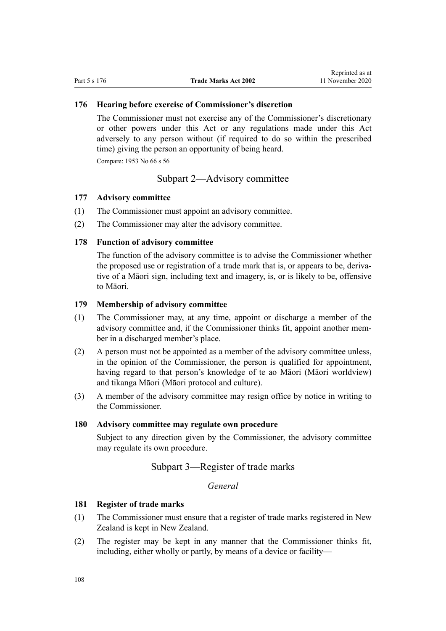## <span id="page-107-0"></span>**176 Hearing before exercise of Commissioner's discretion**

The Commissioner must not exercise any of the Commissioner's discretionary or other powers under this Act or any regulations made under this Act adversely to any person without (if required to do so within the prescribed time) giving the person an opportunity of being heard.

Compare: 1953 No 66 s 56

# Subpart 2—Advisory committee

#### **177 Advisory committee**

- (1) The Commissioner must appoint an advisory committee.
- (2) The Commissioner may alter the advisory committee.

## **178 Function of advisory committee**

The function of the advisory committee is to advise the Commissioner whether the proposed use or registration of a trade mark that is, or appears to be, derivative of a Māori sign, including text and imagery, is, or is likely to be, offensive to Māori.

### **179 Membership of advisory committee**

- (1) The Commissioner may, at any time, appoint or discharge a member of the advisory committee and, if the Commissioner thinks fit, appoint another member in a discharged member's place.
- (2) A person must not be appointed as a member of the advisory committee unless, in the opinion of the Commissioner, the person is qualified for appointment, having regard to that person's knowledge of te ao Māori (Māori worldview) and tikanga Māori (Māori protocol and culture).
- (3) A member of the advisory committee may resign office by notice in writing to the Commissioner.

## **180 Advisory committee may regulate own procedure**

Subject to any direction given by the Commissioner, the advisory committee may regulate its own procedure.

# Subpart 3—Register of trade marks

*General*

# **181 Register of trade marks**

- (1) The Commissioner must ensure that a register of trade marks registered in New Zealand is kept in New Zealand.
- (2) The register may be kept in any manner that the Commissioner thinks fit, including, either wholly or partly, by means of a device or facility—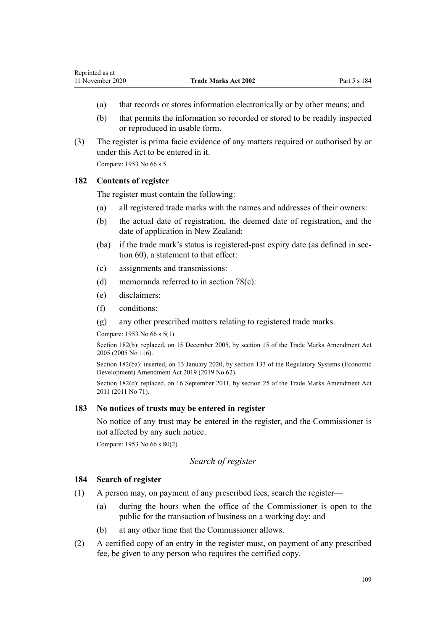- (a) that records or stores information electronically or by other means; and
- (b) that permits the information so recorded or stored to be readily inspected or reproduced in usable form.
- (3) The register is prima facie evidence of any matters required or authorised by or under this Act to be entered in it.

Compare: 1953 No 66 s 5

### **182 Contents of register**

The register must contain the following:

- (a) all registered trade marks with the names and addresses of their owners:
- (b) the actual date of registration, the deemed date of registration, and the date of application in New Zealand:
- (ba) if the trade mark's status is registered-past expiry date (as defined in [sec](#page-39-0)[tion 60](#page-39-0)), a statement to that effect:
- (c) assignments and transmissions:
- (d) memoranda referred to in [section 78\(c\):](#page-44-0)
- (e) disclaimers:
- (f) conditions:
- (g) any other prescribed matters relating to registered trade marks.

Compare: 1953 No 66 s 5(1)

Section 182(b): replaced, on 15 December 2005, by [section 15](http://legislation.govt.nz/pdflink.aspx?id=DLM362649) of the Trade Marks Amendment Act 2005 (2005 No 116).

Section 182(ba): inserted, on 13 January 2020, by [section 133](http://legislation.govt.nz/pdflink.aspx?id=LMS85766) of the Regulatory Systems (Economic Development) Amendment Act 2019 (2019 No 62).

Section 182(d): replaced, on 16 September 2011, by [section 25](http://legislation.govt.nz/pdflink.aspx?id=DLM2290126) of the Trade Marks Amendment Act 2011 (2011 No 71).

# **183 No notices of trusts may be entered in register**

No notice of any trust may be entered in the register, and the Commissioner is not affected by any such notice.

Compare: 1953 No 66 s 80(2)

## *Search of register*

## **184 Search of register**

- (1) A person may, on payment of any prescribed fees, search the register—
	- (a) during the hours when the office of the Commissioner is open to the public for the transaction of business on a working day; and
	- (b) at any other time that the Commissioner allows.
- (2) A certified copy of an entry in the register must, on payment of any prescribed fee, be given to any person who requires the certified copy.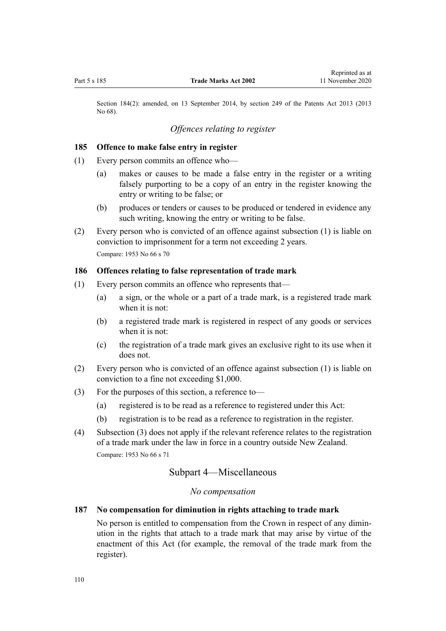Section 184(2): amended, on 13 September 2014, by [section 249](http://legislation.govt.nz/pdflink.aspx?id=DLM1419624) of the Patents Act 2013 (2013 No 68).

# *Offences relating to register*

#### **185 Offence to make false entry in register**

- (1) Every person commits an offence who—
	- (a) makes or causes to be made a false entry in the register or a writing falsely purporting to be a copy of an entry in the register knowing the entry or writing to be false; or
	- (b) produces or tenders or causes to be produced or tendered in evidence any such writing, knowing the entry or writing to be false.
- (2) Every person who is convicted of an offence against subsection (1) is liable on conviction to imprisonment for a term not exceeding 2 years. Compare: 1953 No 66 s 70

#### **186 Offences relating to false representation of trade mark**

- (1) Every person commits an offence who represents that—
	- (a) a sign, or the whole or a part of a trade mark, is a registered trade mark when it is not:
	- (b) a registered trade mark is registered in respect of any goods or services when it is not:
	- (c) the registration of a trade mark gives an exclusive right to its use when it does not.
- (2) Every person who is convicted of an offence against subsection (1) is liable on conviction to a fine not exceeding \$1,000.
- (3) For the purposes of this section, a reference to—
	- (a) registered is to be read as a reference to registered under this Act:
	- (b) registration is to be read as a reference to registration in the register.
- (4) Subsection (3) does not apply if the relevant reference relates to the registration of a trade mark under the law in force in a country outside New Zealand. Compare: 1953 No 66 s 71

# Subpart 4—Miscellaneous

## *No compensation*

## **187 No compensation for diminution in rights attaching to trade mark**

No person is entitled to compensation from the Crown in respect of any diminution in the rights that attach to a trade mark that may arise by virtue of the enactment of this Act (for example, the removal of the trade mark from the register).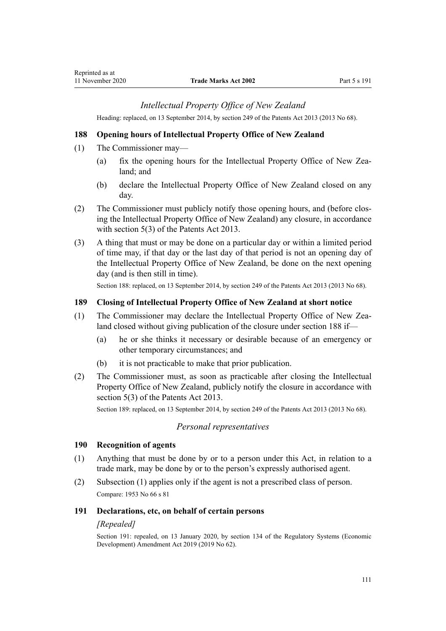# *Intellectual Property Office of New Zealand*

Heading: replaced, on 13 September 2014, by [section 249](http://legislation.govt.nz/pdflink.aspx?id=DLM1419624) of the Patents Act 2013 (2013 No 68).

## **188 Opening hours of Intellectual Property Office of New Zealand**

- (1) The Commissioner may—
	- (a) fix the opening hours for the Intellectual Property Office of New Zealand; and
	- (b) declare the Intellectual Property Office of New Zealand closed on any day.
- (2) The Commissioner must publicly notify those opening hours, and (before closing the Intellectual Property Office of New Zealand) any closure, in accordance with [section 5\(3\)](http://legislation.govt.nz/pdflink.aspx?id=DLM1419053) of the Patents Act 2013.
- (3) A thing that must or may be done on a particular day or within a limited period of time may, if that day or the last day of that period is not an opening day of the Intellectual Property Office of New Zealand, be done on the next opening day (and is then still in time).

Section 188: replaced, on 13 September 2014, by [section 249](http://legislation.govt.nz/pdflink.aspx?id=DLM1419624) of the Patents Act 2013 (2013 No 68).

### **189 Closing of Intellectual Property Office of New Zealand at short notice**

- (1) The Commissioner may declare the Intellectual Property Office of New Zealand closed without giving publication of the closure under section 188 if—
	- (a) he or she thinks it necessary or desirable because of an emergency or other temporary circumstances; and
	- (b) it is not practicable to make that prior publication.
- (2) The Commissioner must, as soon as practicable after closing the Intellectual Property Office of New Zealand, publicly notify the closure in accordance with [section 5\(3\)](http://legislation.govt.nz/pdflink.aspx?id=DLM1419053) of the Patents Act 2013.

Section 189: replaced, on 13 September 2014, by [section 249](http://legislation.govt.nz/pdflink.aspx?id=DLM1419624) of the Patents Act 2013 (2013 No 68).

## *Personal representatives*

#### **190 Recognition of agents**

- (1) Anything that must be done by or to a person under this Act, in relation to a trade mark, may be done by or to the person's expressly authorised agent.
- (2) Subsection (1) applies only if the agent is not a prescribed class of person. Compare: 1953 No 66 s 81

#### **191 Declarations, etc, on behalf of certain persons**

#### *[Repealed]*

Section 191: repealed, on 13 January 2020, by [section 134](http://legislation.govt.nz/pdflink.aspx?id=LMS85767) of the Regulatory Systems (Economic Development) Amendment Act 2019 (2019 No 62).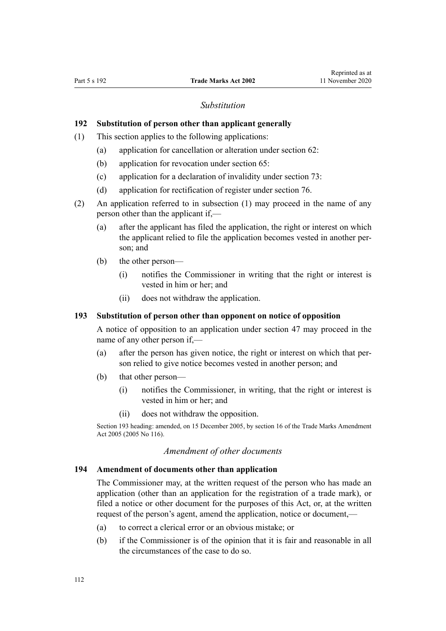#### *Substitution*

# **192 Substitution of person other than applicant generally**

- (1) This section applies to the following applications:
	- (a) application for cancellation or alteration under [section 62:](#page-39-0)
	- (b) application for revocation under [section 65:](#page-40-0)
	- (c) application for a declaration of invalidity under [section 73:](#page-43-0)
	- (d) application for rectification of register under [section 76.](#page-44-0)
- (2) An application referred to in subsection (1) may proceed in the name of any person other than the applicant if,—
	- (a) after the applicant has filed the application, the right or interest on which the applicant relied to file the application becomes vested in another person; and
	- (b) the other person—
		- (i) notifies the Commissioner in writing that the right or interest is vested in him or her; and
		- (ii) does not withdraw the application.

## **193 Substitution of person other than opponent on notice of opposition**

A notice of opposition to an application under [section 47](#page-34-0) may proceed in the name of any other person if,—

- (a) after the person has given notice, the right or interest on which that person relied to give notice becomes vested in another person; and
- (b) that other person—
	- (i) notifies the Commissioner, in writing, that the right or interest is vested in him or her; and
	- (ii) does not withdraw the opposition.

Section 193 heading: amended, on 15 December 2005, by [section 16](http://legislation.govt.nz/pdflink.aspx?id=DLM362650) of the Trade Marks Amendment Act 2005 (2005 No 116).

#### *Amendment of other documents*

#### **194 Amendment of documents other than application**

The Commissioner may, at the written request of the person who has made an application (other than an application for the registration of a trade mark), or filed a notice or other document for the purposes of this Act, or, at the written request of the person's agent, amend the application, notice or document,—

- (a) to correct a clerical error or an obvious mistake; or
- (b) if the Commissioner is of the opinion that it is fair and reasonable in all the circumstances of the case to do so.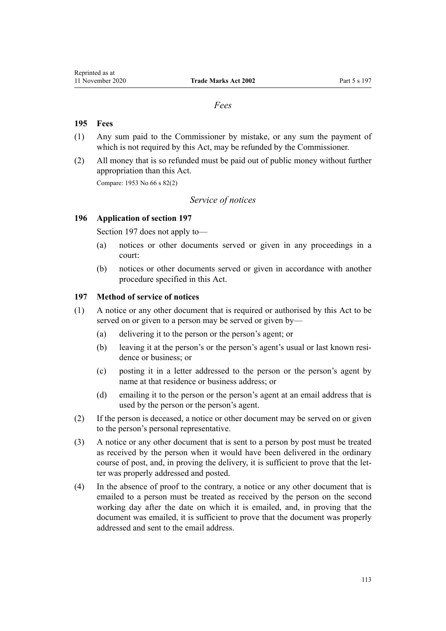### *Fees*

# **195 Fees**

- (1) Any sum paid to the Commissioner by mistake, or any sum the payment of which is not required by this Act, may be refunded by the Commissioner.
- (2) All money that is so refunded must be paid out of public money without further appropriation than this Act.

Compare: 1953 No 66 s 82(2)

# *Service of notices*

## **196 Application of section 197**

Section 197 does not apply to—

- (a) notices or other documents served or given in any proceedings in a court:
- (b) notices or other documents served or given in accordance with another procedure specified in this Act.

## **197 Method of service of notices**

- (1) A notice or any other document that is required or authorised by this Act to be served on or given to a person may be served or given by—
	- (a) delivering it to the person or the person's agent; or
	- (b) leaving it at the person's or the person's agent's usual or last known residence or business; or
	- (c) posting it in a letter addressed to the person or the person's agent by name at that residence or business address; or
	- (d) emailing it to the person or the person's agent at an email address that is used by the person or the person's agent.
- (2) If the person is deceased, a notice or other document may be served on or given to the person's personal representative.
- (3) A notice or any other document that is sent to a person by post must be treated as received by the person when it would have been delivered in the ordinary course of post, and, in proving the delivery, it is sufficient to prove that the letter was properly addressed and posted.
- (4) In the absence of proof to the contrary, a notice or any other document that is emailed to a person must be treated as received by the person on the second working day after the date on which it is emailed, and, in proving that the document was emailed, it is sufficient to prove that the document was properly addressed and sent to the email address.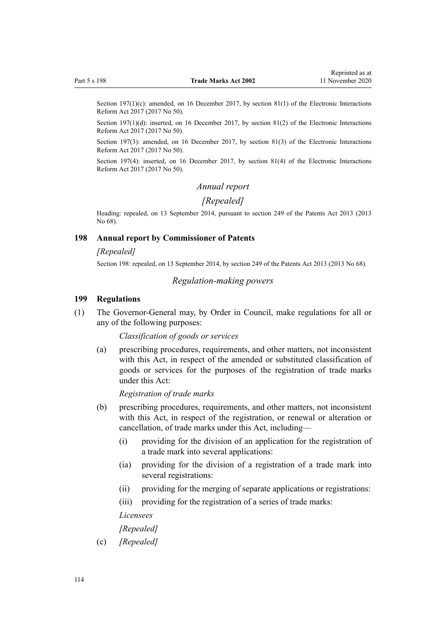Section 197(1)(c): amended, on 16 December 2017, by [section 81\(1\)](http://legislation.govt.nz/pdflink.aspx?id=DLM6962244) of the Electronic Interactions Reform Act 2017 (2017 No 50).

Section 197(1)(d): inserted, on 16 December 2017, by [section 81\(2\)](http://legislation.govt.nz/pdflink.aspx?id=DLM6962244) of the Electronic Interactions Reform Act 2017 (2017 No 50).

Section 197(3): amended, on 16 December 2017, by [section 81\(3\)](http://legislation.govt.nz/pdflink.aspx?id=DLM6962244) of the Electronic Interactions Reform Act 2017 (2017 No 50).

Section 197(4): inserted, on 16 December 2017, by [section 81\(4\)](http://legislation.govt.nz/pdflink.aspx?id=DLM6962244) of the Electronic Interactions Reform Act 2017 (2017 No 50).

#### *Annual report*

## *[Repealed]*

Heading: repealed, on 13 September 2014, pursuant to [section 249](http://legislation.govt.nz/pdflink.aspx?id=DLM1419624) of the Patents Act 2013 (2013 No 68).

#### **198 Annual report by Commissioner of Patents**

#### *[Repealed]*

Section 198: repealed, on 13 September 2014, by [section 249](http://legislation.govt.nz/pdflink.aspx?id=DLM1419624) of the Patents Act 2013 (2013 No 68).

#### *Regulation-making powers*

#### **199 Regulations**

(1) The Governor-General may, by Order in Council, make regulations for all or any of the following purposes:

*Classification of goods or services*

(a) prescribing procedures, requirements, and other matters, not inconsistent with this Act, in respect of the amended or substituted classification of goods or services for the purposes of the registration of trade marks under this Act:

*Registration of trade marks*

- (b) prescribing procedures, requirements, and other matters, not inconsistent with this Act, in respect of the registration, or renewal or alteration or cancellation, of trade marks under this Act, including—
	- (i) providing for the division of an application for the registration of a trade mark into several applications:
	- (ia) providing for the division of a registration of a trade mark into several registrations:
	- (ii) providing for the merging of separate applications or registrations:
	- (iii) providing for the registration of a series of trade marks:

#### *Licensees*

#### *[Repealed]*

(c) *[Repealed]*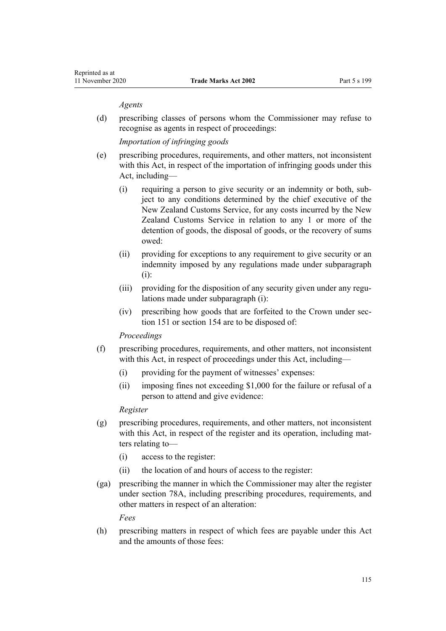#### *Agents*

(d) prescribing classes of persons whom the Commissioner may refuse to recognise as agents in respect of proceedings:

*Importation of infringing goods*

- (e) prescribing procedures, requirements, and other matters, not inconsistent with this Act, in respect of the importation of infringing goods under this Act, including—
	- (i) requiring a person to give security or an indemnity or both, subject to any conditions determined by the chief executive of the New Zealand Customs Service, for any costs incurred by the New Zealand Customs Service in relation to any 1 or more of the detention of goods, the disposal of goods, or the recovery of sums owed:
	- (ii) providing for exceptions to any requirement to give security or an indemnity imposed by any regulations made under subparagraph (i):
	- (iii) providing for the disposition of any security given under any regulations made under subparagraph (i):
	- (iv) prescribing how goods that are forfeited to the Crown under [sec](#page-90-0)[tion 151](#page-90-0) or [section 154](#page-91-0) are to be disposed of:

#### *Proceedings*

- (f) prescribing procedures, requirements, and other matters, not inconsistent with this Act, in respect of proceedings under this Act, including—
	- (i) providing for the payment of witnesses' expenses:
	- (ii) imposing fines not exceeding \$1,000 for the failure or refusal of a person to attend and give evidence:

### *Register*

- (g) prescribing procedures, requirements, and other matters, not inconsistent with this Act, in respect of the register and its operation, including matters relating to—
	- (i) access to the register:
	- (ii) the location of and hours of access to the register:
- (ga) prescribing the manner in which the Commissioner may alter the register under [section 78A,](#page-45-0) including prescribing procedures, requirements, and other matters in respect of an alteration:

*Fees*

(h) prescribing matters in respect of which fees are payable under this Act and the amounts of those fees: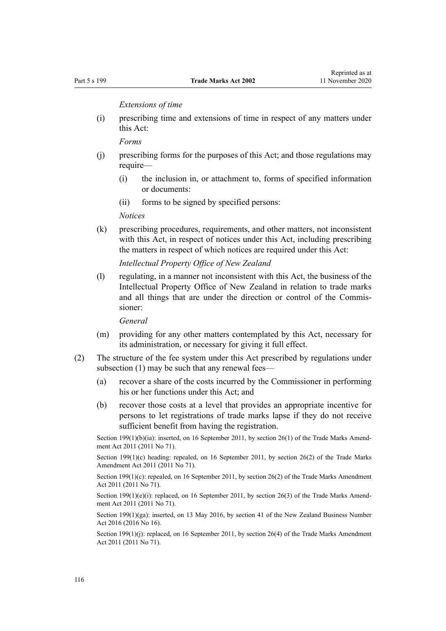*Extensions of time*

(i) prescribing time and extensions of time in respect of any matters under this Act:

*Forms*

- (j) prescribing forms for the purposes of this Act; and those regulations may require—
	- (i) the inclusion in, or attachment to, forms of specified information or documents:
	- (ii) forms to be signed by specified persons:

*Notices*

(k) prescribing procedures, requirements, and other matters, not inconsistent with this Act, in respect of notices under this Act, including prescribing the matters in respect of which notices are required under this Act:

*Intellectual Property Office of New Zealand*

(l) regulating, in a manner not inconsistent with this Act, the business of the Intellectual Property Office of New Zealand in relation to trade marks and all things that are under the direction or control of the Commissioner:

*General*

- (m) providing for any other matters contemplated by this Act, necessary for its administration, or necessary for giving it full effect.
- (2) The structure of the fee system under this Act prescribed by regulations under subsection (1) may be such that any renewal fees—
	- (a) recover a share of the costs incurred by the Commissioner in performing his or her functions under this Act; and
	- (b) recover those costs at a level that provides an appropriate incentive for persons to let registrations of trade marks lapse if they do not receive sufficient benefit from having the registration.

Section 199(1)(b)(ia): inserted, on 16 September 2011, by [section 26\(1\)](http://legislation.govt.nz/pdflink.aspx?id=DLM2290127) of the Trade Marks Amendment Act 2011 (2011 No 71).

Section 199(1)(c) heading: repealed, on 16 September 2011, by [section 26\(2\)](http://legislation.govt.nz/pdflink.aspx?id=DLM2290127) of the Trade Marks Amendment Act 2011 (2011 No 71).

Section 199(1)(c): repealed, on 16 September 2011, by [section 26\(2\)](http://legislation.govt.nz/pdflink.aspx?id=DLM2290127) of the Trade Marks Amendment Act 2011 (2011 No 71).

Section 199(1)(e)(i): replaced, on 16 September 2011, by [section 26\(3\)](http://legislation.govt.nz/pdflink.aspx?id=DLM2290127) of the Trade Marks Amendment Act 2011 (2011 No 71).

Section 199(1)(ga): inserted, on 13 May 2016, by [section 41](http://legislation.govt.nz/pdflink.aspx?id=DLM6431601) of the New Zealand Business Number Act 2016 (2016 No 16).

Section 199(1)(j): replaced, on 16 September 2011, by [section 26\(4\)](http://legislation.govt.nz/pdflink.aspx?id=DLM2290127) of the Trade Marks Amendment Act 2011 (2011 No 71).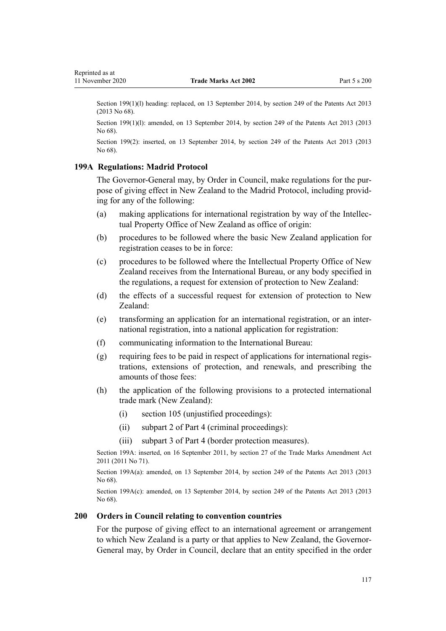<span id="page-116-0"></span>Section 199(1)(1) heading: replaced, on 13 September 2014, by [section 249](http://legislation.govt.nz/pdflink.aspx?id=DLM1419624) of the Patents Act 2013 (2013 No 68).

Section 199(1)(l): amended, on 13 September 2014, by [section 249](http://legislation.govt.nz/pdflink.aspx?id=DLM1419624) of the Patents Act 2013 (2013) No 68).

Section 199(2): inserted, on 13 September 2014, by [section 249](http://legislation.govt.nz/pdflink.aspx?id=DLM1419624) of the Patents Act 2013 (2013 No 68).

# **199A Regulations: Madrid Protocol**

The Governor-General may, by Order in Council, make regulations for the purpose of giving effect in New Zealand to the Madrid Protocol, including providing for any of the following:

- (a) making applications for international registration by way of the Intellectual Property Office of New Zealand as office of origin:
- (b) procedures to be followed where the basic New Zealand application for registration ceases to be in force:
- (c) procedures to be followed where the Intellectual Property Office of New Zealand receives from the International Bureau, or any body specified in the regulations, a request for extension of protection to New Zealand:
- (d) the effects of a successful request for extension of protection to New Zealand:
- (e) transforming an application for an international registration, or an international registration, into a national application for registration:
- (f) communicating information to the International Bureau:
- (g) requiring fees to be paid in respect of applications for international registrations, extensions of protection, and renewals, and prescribing the amounts of those fees:
- (h) the application of the following provisions to a protected international trade mark (New Zealand):
	- (i) [section 105](#page-54-0) (unjustified proceedings):
	- (ii) [subpart 2](#page-58-0) of Part 4 (criminal proceedings):
	- (iii) [subpart 3](#page-81-0) of Part 4 (border protection measures).

Section 199A: inserted, on 16 September 2011, by [section 27](http://legislation.govt.nz/pdflink.aspx?id=DLM2290128) of the Trade Marks Amendment Act 2011 (2011 No 71).

Section 199A(a): amended, on 13 September 2014, by [section 249](http://legislation.govt.nz/pdflink.aspx?id=DLM1419624) of the Patents Act 2013 (2013) No 68).

Section 199A(c): amended, on 13 September 2014, by [section 249](http://legislation.govt.nz/pdflink.aspx?id=DLM1419624) of the Patents Act 2013 (2013 No 68).

#### **200 Orders in Council relating to convention countries**

For the purpose of giving effect to an international agreement or arrangement to which New Zealand is a party or that applies to New Zealand, the Governor-General may, by Order in Council, declare that an entity specified in the order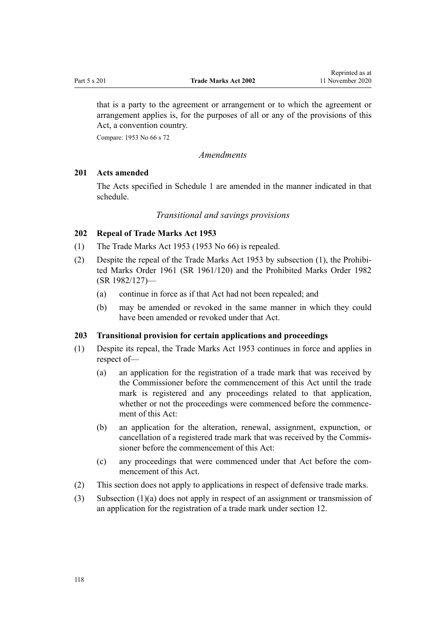<span id="page-117-0"></span>that is a party to the agreement or arrangement or to which the agreement or arrangement applies is, for the purposes of all or any of the provisions of this Act, a convention country.

Compare: 1953 No 66 s 72

*Amendments*

## **201 Acts amended**

The Acts specified in [Schedule 1](#page-121-0) are amended in the manner indicated in that schedule.

### *Transitional and savings provisions*

## **202 Repeal of Trade Marks Act 1953**

- (1) The Trade Marks Act 1953 (1953 No 66) is repealed.
- (2) Despite the repeal of the Trade Marks Act 1953 by subsection (1), the [Prohibi](http://legislation.govt.nz/pdflink.aspx?id=DLM15734)[ted Marks Order 1961](http://legislation.govt.nz/pdflink.aspx?id=DLM15734) (SR 1961/120) and the [Prohibited Marks Order 1982](http://legislation.govt.nz/pdflink.aspx?id=DLM82309) (SR 1982/127)—
	- (a) continue in force as if that Act had not been repealed; and
	- (b) may be amended or revoked in the same manner in which they could have been amended or revoked under that Act.

## **203 Transitional provision for certain applications and proceedings**

- (1) Despite its repeal, the Trade Marks Act 1953 continues in force and applies in respect of—
	- (a) an application for the registration of a trade mark that was received by the Commissioner before the commencement of this Act until the trade mark is registered and any proceedings related to that application, whether or not the proceedings were commenced before the commencement of this Act:
	- (b) an application for the alteration, renewal, assignment, expunction, or cancellation of a registered trade mark that was received by the Commissioner before the commencement of this Act:
	- (c) any proceedings that were commenced under that Act before the commencement of this Act.
- (2) This section does not apply to applications in respect of defensive trade marks.
- (3) Subsection (1)(a) does not apply in respect of an assignment or transmission of an application for the registration of a trade mark under [section 12](#page-22-0).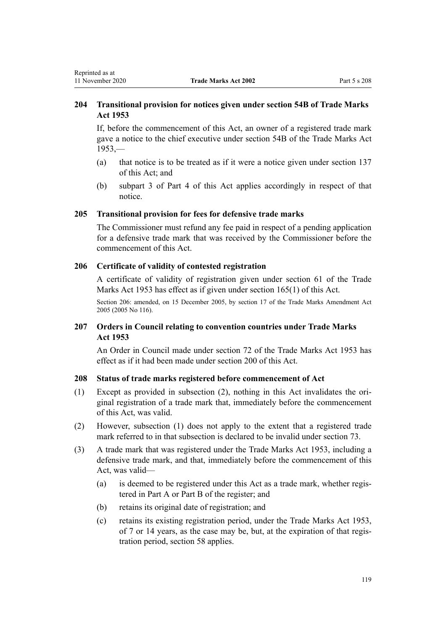# **204 Transitional provision for notices given under section 54B of Trade Marks Act 1953**

If, before the commencement of this Act, an owner of a registered trade mark gave a notice to the chief executive under section 54B of the Trade Marks Act  $1953$ ,—

- (a) that notice is to be treated as if it were a notice given under [section 137](#page-84-0) of this Act; and
- (b) subpart 3 of [Part 4](#page-48-0) of this Act applies accordingly in respect of that notice.

### **205 Transitional provision for fees for defensive trade marks**

The Commissioner must refund any fee paid in respect of a pending application for a defensive trade mark that was received by the Commissioner before the commencement of this Act.

## **206 Certificate of validity of contested registration**

A certificate of validity of registration given under section 61 of the Trade Marks Act 1953 has effect as if given under [section 165\(1\)](#page-102-0) of this Act.

Section 206: amended, on 15 December 2005, by [section 17](http://legislation.govt.nz/pdflink.aspx?id=DLM362651) of the Trade Marks Amendment Act 2005 (2005 No 116).

# **207 Orders in Council relating to convention countries under Trade Marks Act 1953**

An Order in Council made under section 72 of the Trade Marks Act 1953 has effect as if it had been made under [section 200](#page-116-0) of this Act.

## **208 Status of trade marks registered before commencement of Act**

- (1) Except as provided in subsection (2), nothing in this Act invalidates the original registration of a trade mark that, immediately before the commencement of this Act, was valid.
- (2) However, subsection (1) does not apply to the extent that a registered trade mark referred to in that subsection is declared to be invalid under [section 73.](#page-43-0)
- (3) A trade mark that was registered under the Trade Marks Act 1953, including a defensive trade mark, and that, immediately before the commencement of this Act, was valid—
	- (a) is deemed to be registered under this Act as a trade mark, whether registered in Part A or Part B of the register; and
	- (b) retains its original date of registration; and
	- (c) retains its existing registration period, under the Trade Marks Act 1953, of 7 or 14 years, as the case may be, but, at the expiration of that registration period, [section 58](#page-38-0) applies.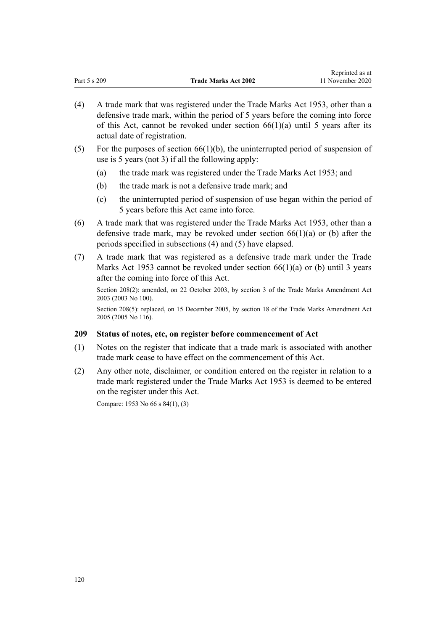|              |                             | reprinced as at  |
|--------------|-----------------------------|------------------|
| Part 5 s 209 | <b>Trade Marks Act 2002</b> | 11 November 2020 |

Reprinted as at

- (4) A trade mark that was registered under the Trade Marks Act 1953, other than a defensive trade mark, within the period of 5 years before the coming into force of this Act, cannot be revoked under section  $66(1)(a)$  until 5 years after its actual date of registration.
- (5) For the purposes of section  $66(1)(b)$ , the uninterrupted period of suspension of use is 5 years (not 3) if all the following apply:
	- (a) the trade mark was registered under the Trade Marks Act 1953; and
	- (b) the trade mark is not a defensive trade mark; and
	- (c) the uninterrupted period of suspension of use began within the period of 5 years before this Act came into force.
- (6) A trade mark that was registered under the Trade Marks Act 1953, other than a defensive trade mark, may be revoked under section  $66(1)(a)$  or (b) after the periods specified in subsections (4) and (5) have elapsed.
- (7) A trade mark that was registered as a defensive trade mark under the Trade Marks Act 1953 cannot be revoked under section  $66(1)(a)$  or (b) until 3 years after the coming into force of this Act.

Section 208(2): amended, on 22 October 2003, by [section 3](http://legislation.govt.nz/pdflink.aspx?id=DLM218849) of the Trade Marks Amendment Act 2003 (2003 No 100).

Section 208(5): replaced, on 15 December 2005, by [section 18](http://legislation.govt.nz/pdflink.aspx?id=DLM362652) of the Trade Marks Amendment Act 2005 (2005 No 116).

## **209 Status of notes, etc, on register before commencement of Act**

- (1) Notes on the register that indicate that a trade mark is associated with another trade mark cease to have effect on the commencement of this Act.
- (2) Any other note, disclaimer, or condition entered on the register in relation to a trade mark registered under the Trade Marks Act 1953 is deemed to be entered on the register under this Act.

Compare: 1953 No 66 s 84(1), (3)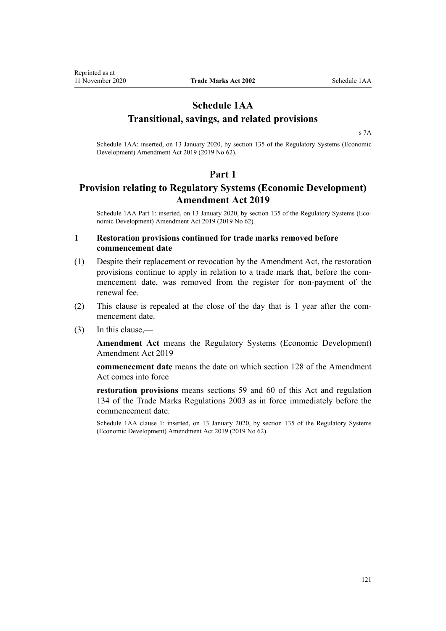Reprinted as at

# **Schedule 1AA Transitional, savings, and related provisions**

[s 7A](#page-21-0)

Schedule 1AA: inserted, on 13 January 2020, by [section 135](http://legislation.govt.nz/pdflink.aspx?id=LMS85768) of the Regulatory Systems (Economic Development) Amendment Act 2019 (2019 No 62).

# **Part 1**

# **Provision relating to Regulatory Systems (Economic Development) Amendment Act 2019**

Schedule 1AA Part 1: inserted, on 13 January 2020, by [section 135](http://legislation.govt.nz/pdflink.aspx?id=LMS85768) of the Regulatory Systems (Economic Development) Amendment Act 2019 (2019 No 62).

# **1 Restoration provisions continued for trade marks removed before commencement date**

- (1) Despite their replacement or revocation by the Amendment Act, the restoration provisions continue to apply in relation to a trade mark that, before the commencement date, was removed from the register for non-payment of the renewal fee.
- (2) This clause is repealed at the close of the day that is 1 year after the commencement date.
- (3) In this clause,—

**Amendment Act** means the [Regulatory Systems \(Economic Development\)](http://legislation.govt.nz/pdflink.aspx?id=LMS85548) [Amendment Act 2019](http://legislation.govt.nz/pdflink.aspx?id=LMS85548)

**commencement date** means the date on which [section 128](http://legislation.govt.nz/pdflink.aspx?id=LMS85760) of the Amendment Act comes into force

**restoration provisions** means sections 59 and 60 of this Act and regulation 134 of the Trade Marks Regulations 2003 as in force immediately before the commencement date.

Schedule 1AA clause 1: inserted, on 13 January 2020, by [section 135](http://legislation.govt.nz/pdflink.aspx?id=LMS85768) of the Regulatory Systems (Economic Development) Amendment Act 2019 (2019 No 62).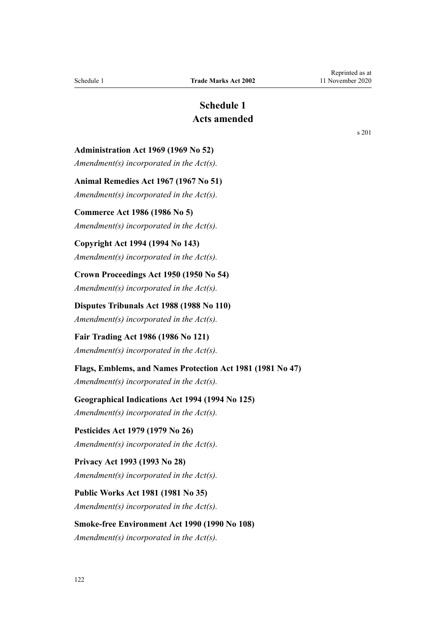# **Schedule 1 Acts amended**

<span id="page-121-0"></span>**Administration Act 1969 (1969 No 52)**

*Amendment(s) incorporated in the [Act\(s\).](http://legislation.govt.nz/pdflink.aspx?id=DLM392629)*

**Animal Remedies Act 1967 (1967 No 51)**

*Amendment(s) incorporated in the Act(s).*

# **Commerce Act 1986 (1986 No 5)**

*Amendment(s) incorporated in the [Act\(s\).](http://legislation.govt.nz/pdflink.aspx?id=DLM88410)*

# **Copyright Act 1994 (1994 No 143)**

*Amendment(s) incorporated in the [Act\(s\).](http://legislation.govt.nz/pdflink.aspx?id=DLM346602)*

**Crown Proceedings Act 1950 (1950 No 54)** *Amendment(s) incorporated in the [Act\(s\).](http://legislation.govt.nz/pdflink.aspx?id=DLM261925)*

**Disputes Tribunals Act 1988 (1988 No 110)** *Amendment(s) incorporated in the [Act\(s\).](http://legislation.govt.nz/pdflink.aspx?id=DLM133292)*

**Fair Trading Act 1986 (1986 No 121)** *Amendment(s) incorporated in the [Act\(s\).](http://legislation.govt.nz/pdflink.aspx?id=DLM96923)*

## **Flags, Emblems, and Names Protection Act 1981 (1981 No 47)**

*Amendment(s) incorporated in the [Act\(s\).](http://legislation.govt.nz/pdflink.aspx?id=DLM51363)*

## **Geographical Indications Act 1994 (1994 No 125)**

*Amendment(s) incorporated in the [Act\(s\).](http://legislation.govt.nz/pdflink.aspx?id=DLM345232)*

**Pesticides Act 1979 (1979 No 26)** *Amendment(s) incorporated in the Act(s).*

# **Privacy Act 1993 (1993 No 28)** *Amendment(s) incorporated in the [Act\(s\).](http://legislation.govt.nz/pdflink.aspx?id=DLM298477)*

**Public Works Act 1981 (1981 No 35)** *Amendment(s) incorporated in the [Act\(s\).](http://legislation.govt.nz/pdflink.aspx?id=DLM45426)*

# **Smoke-free Environment Act 1990 (1990 No 108)**

*Amendment(s) incorporated in the [Act\(s\).](http://legislation.govt.nz/pdflink.aspx?id=DLM223905)*

[s 201](#page-117-0)

Reprinted as at 11 November 2020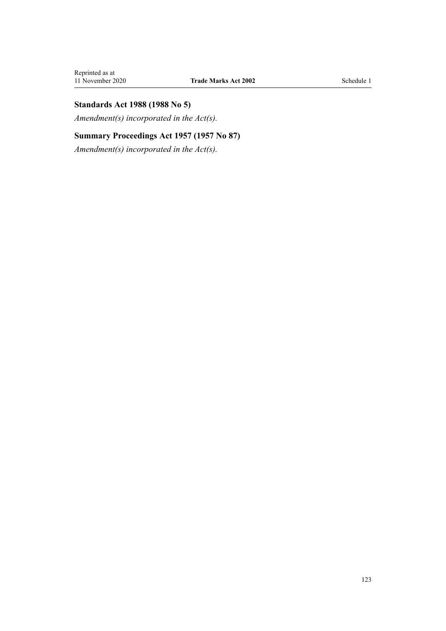# **Standards Act 1988 (1988 No 5)**

*Amendment(s) incorporated in the [Act\(s\).](http://legislation.govt.nz/pdflink.aspx?id=DLM128701)*

# **Summary Proceedings Act 1957 (1957 No 87)**

*Amendment(s) incorporated in the [Act\(s\).](http://legislation.govt.nz/pdflink.aspx?id=DLM310742)*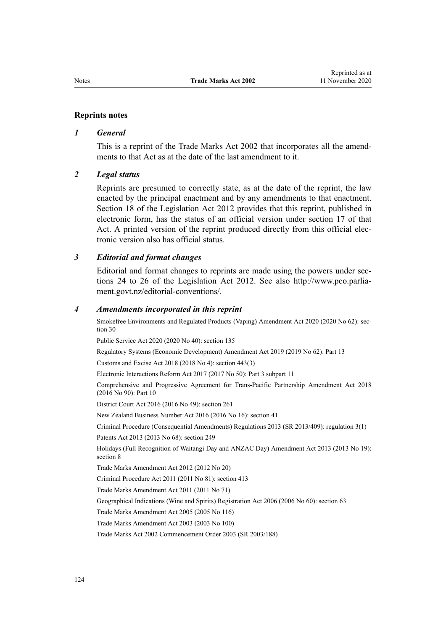### **Reprints notes**

### *1 General*

This is a reprint of the Trade Marks Act 2002 that incorporates all the amendments to that Act as at the date of the last amendment to it.

#### *2 Legal status*

Reprints are presumed to correctly state, as at the date of the reprint, the law enacted by the principal enactment and by any amendments to that enactment. [Section 18](http://legislation.govt.nz/pdflink.aspx?id=DLM2998516) of the Legislation Act 2012 provides that this reprint, published in electronic form, has the status of an official version under [section 17](http://legislation.govt.nz/pdflink.aspx?id=DLM2998515) of that Act. A printed version of the reprint produced directly from this official electronic version also has official status.

### *3 Editorial and format changes*

Editorial and format changes to reprints are made using the powers under [sec](http://legislation.govt.nz/pdflink.aspx?id=DLM2998532)[tions 24 to 26](http://legislation.govt.nz/pdflink.aspx?id=DLM2998532) of the Legislation Act 2012. See also [http://www.pco.parlia](http://www.pco.parliament.govt.nz/editorial-conventions/)[ment.govt.nz/editorial-conventions/](http://www.pco.parliament.govt.nz/editorial-conventions/).

#### *4 Amendments incorporated in this reprint*

Smokefree Environments and Regulated Products (Vaping) Amendment Act 2020 (2020 No 62): [sec](http://legislation.govt.nz/pdflink.aspx?id=LMS314081)[tion 30](http://legislation.govt.nz/pdflink.aspx?id=LMS314081)

Public Service Act 2020 (2020 No 40): [section 135](http://legislation.govt.nz/pdflink.aspx?id=LMS176959)

Regulatory Systems (Economic Development) Amendment Act 2019 (2019 No 62): [Part 13](http://legislation.govt.nz/pdflink.aspx?id=LMS85770)

Customs and Excise Act 2018 (2018 No 4): [section 443\(3\)](http://legislation.govt.nz/pdflink.aspx?id=DLM7039957)

Electronic Interactions Reform Act 2017 (2017 No 50): Part 3 [subpart 11](http://legislation.govt.nz/pdflink.aspx?id=DLM6962237)

Comprehensive and Progressive Agreement for Trans-Pacific Partnership Amendment Act 2018 (2016 No 90): [Part 10](http://legislation.govt.nz/pdflink.aspx?id=DLM6838425)

District Court Act 2016 (2016 No 49): [section 261](http://legislation.govt.nz/pdflink.aspx?id=DLM6942680)

New Zealand Business Number Act 2016 (2016 No 16): [section 41](http://legislation.govt.nz/pdflink.aspx?id=DLM6431601)

Criminal Procedure (Consequential Amendments) Regulations 2013 (SR 2013/409): [regulation 3\(1\)](http://legislation.govt.nz/pdflink.aspx?id=DLM5642106)

Patents Act 2013 (2013 No 68): [section 249](http://legislation.govt.nz/pdflink.aspx?id=DLM1419624)

Holidays (Full Recognition of Waitangi Day and ANZAC Day) Amendment Act 2013 (2013 No 19): [section 8](http://legislation.govt.nz/pdflink.aspx?id=DLM4929207)

[Trade Marks Amendment Act 2012](http://legislation.govt.nz/pdflink.aspx?id=DLM4015202) (2012 No 20)

Criminal Procedure Act 2011 (2011 No 81): [section 413](http://legislation.govt.nz/pdflink.aspx?id=DLM3360714)

[Trade Marks Amendment Act 2011](http://legislation.govt.nz/pdflink.aspx?id=DLM2290000) (2011 No 71)

Geographical Indications (Wine and Spirits) Registration Act 2006 (2006 No 60): [section 63](http://legislation.govt.nz/pdflink.aspx?id=DLM390893)

[Trade Marks Amendment Act 2005](http://legislation.govt.nz/pdflink.aspx?id=DLM362630) (2005 No 116)

[Trade Marks Amendment Act 2003](http://legislation.govt.nz/pdflink.aspx?id=DLM218843) (2003 No 100)

[Trade Marks Act 2002 Commencement Order 2003](http://legislation.govt.nz/pdflink.aspx?id=DLM202859) (SR 2003/188)